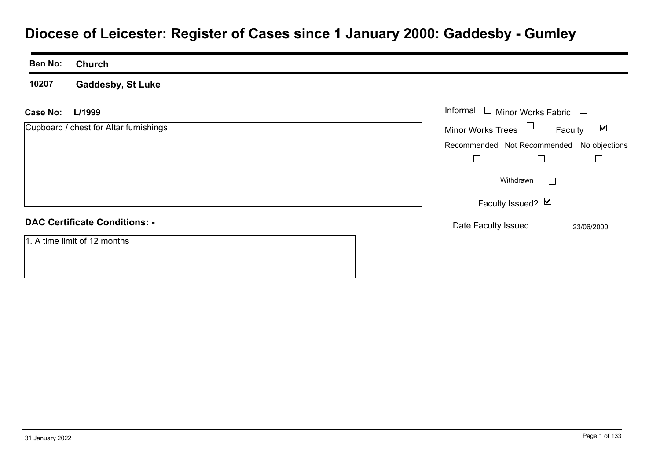# **Diocese of Leicester: Register of Cases since 1 January 2000: Gaddesby - Gumley**

| <b>Ben No:</b> | <b>Church</b>                          |                                                             |
|----------------|----------------------------------------|-------------------------------------------------------------|
| 10207          | <b>Gaddesby, St Luke</b>               |                                                             |
| Case No:       | L/1999                                 | Informal $\Box$ Minor Works Fabric $\Box$                   |
|                | Cupboard / chest for Altar furnishings | Minor Works Trees $\Box$<br>$\blacktriangledown$<br>Faculty |
|                |                                        | Recommended Not Recommended No objections                   |
|                |                                        | $\Box$                                                      |
|                |                                        | Withdrawn                                                   |
|                |                                        | Faculty Issued? Ø                                           |
|                | <b>DAC Certificate Conditions: -</b>   | Date Faculty Issued<br>23/06/2000                           |
|                | 1. A time limit of 12 months           |                                                             |
|                |                                        |                                                             |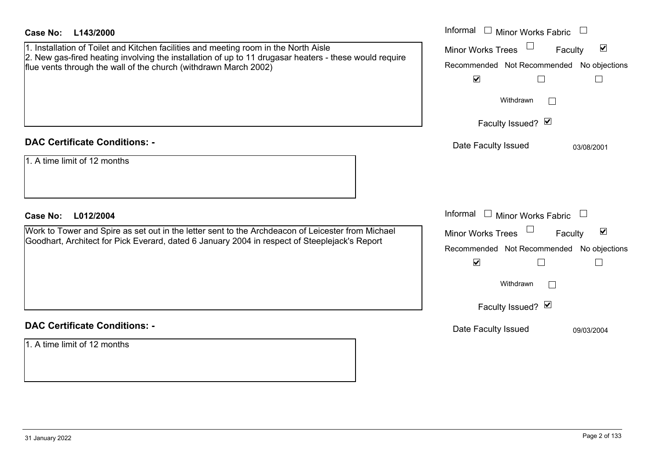| <b>Case No:</b><br>L143/2000                                                                                                                                                                                                                                       | Informal<br>Minor Works Fabric                                                                                                                                                         |
|--------------------------------------------------------------------------------------------------------------------------------------------------------------------------------------------------------------------------------------------------------------------|----------------------------------------------------------------------------------------------------------------------------------------------------------------------------------------|
| 1. Installation of Toilet and Kitchen facilities and meeting room in the North Aisle<br>2. New gas-fired heating involving the installation of up to 11 drugasar heaters - these would require<br>flue vents through the wall of the church (withdrawn March 2002) | $\blacktriangledown$<br>Minor Works Trees<br>Faculty<br>Recommended Not Recommended<br>No objections<br>$\blacktriangledown$<br>$\Box$<br>$\Box$                                       |
|                                                                                                                                                                                                                                                                    | Withdrawn<br>Faculty Issued? Ø                                                                                                                                                         |
| <b>DAC Certificate Conditions: -</b>                                                                                                                                                                                                                               | Date Faculty Issued<br>03/08/2001                                                                                                                                                      |
| 1. A time limit of 12 months                                                                                                                                                                                                                                       |                                                                                                                                                                                        |
| <b>Case No:</b><br>L012/2004                                                                                                                                                                                                                                       | Informal<br>Minor Works Fabric $\Box$                                                                                                                                                  |
| Work to Tower and Spire as set out in the letter sent to the Archdeacon of Leicester from Michael<br>Goodhart, Architect for Pick Everard, dated 6 January 2004 in respect of Steeplejack's Report                                                                 | $\blacktriangledown$<br><b>Minor Works Trees</b><br>Faculty<br>Recommended Not Recommended No objections<br>$\blacktriangledown$<br>$\Box$<br>$\Box$<br>Withdrawn<br>Faculty Issued? Ø |
| <b>DAC Certificate Conditions: -</b>                                                                                                                                                                                                                               | Date Faculty Issued<br>09/03/2004                                                                                                                                                      |
| 1. A time limit of 12 months                                                                                                                                                                                                                                       |                                                                                                                                                                                        |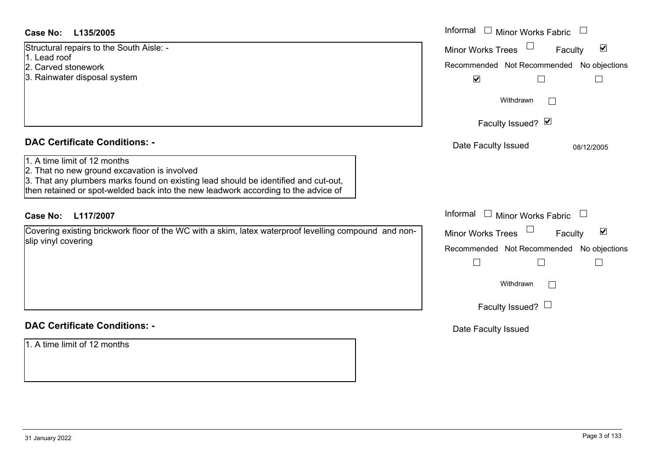| <b>Case No:</b><br>L135/2005                                                                                                                                                                                                                              | Informal □ Minor Works Fabric                               |
|-----------------------------------------------------------------------------------------------------------------------------------------------------------------------------------------------------------------------------------------------------------|-------------------------------------------------------------|
| Structural repairs to the South Aisle: -<br>1. Lead roof                                                                                                                                                                                                  | $\blacktriangledown$<br>Minor Works Trees<br>Faculty        |
| 2. Carved stonework                                                                                                                                                                                                                                       | Recommended Not Recommended No objections                   |
| 3. Rainwater disposal system                                                                                                                                                                                                                              | $\blacktriangledown$                                        |
|                                                                                                                                                                                                                                                           | Withdrawn                                                   |
|                                                                                                                                                                                                                                                           | Faculty Issued? Ø                                           |
| <b>DAC Certificate Conditions: -</b>                                                                                                                                                                                                                      | Date Faculty Issued<br>08/12/2005                           |
| 1. A time limit of 12 months<br>2. That no new ground excavation is involved<br>3. That any plumbers marks found on existing lead should be identified and cut-out,<br>then retained or spot-welded back into the new leadwork according to the advice of |                                                             |
| <b>Case No:</b><br>L117/2007                                                                                                                                                                                                                              | Informal<br>$\Box$ Minor Works Fabric                       |
| Covering existing brickwork floor of the WC with a skim, latex waterproof levelling compound and non-                                                                                                                                                     | $\blacktriangledown$<br><b>Minor Works Trees</b><br>Faculty |
| slip vinyl covering                                                                                                                                                                                                                                       | Recommended Not Recommended No objections                   |
|                                                                                                                                                                                                                                                           |                                                             |
|                                                                                                                                                                                                                                                           | Withdrawn<br>$\Box$                                         |
|                                                                                                                                                                                                                                                           | Faculty Issued? $\Box$                                      |
| <b>DAC Certificate Conditions: -</b>                                                                                                                                                                                                                      | Date Faculty Issued                                         |
| 1. A time limit of 12 months                                                                                                                                                                                                                              |                                                             |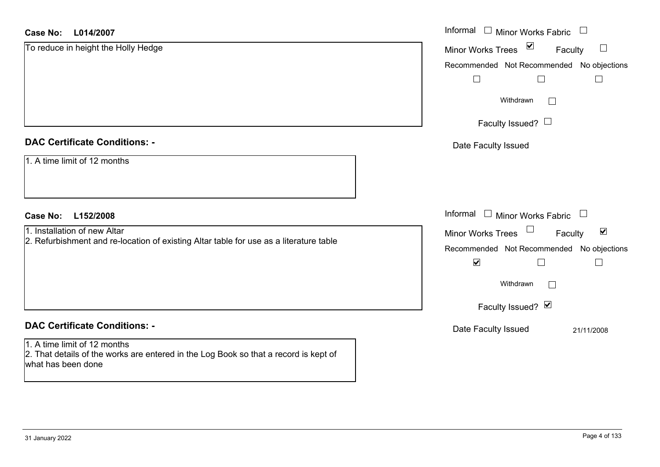#### **L014/2007Case No:**

| $\overline{\mathbf{S}}$<br>To reduce in height the Holly Hedge<br><b>Minor Works Trees</b><br>Faculty<br>Recommended Not Recommended No objections | $\Box$                                |
|----------------------------------------------------------------------------------------------------------------------------------------------------|---------------------------------------|
|                                                                                                                                                    |                                       |
|                                                                                                                                                    |                                       |
| $\Box$<br>$\Box$                                                                                                                                   | $\begin{array}{c} \hline \end{array}$ |
| Withdrawn<br>$\mathbf{I}$                                                                                                                          |                                       |
| Faculty Issued? $\Box$                                                                                                                             |                                       |
| <b>DAC Certificate Conditions: -</b><br>Date Faculty Issued                                                                                        |                                       |
| 1. A time limit of 12 months                                                                                                                       |                                       |
| Informal<br>$\Box$ Minor Works Fabric $\Box$<br><b>Case No:</b><br>L152/2008                                                                       |                                       |
| 1. Installation of new Altar<br>Minor Works Trees<br>Faculty                                                                                       | $\blacktriangledown$                  |
| 2. Refurbishment and re-location of existing Altar table for use as a literature table<br>Recommended Not Recommended No objections                |                                       |
| $\blacktriangledown$                                                                                                                               |                                       |
| Withdrawn<br>$\mathbb{R}^n$                                                                                                                        |                                       |
| Faculty Issued? Ø                                                                                                                                  |                                       |
| <b>DAC Certificate Conditions: -</b><br>Date Faculty Issued                                                                                        | 21/11/2008                            |
| 1. A time limit of 12 months<br>2. That details of the works are entered in the Log Book so that a record is kept of                               |                                       |

what has been done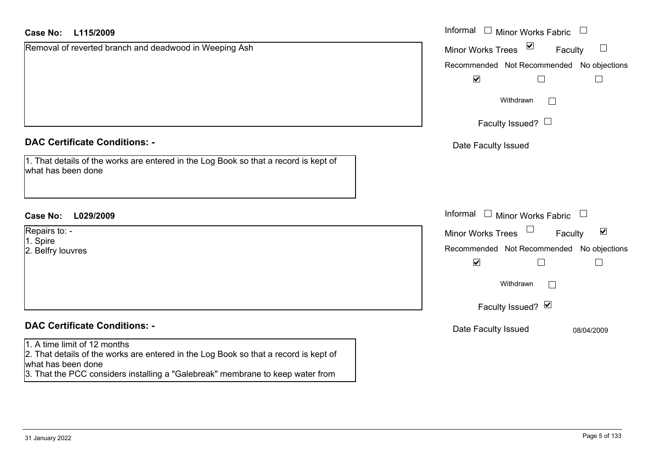| <b>Case No:</b><br>L115/2009                                                                                                                                                                                                 | Informal<br>$\Box$ Minor Works Fabric                            |
|------------------------------------------------------------------------------------------------------------------------------------------------------------------------------------------------------------------------------|------------------------------------------------------------------|
| Removal of reverted branch and deadwood in Weeping Ash                                                                                                                                                                       | $\triangledown$<br><b>Minor Works Trees</b><br>$\Box$<br>Faculty |
|                                                                                                                                                                                                                              | Recommended Not Recommended No objections                        |
|                                                                                                                                                                                                                              | $\blacktriangledown$<br>$\Box$<br>$\Box$                         |
|                                                                                                                                                                                                                              | Withdrawn<br>$\Box$                                              |
|                                                                                                                                                                                                                              | Faculty Issued? $\Box$                                           |
| <b>DAC Certificate Conditions: -</b>                                                                                                                                                                                         | Date Faculty Issued                                              |
| 1. That details of the works are entered in the Log Book so that a record is kept of<br>what has been done                                                                                                                   |                                                                  |
| <b>Case No:</b><br>L029/2009                                                                                                                                                                                                 | Informal<br>$\Box$ Minor Works Fabric                            |
| Repairs to: -                                                                                                                                                                                                                | $\blacktriangledown$<br>Minor Works Trees<br>Faculty             |
| 1. Spire<br>2. Belfry louvres                                                                                                                                                                                                | Recommended Not Recommended No objections                        |
|                                                                                                                                                                                                                              | $\blacktriangledown$<br>$\Box$<br>$\Box$                         |
|                                                                                                                                                                                                                              | Withdrawn                                                        |
|                                                                                                                                                                                                                              | Faculty Issued? Ø                                                |
| <b>DAC Certificate Conditions: -</b>                                                                                                                                                                                         | Date Faculty Issued<br>08/04/2009                                |
| 1. A time limit of 12 months<br>2. That details of the works are entered in the Log Book so that a record is kept of<br>what has been done<br>3. That the PCC considers installing a "Galebreak" membrane to keep water from |                                                                  |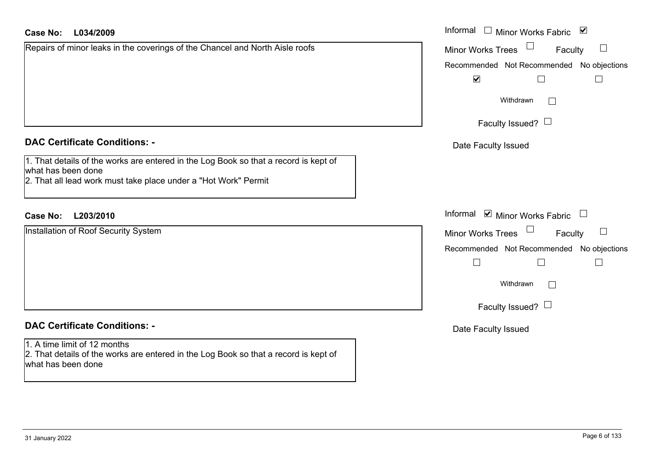| Repairs of minor leaks in the coverings of the Chancel and North Aisle roofs |  |
|------------------------------------------------------------------------------|--|
|                                                                              |  |
|                                                                              |  |
|                                                                              |  |
|                                                                              |  |
|                                                                              |  |

#### **DAC Certificate Conditions: -**

| 1. That details of the works are entered in the Log Book so that a record is kept of |  |  |  |  |
|--------------------------------------------------------------------------------------|--|--|--|--|
| what has been done                                                                   |  |  |  |  |
|                                                                                      |  |  |  |  |

2. That all lead work must take place under a "Hot Work" Permit

### **L203/2010Case No:** Informal

Installation of Roof Security System

#### **DAC Certificate Conditions: -**

#### 1. A time limit of 12 months 2. That details of the works are entered in the Log Book so that a record is kept of what has been done

| L034/2009                                                                   | Informal $\Box$ Minor Works Fabric $\Box$ |
|-----------------------------------------------------------------------------|-------------------------------------------|
| of minor leaks in the coverings of the Chancel and North Aisle roofs        | Minor Works Trees<br>Faculty<br>$\Box$    |
|                                                                             | Recommended Not Recommended No objections |
|                                                                             | $\blacktriangledown$                      |
|                                                                             | Withdrawn                                 |
|                                                                             | Faculty Issued? $\Box$                    |
| rtificate Conditions: -                                                     | Date Faculty Issued                       |
| etails of the works are entered in the Log Book so that a record is kept of |                                           |
| been done<br>Il lead work must take place under a "Hot Work" Permit         |                                           |
| L203/2010                                                                   | Informal <b>⊘</b> Minor Works Fabric      |
| on of Roof Security System                                                  | Minor Works Trees<br>$\Box$<br>Faculty    |
|                                                                             | Recommended Not Recommended No objections |
|                                                                             | $\Box$<br>$\mathsf{L}$                    |
|                                                                             | Withdrawn<br>$\mathbb{R}^n$               |
|                                                                             | Faculty Issued? $\Box$                    |
| rtificate Conditions: -                                                     | Date Faculty Issued                       |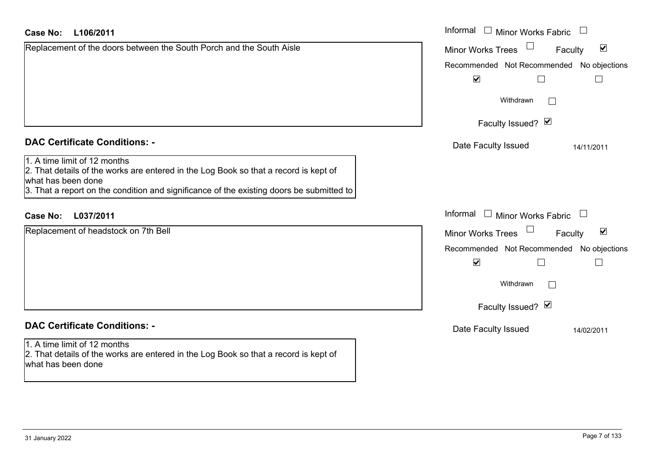| <b>Case No:</b><br>L106/2011                                                                                                                                                                                                           | Informal $\Box$ Minor Works Fabric $\Box$                   |
|----------------------------------------------------------------------------------------------------------------------------------------------------------------------------------------------------------------------------------------|-------------------------------------------------------------|
| Replacement of the doors between the South Porch and the South Aisle                                                                                                                                                                   | $\blacktriangledown$<br><b>Minor Works Trees</b><br>Faculty |
|                                                                                                                                                                                                                                        | Recommended Not Recommended No objections                   |
|                                                                                                                                                                                                                                        | $\blacktriangledown$<br>$\Box$                              |
|                                                                                                                                                                                                                                        | Withdrawn                                                   |
|                                                                                                                                                                                                                                        | Faculty Issued? Ø                                           |
| <b>DAC Certificate Conditions: -</b>                                                                                                                                                                                                   | Date Faculty Issued<br>14/11/2011                           |
| 1. A time limit of 12 months<br>2. That details of the works are entered in the Log Book so that a record is kept of<br>what has been done<br>3. That a report on the condition and significance of the existing doors be submitted to |                                                             |
| L037/2011<br><b>Case No:</b>                                                                                                                                                                                                           | Informal<br>$\Box$ Minor Works Fabric                       |
| Replacement of headstock on 7th Bell                                                                                                                                                                                                   | $\blacktriangledown$<br><b>Minor Works Trees</b><br>Faculty |
|                                                                                                                                                                                                                                        | Recommended Not Recommended No objections                   |
|                                                                                                                                                                                                                                        | $\blacktriangledown$                                        |
|                                                                                                                                                                                                                                        | Withdrawn                                                   |
|                                                                                                                                                                                                                                        | Faculty Issued? Ø                                           |
| <b>DAC Certificate Conditions: -</b>                                                                                                                                                                                                   | Date Faculty Issued<br>14/02/2011                           |
| 1. A time limit of 12 months<br>2. That details of the works are entered in the Log Book so that a record is kept of<br>what has been done                                                                                             |                                                             |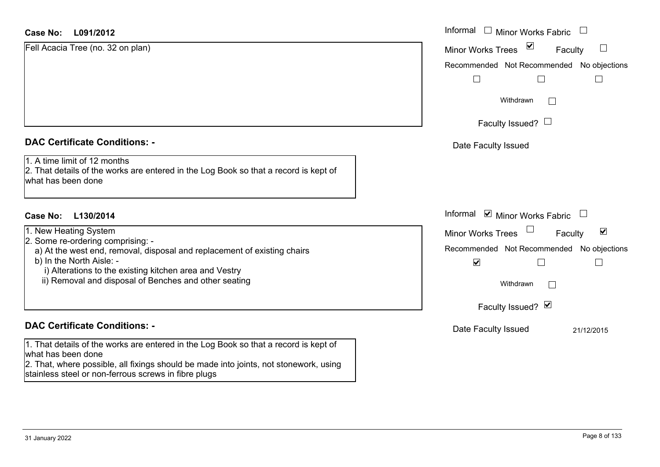| Case No:<br>L091/2012                                                                                                                      | Informal |
|--------------------------------------------------------------------------------------------------------------------------------------------|----------|
| Fell Acacia Tree (no. 32 on plan)                                                                                                          | Minor W  |
|                                                                                                                                            | Recomm   |
|                                                                                                                                            |          |
|                                                                                                                                            |          |
| <b>DAC Certificate Conditions: -</b>                                                                                                       | Date I   |
| 1. A time limit of 12 months<br>2. That details of the works are entered in the Log Book so that a record is kept of<br>what has been done |          |
| Case No:<br>L130/2014                                                                                                                      | Informal |
| 1. New Heating System<br>2. Some re-ordering comprising: -                                                                                 | Minor W  |
| a) At the west end, removal, disposal and replacement of existing chairs<br>b) In the North Aisle: -                                       | Recomm   |
| i) Alterations to the existing kitchen area and Vestry<br>ii) Removal and disposal of Benches and other seating                            |          |
|                                                                                                                                            |          |
|                                                                                                                                            |          |

### **DAC Certificate Conditions: -**

1. That details of the works are entered in the Log Book so that a record is kept of what has been done

2. That, where possible, all fixings should be made into joints, not stonework, using stainless steel or non-ferrous screws in fibre plugs

| Informal<br>$\overline{\phantom{a}}$<br>Minor Works Fabric<br>⊻<br><b>Minor Works Trees</b><br>Faculty<br>Recommended Not Recommended No objections<br>Withdrawn |
|------------------------------------------------------------------------------------------------------------------------------------------------------------------|
| Faculty Issued? $\Box$                                                                                                                                           |
| Date Faculty Issued                                                                                                                                              |
| Informal <b>v</b> Minor Works Fabric                                                                                                                             |
| $\overline{\mathbf{v}}$<br><b>Minor Works Trees</b><br>Faculty                                                                                                   |
| Recommended Not Recommended No objections<br>$\blacktriangledown$                                                                                                |
| Withdrawn                                                                                                                                                        |
| Faculty Issued? Ø                                                                                                                                                |
| Date Faculty Issued<br>21/12/2015                                                                                                                                |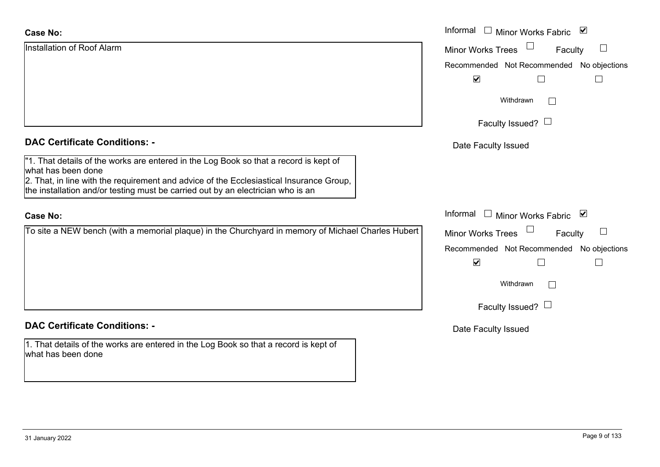| <b>Case No:</b>                                                                                             | Informal □ Minor Works Fabric ⊠               |
|-------------------------------------------------------------------------------------------------------------|-----------------------------------------------|
| Installation of Roof Alarm                                                                                  | $\Box$<br><b>Minor Works Trees</b><br>Faculty |
|                                                                                                             | Recommended Not Recommended No objections     |
|                                                                                                             | $\blacktriangledown$<br>$\Box$                |
|                                                                                                             | Withdrawn<br>$\Box$                           |
|                                                                                                             | Faculty Issued? $\Box$                        |
| <b>DAC Certificate Conditions: -</b>                                                                        | Date Faculty Issued                           |
| "1. That details of the works are entered in the Log Book so that a record is kept of<br>what has been done |                                               |
| 2. That, in line with the requirement and advice of the Ecclesiastical Insurance Group,                     |                                               |
| the installation and/or testing must be carried out by an electrician who is an                             |                                               |
| <b>Case No:</b>                                                                                             | Informal □ Minor Works Fabric ⊠               |
| To site a NEW bench (with a memorial plaque) in the Churchyard in memory of Michael Charles Hubert          | Minor Works Trees<br>Faculty                  |
|                                                                                                             | Recommended Not Recommended No objections     |
|                                                                                                             | $\blacktriangledown$                          |
|                                                                                                             | Withdrawn<br>$\vert \ \ \vert$                |
|                                                                                                             | Faculty Issued? $\Box$                        |
| <b>DAC Certificate Conditions: -</b>                                                                        | Date Faculty Issued                           |
| 1. That details of the works are entered in the Log Book so that a record is kept of<br>what has been done  |                                               |
|                                                                                                             |                                               |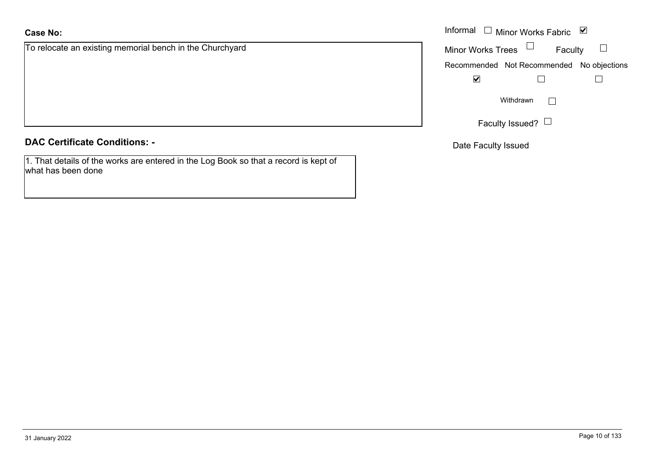To relocate an existing memorial bench in the Churchyard

**DAC Certificate Conditions: -**

1. That details of the works are entered in the Log Book so that a record is kept of what has been done

|                                                 | Informal $\Box$ Minor Works Fabric $\Box$ |  |  |
|-------------------------------------------------|-------------------------------------------|--|--|
| te an existing memorial bench in the Churchyard | Minor Works Trees $\quad \Box$<br>Faculty |  |  |
|                                                 | Recommended Not Recommended No objections |  |  |
|                                                 | ⊻                                         |  |  |
|                                                 | Withdrawn<br>$\mathbf{L}$                 |  |  |
|                                                 | Faculty Issued? L                         |  |  |

Date Faculty Issued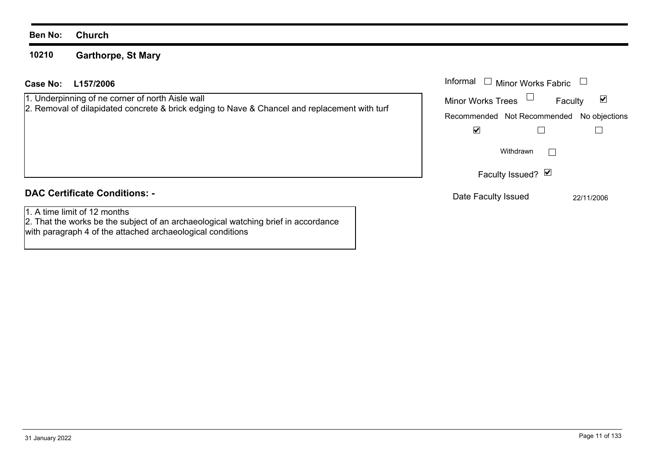#### **Ben No: Church**

#### **10210 Garthorpe, St Mary**

with paragraph 4 of the attached archaeological conditions

| L157/2006<br>Case No:                                                                                                                             | Informal $\square$<br><b>Minor Works Fabric</b>                                            |  |  |
|---------------------------------------------------------------------------------------------------------------------------------------------------|--------------------------------------------------------------------------------------------|--|--|
| 1. Underpinning of ne corner of north Aisle wall<br>2. Removal of dilapidated concrete & brick edging to Nave & Chancel and replacement with turf | ☑<br><b>Minor Works Trees</b><br>Faculty<br>Recommended Not Recommended No objections<br>V |  |  |
|                                                                                                                                                   | Withdrawn<br>Faculty Issued? Ø                                                             |  |  |
| <b>DAC Certificate Conditions: -</b>                                                                                                              | Date Faculty Issued<br>22/11/2006                                                          |  |  |
| 1. A time limit of 12 months<br>2. That the works be the subject of an archaeological watching brief in accordance                                |                                                                                            |  |  |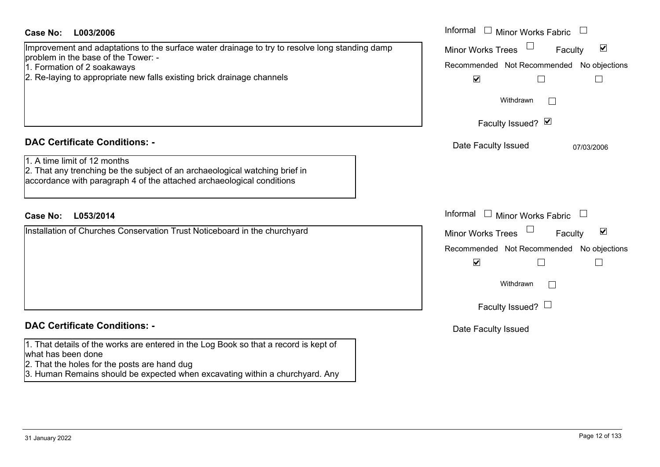| Case No:<br>L003/2006                                                                                                                                                                                                                          | Informal $\Box$ Minor Works Fabric $\Box$                                                                                                                                                   |
|------------------------------------------------------------------------------------------------------------------------------------------------------------------------------------------------------------------------------------------------|---------------------------------------------------------------------------------------------------------------------------------------------------------------------------------------------|
| Improvement and adaptations to the surface water drainage to try to resolve long standing damp<br>problem in the base of the Tower: -<br>1. Formation of 2 soakaways<br>2. Re-laying to appropriate new falls existing brick drainage channels | $\blacktriangledown$<br><b>Minor Works Trees</b><br>Faculty<br>Recommended Not Recommended No objections<br>$\blacktriangledown$<br>$\Box$<br>$\Box$                                        |
|                                                                                                                                                                                                                                                | Withdrawn                                                                                                                                                                                   |
|                                                                                                                                                                                                                                                | Faculty Issued? Ø                                                                                                                                                                           |
| <b>DAC Certificate Conditions: -</b>                                                                                                                                                                                                           | Date Faculty Issued<br>07/03/2006                                                                                                                                                           |
| 1. A time limit of 12 months<br>2. That any trenching be the subject of an archaeological watching brief in<br>accordance with paragraph 4 of the attached archaeological conditions                                                           |                                                                                                                                                                                             |
| <b>Case No:</b><br>L053/2014                                                                                                                                                                                                                   | Informal $\Box$ Minor Works Fabric $\Box$                                                                                                                                                   |
| Installation of Churches Conservation Trust Noticeboard in the churchyard                                                                                                                                                                      | $\blacktriangledown$<br><b>Minor Works Trees</b><br>Faculty<br>Recommended Not Recommended No objections<br>$\blacktriangledown$<br>$\Box$<br>$\Box$<br>Withdrawn<br>Faculty Issued? $\Box$ |
| <b>DAC Certificate Conditions: -</b>                                                                                                                                                                                                           | Date Faculty Issued                                                                                                                                                                         |
| 1. That details of the works are entered in the Log Book so that a record is kept of<br>what has been done<br>2. That the holes for the posts are hand dug<br>3. Human Remains should be expected when excavating within a churchyard. Any     |                                                                                                                                                                                             |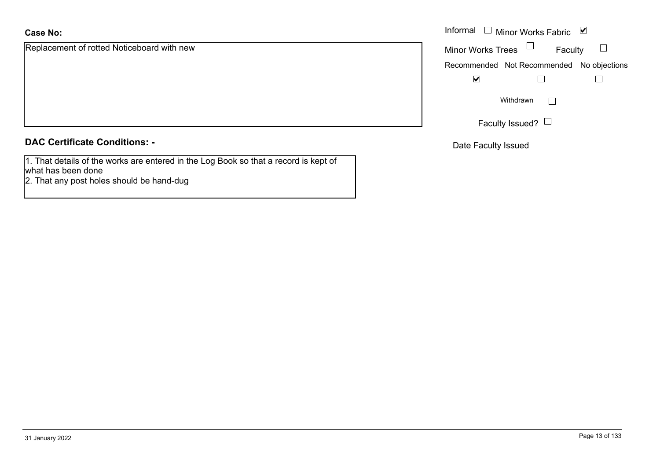### **Case No:**

Replacement of rotted Noticeboard with new

### **DAC Certificate Conditions: -**

1. That details of the works are entered in the Log Book so that a record is kept of what has been done

2. That any post holes should be hand-dug

|                                     | Informal $\Box$ Minor Works Fabric $\Box$ |  |  |
|-------------------------------------|-------------------------------------------|--|--|
| nent of rotted Noticeboard with new | Minor Works Trees<br>Faculty              |  |  |
|                                     | Recommended Not Recommended No objections |  |  |
|                                     | ⊻                                         |  |  |
|                                     | Withdrawn                                 |  |  |
|                                     | Faculty Issued?                           |  |  |

Date Faculty Issued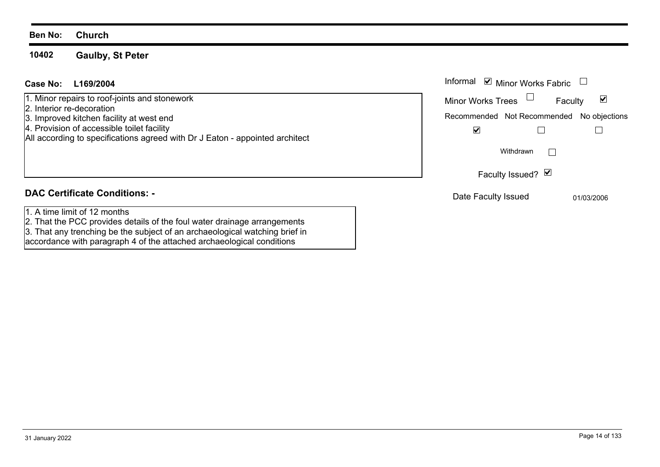#### **Ben No: Church**

#### **10402Gaulby, St Peter**

### **L169/2004Case No:** Informal

1. Minor repairs to roof-joints and stonework

- 2. Interior re-decoration
- 3. Improved kitchen facility at west end
- 4. Provision of accessible toilet facility

All according to specifications agreed with Dr J Eaton - appointed architect

### **DAC Certificate Conditions: -**

- 1. A time limit of 12 months
- 2. That the PCC provides details of the foul water drainage arrangements
- 3. That any trenching be the subject of an archaeological watching brief in

accordance with paragraph 4 of the attached archaeological conditions

| Informal                                  | $\triangleright$ Minor Works Fabric |         |            |
|-------------------------------------------|-------------------------------------|---------|------------|
| <b>Minor Works Trees</b>                  |                                     | Faculty |            |
| Recommended Not Recommended No objections |                                     |         |            |
|                                           |                                     |         |            |
|                                           | Withdrawn                           |         |            |
|                                           | Faculty Issued? Ø                   |         |            |
| Date Faculty Issued                       |                                     |         | 01/03/2006 |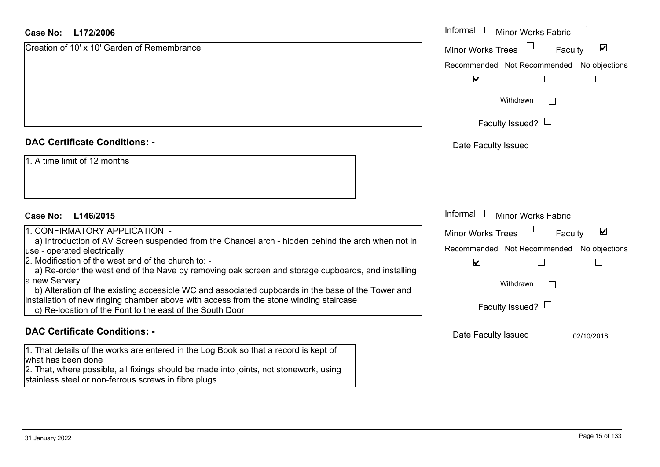#### **L172/2006Case No:**

| <b>Case No:</b><br>L172/2006                                                                                                                                                                        | Informal $\Box$ Minor Works Fabric $\Box$                   |
|-----------------------------------------------------------------------------------------------------------------------------------------------------------------------------------------------------|-------------------------------------------------------------|
| Creation of 10' x 10' Garden of Remembrance                                                                                                                                                         | $\blacktriangledown$<br><b>Minor Works Trees</b><br>Faculty |
|                                                                                                                                                                                                     | Recommended Not Recommended No objections                   |
|                                                                                                                                                                                                     | $\blacktriangledown$                                        |
|                                                                                                                                                                                                     | Withdrawn<br>$\mathbb{R}^n$                                 |
|                                                                                                                                                                                                     | Faculty Issued? $\Box$                                      |
| <b>DAC Certificate Conditions: -</b>                                                                                                                                                                | Date Faculty Issued                                         |
| 1. A time limit of 12 months                                                                                                                                                                        |                                                             |
| <b>Case No:</b><br>L146/2015                                                                                                                                                                        | Informal<br>$\Box$ Minor Works Fabric $\Box$                |
| 1. CONFIRMATORY APPLICATION: -                                                                                                                                                                      | $\blacktriangledown$<br><b>Minor Works Trees</b><br>Faculty |
| a) Introduction of AV Screen suspended from the Chancel arch - hidden behind the arch when not in<br>use - operated electrically                                                                    | Recommended Not Recommended No objections                   |
| 2. Modification of the west end of the church to: -<br>a) Re-order the west end of the Nave by removing oak screen and storage cupboards, and installing                                            | $\blacktriangledown$                                        |
| a new Servery<br>b) Alteration of the existing accessible WC and associated cupboards in the base of the Tower and                                                                                  | Withdrawn<br>$\mathbb{R}^n$                                 |
| installation of new ringing chamber above with access from the stone winding staircase<br>c) Re-location of the Font to the east of the South Door                                                  | Faculty Issued? $\Box$                                      |
| <b>DAC Certificate Conditions: -</b>                                                                                                                                                                | Date Faculty Issued<br>02/10/2018                           |
| 1. That details of the works are entered in the Log Book so that a record is kept of<br>what has been done<br>2. That, where possible, all fixings should be made into joints, not stonework, using |                                                             |

stainless steel or non-ferrous screws in fibre plugs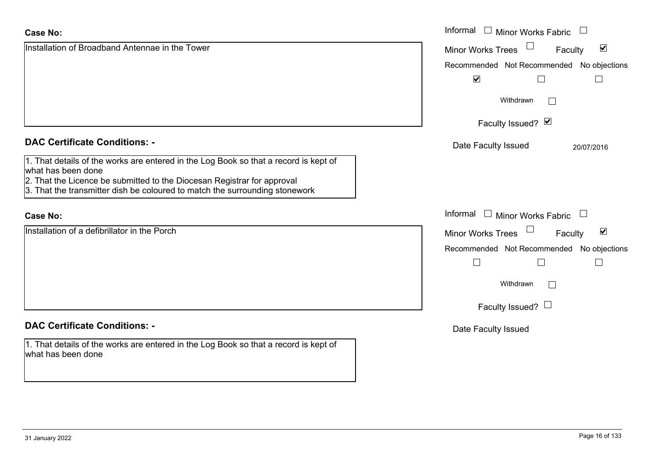| <b>Case No:</b>                                                                                            | Informal □ Minor Works Fabric                                   |  |  |
|------------------------------------------------------------------------------------------------------------|-----------------------------------------------------------------|--|--|
| Installation of Broadband Antennae in the Tower                                                            | $\blacktriangledown$<br><b>Minor Works Trees</b><br>Faculty     |  |  |
|                                                                                                            | Recommended Not Recommended No objections                       |  |  |
|                                                                                                            | $\blacktriangledown$                                            |  |  |
|                                                                                                            | Withdrawn                                                       |  |  |
|                                                                                                            | Faculty Issued? Ø                                               |  |  |
| <b>DAC Certificate Conditions: -</b>                                                                       | Date Faculty Issued<br>20/07/2016                               |  |  |
| 1. That details of the works are entered in the Log Book so that a record is kept of<br>what has been done |                                                                 |  |  |
| 2. That the Licence be submitted to the Diocesan Registrar for approval                                    |                                                                 |  |  |
| 3. That the transmitter dish be coloured to match the surrounding stonework                                |                                                                 |  |  |
| <b>Case No:</b>                                                                                            | Informal<br>$\mathbf{1}$<br>Minor Works Fabric<br>$\mathcal{L}$ |  |  |
| Installation of a defibrillator in the Porch                                                               | $\blacktriangledown$<br><b>Minor Works Trees</b><br>Faculty     |  |  |
|                                                                                                            | Recommended Not Recommended No objections                       |  |  |
|                                                                                                            | $\Box$                                                          |  |  |
|                                                                                                            | Withdrawn                                                       |  |  |
|                                                                                                            | Faculty Issued? $\Box$                                          |  |  |
| <b>DAC Certificate Conditions: -</b>                                                                       | Date Faculty Issued                                             |  |  |
| 1. That details of the works are entered in the Log Book so that a record is kept of<br>what has been done |                                                                 |  |  |
|                                                                                                            |                                                                 |  |  |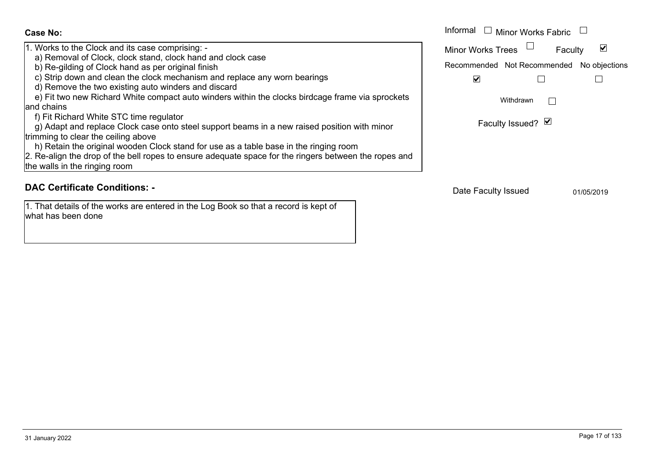| Case No:                                                                                                                                                                                                                     | Informal $\Box$ Minor Works Fabric                                               |            |  |
|------------------------------------------------------------------------------------------------------------------------------------------------------------------------------------------------------------------------------|----------------------------------------------------------------------------------|------------|--|
| 1. Works to the Clock and its case comprising: -<br>a) Removal of Clock, clock stand, clock hand and clock case<br>b) Re-gilding of Clock hand as per original finish                                                        | Minor Works Trees $\Box$<br>Faculty<br>Recommended Not Recommended No objections | ☑          |  |
| c) Strip down and clean the clock mechanism and replace any worn bearings<br>d) Remove the two existing auto winders and discard                                                                                             | $\blacktriangledown$                                                             |            |  |
| e) Fit two new Richard White compact auto winders within the clocks birdcage frame via sprockets<br>land chains<br>f) Fit Richard White STC time regulator                                                                   | Withdrawn<br>Faculty Issued? ⊠                                                   |            |  |
| g) Adapt and replace Clock case onto steel support beams in a new raised position with minor<br>trimming to clear the ceiling above<br>h) Retain the original wooden Clock stand for use as a table base in the ringing room |                                                                                  |            |  |
| 2. Re-align the drop of the bell ropes to ensure adequate space for the ringers between the ropes and<br>the walls in the ringing room                                                                                       |                                                                                  |            |  |
| <b>DAC Certificate Conditions: -</b>                                                                                                                                                                                         | Date Faculty Issued                                                              | 01/05/2019 |  |

1. That details of the works are entered in the Log Book so that a record is kept of

what has been done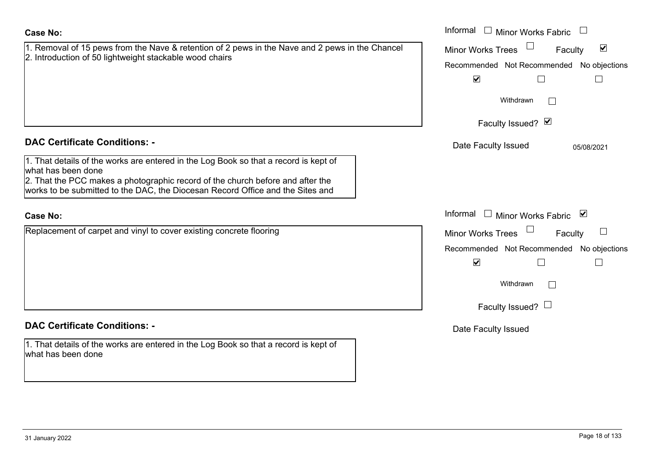| <b>Case No:</b>                                                                                                                                                                                                                                                                | Informal $\Box$ Minor Works Fabric $\Box$                                                                                                                |  |  |
|--------------------------------------------------------------------------------------------------------------------------------------------------------------------------------------------------------------------------------------------------------------------------------|----------------------------------------------------------------------------------------------------------------------------------------------------------|--|--|
| 1. Removal of 15 pews from the Nave & retention of 2 pews in the Nave and 2 pews in the Chancel<br>2. Introduction of 50 lightweight stackable wood chairs                                                                                                                     | $\blacktriangledown$<br><b>Minor Works Trees</b><br>Faculty<br>Recommended Not Recommended No objections<br>$\blacktriangledown$                         |  |  |
|                                                                                                                                                                                                                                                                                | Withdrawn<br>Faculty Issued? Ø                                                                                                                           |  |  |
| <b>DAC Certificate Conditions: -</b>                                                                                                                                                                                                                                           | Date Faculty Issued<br>05/08/2021                                                                                                                        |  |  |
| 1. That details of the works are entered in the Log Book so that a record is kept of<br>what has been done<br>2. That the PCC makes a photographic record of the church before and after the<br>works to be submitted to the DAC, the Diocesan Record Office and the Sites and |                                                                                                                                                          |  |  |
| <b>Case No:</b>                                                                                                                                                                                                                                                                | Informal $\Box$ Minor Works Fabric $\Box$                                                                                                                |  |  |
| Replacement of carpet and vinyl to cover existing concrete flooring                                                                                                                                                                                                            | Minor Works Trees<br>$\mathbf{L}$<br>Faculty<br>Recommended Not Recommended No objections<br>$\blacktriangledown$<br>Withdrawn<br>Faculty Issued? $\Box$ |  |  |
| <b>DAC Certificate Conditions: -</b>                                                                                                                                                                                                                                           | Date Faculty Issued                                                                                                                                      |  |  |
| 1. That details of the works are entered in the Log Book so that a record is kept of<br>what has been done                                                                                                                                                                     |                                                                                                                                                          |  |  |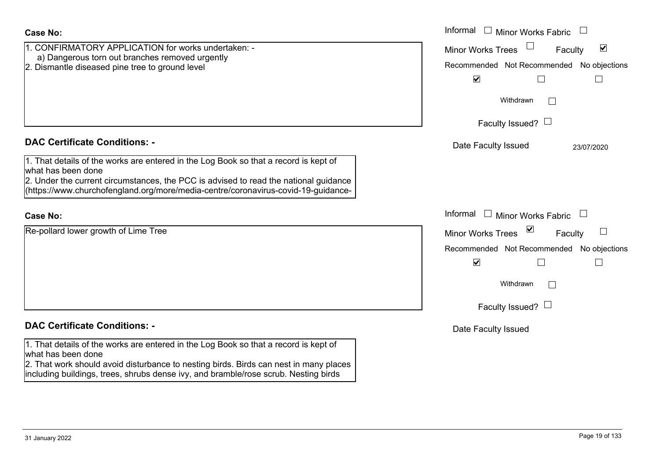| Case No:                                                                                                                                                                     | Informal<br>$\Box$ Minor Works Fabric<br>$\overline{\phantom{a}}$ |
|------------------------------------------------------------------------------------------------------------------------------------------------------------------------------|-------------------------------------------------------------------|
| 1. CONFIRMATORY APPLICATION for works undertaken: -<br>a) Dangerous torn out branches removed urgently                                                                       | $\blacktriangledown$<br><b>Minor Works Trees</b><br>Faculty       |
| 2. Dismantle diseased pine tree to ground level                                                                                                                              | Recommended Not Recommended No objections                         |
|                                                                                                                                                                              | $\blacktriangledown$<br>$\Box$                                    |
|                                                                                                                                                                              | Withdrawn                                                         |
|                                                                                                                                                                              | Faculty Issued? $\Box$                                            |
| <b>DAC Certificate Conditions: -</b>                                                                                                                                         | Date Faculty Issued<br>23/07/2020                                 |
| 1. That details of the works are entered in the Log Book so that a record is kept of<br>what has been done                                                                   |                                                                   |
| 2. Under the current circumstances, the PCC is advised to read the national guidance<br>(https://www.churchofengland.org/more/media-centre/coronavirus-covid-19-guidance-    |                                                                   |
|                                                                                                                                                                              |                                                                   |
| <b>Case No:</b>                                                                                                                                                              | Informal<br>$\Box$ Minor Works Fabric<br>$\overline{\phantom{a}}$ |
| Re-pollard lower growth of Lime Tree                                                                                                                                         | ⊻<br><b>Minor Works Trees</b><br>Faculty                          |
|                                                                                                                                                                              | Recommended Not Recommended No objections                         |
|                                                                                                                                                                              | $\blacktriangledown$                                              |
|                                                                                                                                                                              | Withdrawn                                                         |
|                                                                                                                                                                              | Faculty Issued? $\Box$                                            |
| <b>DAC Certificate Conditions: -</b>                                                                                                                                         | Date Faculty Issued                                               |
| 1. That details of the works are entered in the Log Book so that a record is kept of<br>what has been done                                                                   |                                                                   |
| 2. That work should avoid disturbance to nesting birds. Birds can nest in many places<br>including buildings, trees, shrubs dense ivy, and bramble/rose scrub. Nesting birds |                                                                   |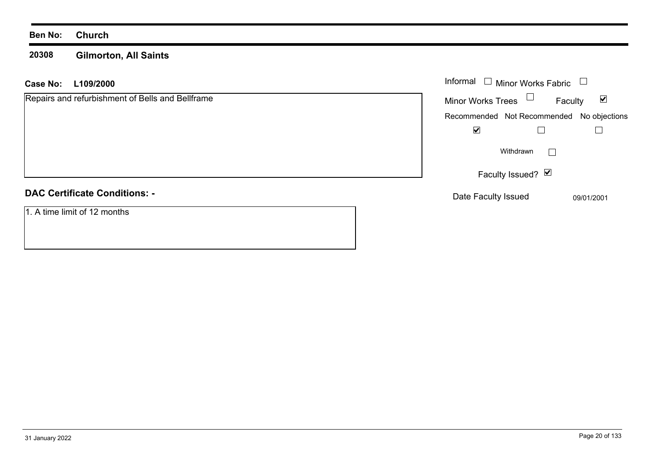#### **Ben No: Church**

#### **20308 Gilmorton, All Saints**

#### **L109/2000 Case No:** Informal

| Repairs and refurbishment of Bells and Bellframe | <b>Minor Works Trees</b> | $\blacktriangledown$<br>Faculty           |
|--------------------------------------------------|--------------------------|-------------------------------------------|
|                                                  |                          | Recommended Not Recommended No objections |
|                                                  | ☑                        |                                           |
|                                                  | Withdrawn                |                                           |
|                                                  | Faculty Issued? Ø        |                                           |
| <b>DAC Certificate Conditions: -</b>             | Date Faculty Issued      | 09/01/2001                                |
| 1. A time limit of 12 months                     |                          |                                           |

Minor Works Fabric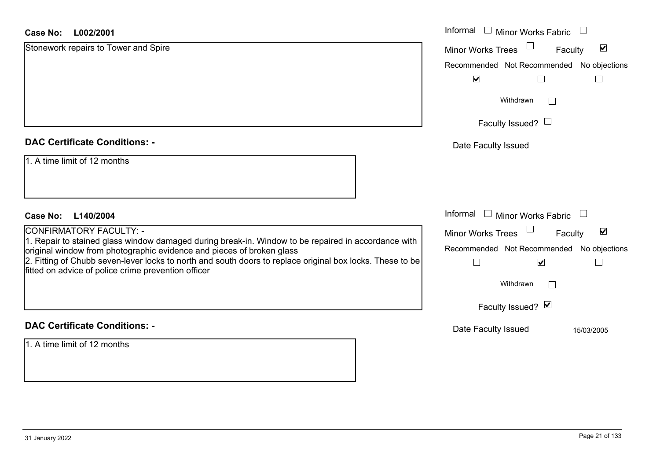#### **L002/2001Case No:**

| <b>Case No:</b><br>L002/2001                                                                                                                                                 | Informal □ Minor Works Fabric                               |
|------------------------------------------------------------------------------------------------------------------------------------------------------------------------------|-------------------------------------------------------------|
| Stonework repairs to Tower and Spire                                                                                                                                         | $\blacktriangledown$<br><b>Minor Works Trees</b><br>Faculty |
|                                                                                                                                                                              | Recommended Not Recommended No objections                   |
|                                                                                                                                                                              | $\blacktriangledown$<br>$\Box$                              |
|                                                                                                                                                                              | Withdrawn                                                   |
|                                                                                                                                                                              | Faculty Issued? $\Box$                                      |
| <b>DAC Certificate Conditions: -</b>                                                                                                                                         | Date Faculty Issued                                         |
| 1. A time limit of 12 months                                                                                                                                                 |                                                             |
| L140/2004<br>Case No:                                                                                                                                                        | Informal $\Box$ Minor Works Fabric                          |
| CONFIRMATORY FACULTY: -                                                                                                                                                      | $\blacktriangledown$<br>Minor Works Trees<br>Faculty        |
| 1. Repair to stained glass window damaged during break-in. Window to be repaired in accordance with<br>original window from photographic evidence and pieces of broken glass | Recommended Not Recommended No objections                   |
| 2. Fitting of Chubb seven-lever locks to north and south doors to replace original box locks. These to be<br>fitted on advice of police crime prevention officer             | $\blacktriangledown$                                        |
|                                                                                                                                                                              | Withdrawn                                                   |
|                                                                                                                                                                              | Faculty Issued? Ø                                           |
| <b>DAC Certificate Conditions: -</b>                                                                                                                                         | Date Faculty Issued<br>15/03/2005                           |
| 1. A time limit of 12 months                                                                                                                                                 |                                                             |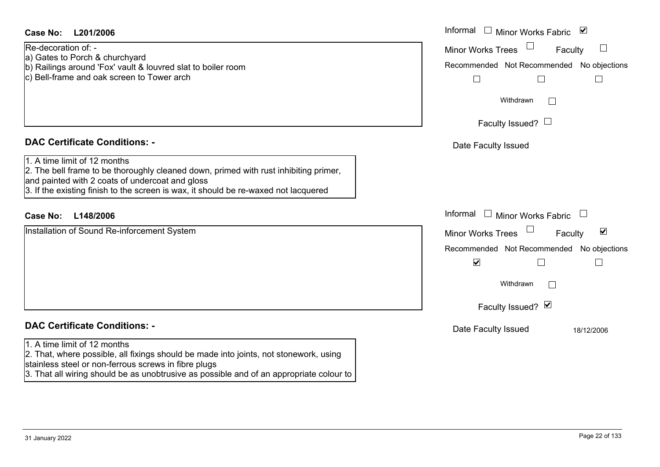### **L201/2006Case No:** Informal

Re-decoration of: -

- a) Gates to Porch & churchyard
- b) Railings around 'Fox' vault & louvred slat to boiler room
- c) Bell-frame and oak screen to Tower arch

#### **DAC Certificate Conditions: -**

- 1. A time limit of 12 months
- 2. The bell frame to be thoroughly cleaned down, primed with rust inhibiting primer,
- and painted with 2 coats of undercoat and gloss
- 3. If the existing finish to the screen is wax, it should be re-waxed not lacquered

### **L148/2006Case No:** Informal

Installation of Sound Re-inforcement System

### **DAC Certificate Conditions: -**

#### 1. A time limit of 12 months

- 2. That, where possible, all fixings should be made into joints, not stonework, using stainless steel or non-ferrous screws in fibre plugs
- 3. That all wiring should be as unobtrusive as possible and of an appropriate colour to

| Informal<br>$\overline{\mathbf{v}}$<br>Minor Works Fabric         |
|-------------------------------------------------------------------|
| <b>Minor Works Trees</b><br>Faculty                               |
| Recommended Not Recommended No objections                         |
| Withdrawn                                                         |
| Faculty Issued? $\Box$                                            |
| Date Faculty Issued                                               |
|                                                                   |
| Informal<br>$\overline{\phantom{a}}$<br>Minor Works Fabric        |
| ⊻<br><b>Minor Works Trees</b><br>Faculty                          |
| Recommended Not Recommended No objections<br>$\blacktriangledown$ |
| Withdrawn                                                         |
| Faculty Issued? Ø                                                 |
| Date Faculty Issued<br>18/12/2006                                 |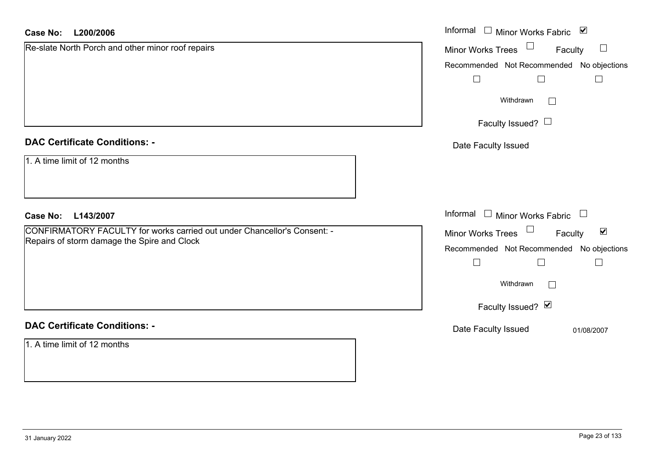#### **L200/2006Case No:**

| L200/2006<br><b>Case No:</b>                                             | Informal<br>$\blacktriangledown$<br>Minor Works Fabric |
|--------------------------------------------------------------------------|--------------------------------------------------------|
| Re-slate North Porch and other minor roof repairs                        | $\Box$<br><b>Minor Works Trees</b><br>Faculty          |
|                                                                          | Recommended Not Recommended No objections              |
|                                                                          | $\Box$<br>$\Box$                                       |
|                                                                          | Withdrawn                                              |
|                                                                          | Faculty Issued? $\Box$                                 |
| <b>DAC Certificate Conditions: -</b>                                     | Date Faculty Issued                                    |
| 1. A time limit of 12 months                                             |                                                        |
| <b>Case No:</b><br>L143/2007                                             | Informal $\Box$ Minor Works Fabric $\Box$              |
| CONFIRMATORY FACULTY for works carried out under Chancellor's Consent: - | $\blacktriangledown$<br>Minor Works Trees<br>Faculty   |
| Repairs of storm damage the Spire and Clock                              | Recommended Not Recommended<br>No objections           |
|                                                                          | $\vert \ \ \vert$                                      |
|                                                                          | Withdrawn                                              |
|                                                                          | Faculty Issued? Ø                                      |
| <b>DAC Certificate Conditions: -</b>                                     | Date Faculty Issued<br>01/08/2007                      |
| 1. A time limit of 12 months                                             |                                                        |
|                                                                          |                                                        |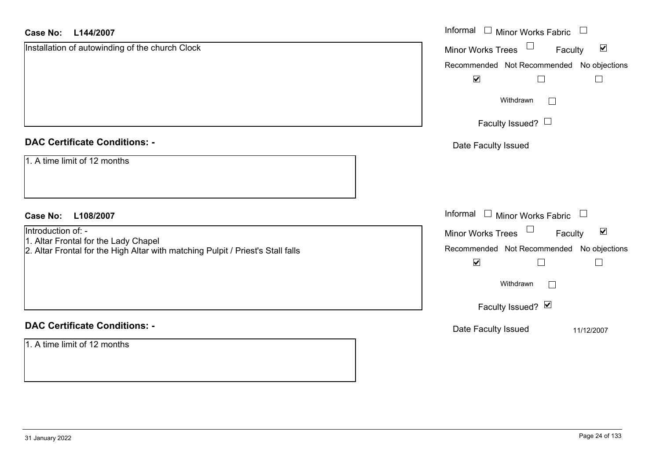#### **L144/2007Case No:**

| <b>Case No:</b><br>L144/2007                                                                                            | Informal □ Minor Works Fabric<br>$\overline{\phantom{a}}$             |
|-------------------------------------------------------------------------------------------------------------------------|-----------------------------------------------------------------------|
| Installation of autowinding of the church Clock                                                                         | $\Box$<br>$\blacktriangledown$<br>Minor Works Trees<br>Faculty        |
|                                                                                                                         | Recommended Not Recommended No objections                             |
|                                                                                                                         | $\blacktriangledown$<br>$\Box$                                        |
|                                                                                                                         | Withdrawn<br>$\Box$                                                   |
|                                                                                                                         | Faculty Issued? $\Box$                                                |
| <b>DAC Certificate Conditions: -</b>                                                                                    | Date Faculty Issued                                                   |
| 1. A time limit of 12 months                                                                                            |                                                                       |
| <b>Case No:</b><br>L108/2007                                                                                            | Informal<br>$\Box$ Minor Works Fabric $\Box$                          |
| Introduction of: -                                                                                                      | $\Box$<br>$\blacktriangledown$<br><b>Minor Works Trees</b><br>Faculty |
| 1. Altar Frontal for the Lady Chapel<br>2. Altar Frontal for the High Altar with matching Pulpit / Priest's Stall falls | Recommended Not Recommended No objections                             |
|                                                                                                                         | $\blacktriangledown$<br>L                                             |
|                                                                                                                         | Withdrawn<br>$\Box$                                                   |
|                                                                                                                         | Faculty Issued? Ø                                                     |
| <b>DAC Certificate Conditions: -</b>                                                                                    | Date Faculty Issued<br>11/12/2007                                     |
| 1. A time limit of 12 months                                                                                            |                                                                       |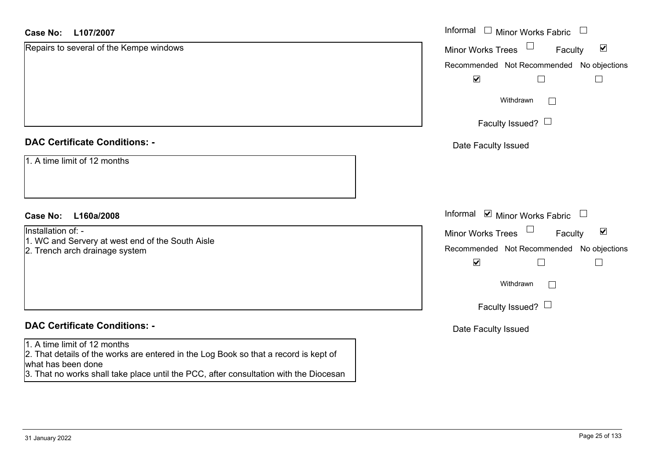#### **L107/2007Case No:**

| L107/2007<br>Case No:                                                                                                                                                                                                               | Informal □ Minor Works Fabric □                                       |
|-------------------------------------------------------------------------------------------------------------------------------------------------------------------------------------------------------------------------------------|-----------------------------------------------------------------------|
| Repairs to several of the Kempe windows                                                                                                                                                                                             | $\Box$<br>$\blacktriangleright$<br>Minor Works Trees<br>Faculty       |
|                                                                                                                                                                                                                                     | Recommended Not Recommended No objections                             |
|                                                                                                                                                                                                                                     | $\blacktriangledown$<br>$\perp$                                       |
|                                                                                                                                                                                                                                     | Withdrawn<br>$\mathbf{L}$                                             |
|                                                                                                                                                                                                                                     | Faculty Issued? $\Box$                                                |
| <b>DAC Certificate Conditions: -</b>                                                                                                                                                                                                | Date Faculty Issued                                                   |
| 1. A time limit of 12 months                                                                                                                                                                                                        |                                                                       |
| L160a/2008<br><b>Case No:</b>                                                                                                                                                                                                       | Informal $\blacksquare$ Minor Works Fabric $\blacksquare$             |
| Installation of: -                                                                                                                                                                                                                  | $\Box$<br>$\blacktriangledown$<br><b>Minor Works Trees</b><br>Faculty |
| 1. WC and Servery at west end of the South Aisle<br>2. Trench arch drainage system                                                                                                                                                  | Recommended Not Recommended No objections                             |
|                                                                                                                                                                                                                                     | $\blacktriangledown$                                                  |
|                                                                                                                                                                                                                                     | Withdrawn<br>$\vert \hspace{.06cm} \vert$                             |
|                                                                                                                                                                                                                                     | Faculty Issued? $\Box$                                                |
| <b>DAC Certificate Conditions: -</b>                                                                                                                                                                                                | Date Faculty Issued                                                   |
| 1. A time limit of 12 months<br>2. That details of the works are entered in the Log Book so that a record is kept of<br>what has been done<br>3. That no works shall take place until the PCC, after consultation with the Diocesan |                                                                       |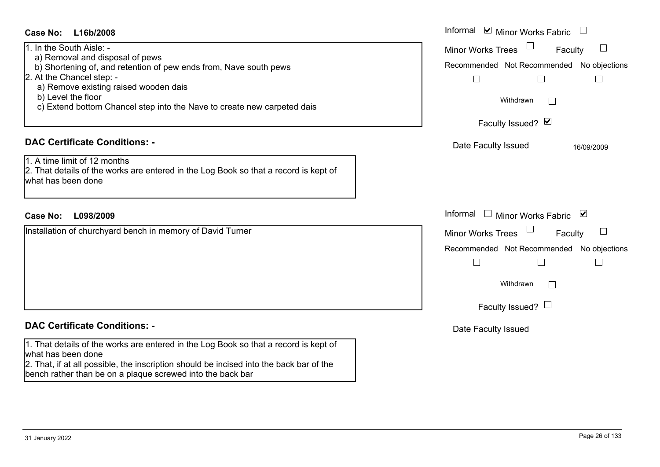| Case No:<br>L16b/2008                                                                                                                                               | Informal Ø Minor Works Fabric U                                                            |
|---------------------------------------------------------------------------------------------------------------------------------------------------------------------|--------------------------------------------------------------------------------------------|
| 1. In the South Aisle: -<br>a) Removal and disposal of pews<br>b) Shortening of, and retention of pew ends from, Nave south pews                                    | <b>Minor Works Trees</b><br>$\Box$<br>Faculty<br>Recommended Not Recommended No objections |
| 2. At the Chancel step: -<br>a) Remove existing raised wooden dais<br>b) Level the floor<br>c) Extend bottom Chancel step into the Nave to create new carpeted dais | $\Box$<br>$\Box$<br>$\Box$<br>Withdrawn<br>$\sim$                                          |
|                                                                                                                                                                     | Faculty Issued? Ø                                                                          |
| <b>DAC Certificate Conditions: -</b><br>1. A time limit of 12 months                                                                                                | Date Faculty Issued<br>16/09/2009                                                          |
| 2. That details of the works are entered in the Log Book so that a record is kept of<br>what has been done                                                          |                                                                                            |
|                                                                                                                                                                     |                                                                                            |
| <b>Case No:</b><br>L098/2009                                                                                                                                        | Informal $\Box$ Minor Works Fabric $\Box$                                                  |
| Installation of churchyard bench in memory of David Turner                                                                                                          | $\Box$<br><b>Minor Works Trees</b><br>Faculty                                              |
|                                                                                                                                                                     | Recommended Not Recommended No objections                                                  |
|                                                                                                                                                                     | $\Box$<br>П<br>$\overline{\phantom{a}}$                                                    |
|                                                                                                                                                                     | Withdrawn<br>$\mathbb{R}^n$                                                                |
|                                                                                                                                                                     | Faculty Issued? $\Box$                                                                     |
| <b>DAC Certificate Conditions: -</b>                                                                                                                                | Date Faculty Issued                                                                        |
| 1. That details of the works are entered in the Log Book so that a record is kept of<br>what has been done                                                          |                                                                                            |
| 2. That, if at all possible, the inscription should be incised into the back bar of the<br>bench rather than be on a plaque screwed into the back bar               |                                                                                            |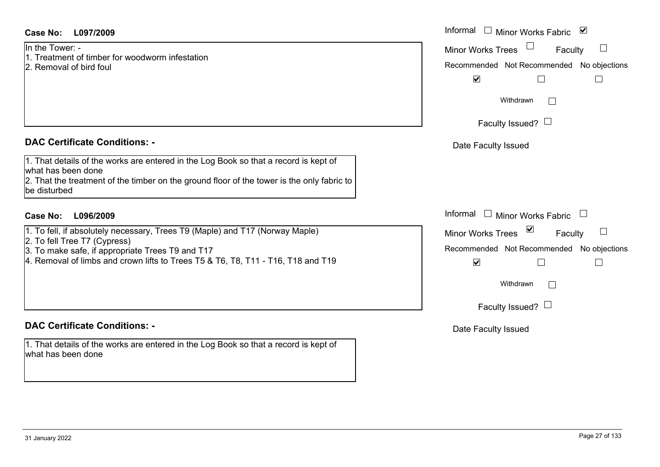31 January 2022 Page 27 of 133

#### **L097/2009Case No:** Informal

In the Tower: -

- 1. Treatment of timber for woodworm infestation
- 2. Removal of bird foul

### **DAC Certificate Conditions: -**

1. That details of the works are entered in the Log Book so that a record is kept of what has been done 2. That the treatment of the timber on the ground floor of the tower is the only fabric to be disturbed

### **L096/2009Case No:** Informal

1. To fell, if absolutely necessary, Trees T9 (Maple) and T17 (Norway Maple)

2. To fell Tree T7 (Cypress)

3. To make safe, if appropriate Trees T9 and T17

4. Removal of limbs and crown lifts to Trees T5 & T6, T8, T11 - T16, T18 and T19

### **DAC Certificate Conditions: -**

1. That details of the works are entered in the Log Book so that a record is kept of what has been done

| Informal<br>Minor Works Fabric $\blacksquare$ |
|-----------------------------------------------|
| <b>Minor Works Trees</b><br>Faculty           |
| Recommended Not Recommended No objections     |
| $\blacktriangledown$                          |
| Withdrawn                                     |
| Faculty Issued? $\Box$                        |
| Date Faculty Issued                           |
|                                               |
|                                               |
|                                               |
| Informal<br>Minor Works Fabric                |
| ⊻<br><b>Minor Works Trees</b><br>Faculty      |
| Recommended Not Recommended No objections     |
| V                                             |
| Withdrawn                                     |
|                                               |
| Faculty Issued? $\Box$                        |
| Date Faculty Issued                           |
|                                               |
|                                               |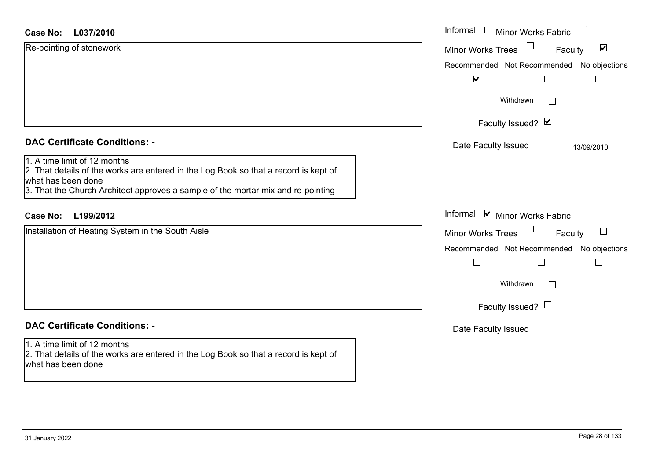#### **L037/2010Case No:**

| <b>Case No:</b><br>L037/2010                                                                                                                                                                                                   | Informal □ Minor Works Fabric<br>$\Box$                     |
|--------------------------------------------------------------------------------------------------------------------------------------------------------------------------------------------------------------------------------|-------------------------------------------------------------|
| Re-pointing of stonework                                                                                                                                                                                                       | $\blacktriangledown$<br><b>Minor Works Trees</b><br>Faculty |
|                                                                                                                                                                                                                                | Recommended Not Recommended No objections                   |
|                                                                                                                                                                                                                                | $\blacktriangledown$                                        |
|                                                                                                                                                                                                                                | Withdrawn<br>$\sim$                                         |
|                                                                                                                                                                                                                                | Faculty Issued? $\vee$                                      |
| <b>DAC Certificate Conditions: -</b>                                                                                                                                                                                           | Date Faculty Issued<br>13/09/2010                           |
| 1. A time limit of 12 months<br>2. That details of the works are entered in the Log Book so that a record is kept of<br>what has been done<br>3. That the Church Architect approves a sample of the mortar mix and re-pointing |                                                             |
| L199/2012<br><b>Case No:</b>                                                                                                                                                                                                   | Informal Ø Minor Works Fabric □                             |
| Installation of Heating System in the South Aisle                                                                                                                                                                              | Minor Works Trees<br>$\Box$<br>Faculty                      |
|                                                                                                                                                                                                                                | Recommended Not Recommended No objections                   |
|                                                                                                                                                                                                                                | $\Box$                                                      |
|                                                                                                                                                                                                                                | Withdrawn<br>$\Box$                                         |
|                                                                                                                                                                                                                                | Faculty Issued? $\Box$                                      |
| <b>DAC Certificate Conditions: -</b>                                                                                                                                                                                           | Date Faculty Issued                                         |
| 1. A time limit of 12 months<br>2. That details of the works are entered in the Log Book so that a record is kept of<br>what has been done                                                                                     |                                                             |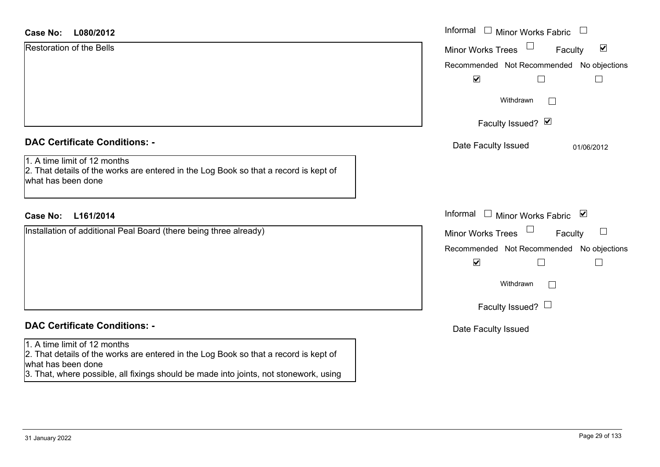| Case No: | L080/2012                       |
|----------|---------------------------------|
|          | <b>Restoration of the Bells</b> |

|  | <b>DAC Certificate Conditions: -</b> |  |  |
|--|--------------------------------------|--|--|
|--|--------------------------------------|--|--|

## **DAC Certificate Conditions: -**

#### 1. A time limit of 12 months

2. That details of the works are entered in the Log Book so that a record is kept of what has been done

3. That, where possible, all fixings should be made into joints, not stonework, using

| <b>Case No:</b><br>L080/2012                                                                                                                                                       | Informal $\Box$ Minor Works Fabric $\Box$                                                                                                                                               |
|------------------------------------------------------------------------------------------------------------------------------------------------------------------------------------|-----------------------------------------------------------------------------------------------------------------------------------------------------------------------------------------|
| <b>Restoration of the Bells</b>                                                                                                                                                    | $\blacktriangledown$<br><b>Minor Works Trees</b><br>$\Box$<br>Faculty<br>Recommended Not Recommended No objections<br>$\blacktriangledown$<br>$\mathbf{L}$<br>Withdrawn<br>$\Box$       |
|                                                                                                                                                                                    | Faculty Issued? Ø                                                                                                                                                                       |
| <b>DAC Certificate Conditions: -</b><br>1. A time limit of 12 months<br>2. That details of the works are entered in the Log Book so that a record is kept of<br>what has been done | Date Faculty Issued<br>01/06/2012                                                                                                                                                       |
| <b>Case No:</b><br>L161/2014                                                                                                                                                       | Informal □ Minor Works Fabric ⊠                                                                                                                                                         |
| Installation of additional Peal Board (there being three already)                                                                                                                  | $\Box$<br>$\Box$<br><b>Minor Works Trees</b><br>Faculty<br>Recommended Not Recommended No objections<br>$\blacktriangledown$<br>$\Box$<br>Withdrawn<br>$\Box$<br>Faculty Issued? $\Box$ |
| <b>DAC Certificate Conditions: -</b>                                                                                                                                               | Date Faculty Issued                                                                                                                                                                     |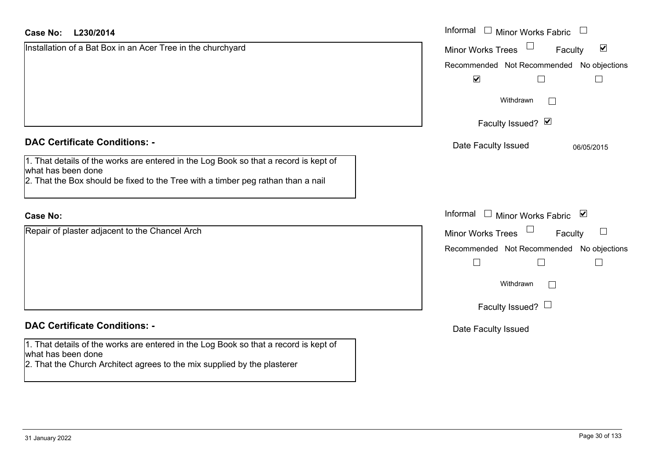| L230/2014<br>Case No:                                                                                                                                                                          | Informal $\Box$ Minor Works Fabric $\Box$                       |
|------------------------------------------------------------------------------------------------------------------------------------------------------------------------------------------------|-----------------------------------------------------------------|
| Installation of a Bat Box in an Acer Tree in the churchyard                                                                                                                                    | $\blacktriangledown$<br><b>Minor Works Trees</b><br>Faculty     |
|                                                                                                                                                                                                | Recommended Not Recommended No objections                       |
|                                                                                                                                                                                                | $\blacktriangledown$<br>$\Box$<br>$\Box$                        |
|                                                                                                                                                                                                | Withdrawn<br>$\Box$                                             |
|                                                                                                                                                                                                | Faculty Issued? Ø                                               |
| <b>DAC Certificate Conditions: -</b>                                                                                                                                                           | Date Faculty Issued<br>06/05/2015                               |
| 1. That details of the works are entered in the Log Book so that a record is kept of<br>what has been done<br>2. That the Box should be fixed to the Tree with a timber peg rathan than a nail |                                                                 |
| <b>Case No:</b>                                                                                                                                                                                | Informal<br>$\Box$ Minor Works Fabric $\Box$                    |
| Repair of plaster adjacent to the Chancel Arch                                                                                                                                                 | <b>Minor Works Trees</b><br>$\overline{\phantom{a}}$<br>Faculty |
|                                                                                                                                                                                                | Recommended Not Recommended No objections                       |
|                                                                                                                                                                                                | $\Box$<br>$\Box$                                                |
|                                                                                                                                                                                                | Withdrawn                                                       |
|                                                                                                                                                                                                | Faculty Issued? $\Box$                                          |
| <b>DAC Certificate Conditions: -</b>                                                                                                                                                           | Date Faculty Issued                                             |
| 1. That details of the works are entered in the Log Book so that a record is kept of<br>what has been done<br>2. That the Church Architect agrees to the mix supplied by the plasterer         |                                                                 |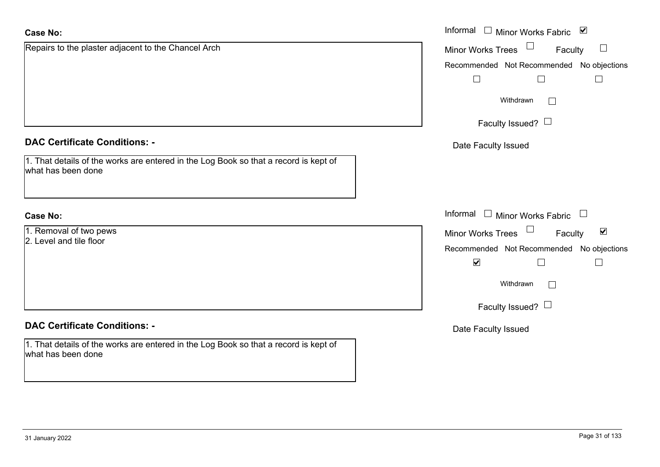| <b>Case No:</b>                                                                                            | Informal <u>I</u> Minor Works Fabric <b>⊻</b>               |
|------------------------------------------------------------------------------------------------------------|-------------------------------------------------------------|
| Repairs to the plaster adjacent to the Chancel Arch                                                        | $\sqcup$<br><b>Minor Works Trees</b><br>Faculty             |
|                                                                                                            | Recommended Not Recommended No objections                   |
|                                                                                                            | $\vert \ \ \vert$                                           |
|                                                                                                            | Withdrawn<br>$\begin{array}{ c } \hline \hline \end{array}$ |
|                                                                                                            | Faculty Issued? $\Box$                                      |
| <b>DAC Certificate Conditions: -</b>                                                                       | Date Faculty Issued                                         |
| 1. That details of the works are entered in the Log Book so that a record is kept of<br>what has been done |                                                             |
| <b>Case No:</b>                                                                                            | Informal □ Minor Works Fabric                               |
| 1. Removal of two pews                                                                                     | $\blacktriangledown$<br>Minor Works Trees<br>Faculty        |
| 2. Level and tile floor                                                                                    | Recommended Not Recommended No objections                   |
|                                                                                                            | $\blacktriangledown$<br>$\Box$<br>$\mathcal{L}$             |
|                                                                                                            | Withdrawn<br>$\mathbb{R}^n$                                 |
|                                                                                                            | Faculty Issued? $\Box$                                      |
| <b>DAC Certificate Conditions: -</b>                                                                       | Date Faculty Issued                                         |
| 1. That details of the works are entered in the Log Book so that a record is kept of<br>what has been done |                                                             |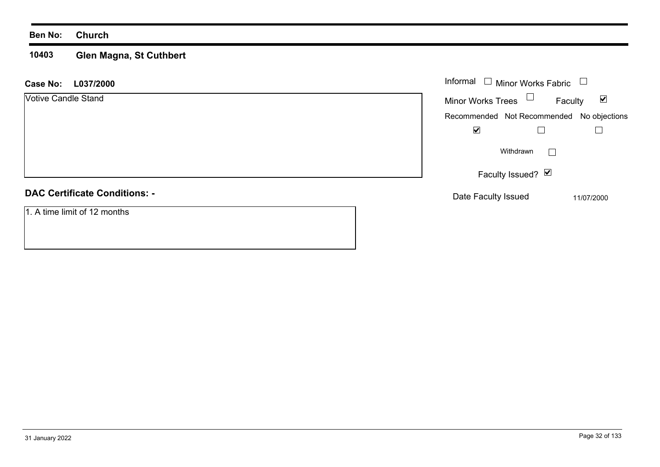#### **Ben No: Church**

#### **10403 Glen Magna, St Cuthbert**

| <b>Case No:</b><br>L037/2000         | Informal $\Box$<br>Minor Works Fabric<br>$\Box$             |
|--------------------------------------|-------------------------------------------------------------|
| <b>Votive Candle Stand</b>           | Minor Works Trees $\Box$<br>$\blacktriangledown$<br>Faculty |
|                                      | Recommended Not Recommended No objections                   |
|                                      | $\blacktriangledown$                                        |
|                                      | Withdrawn<br>$\mathbf{I}$                                   |
|                                      | Faculty Issued? Ø                                           |
| <b>DAC Certificate Conditions: -</b> | Date Faculty Issued<br>11/07/2000                           |
| 1. A time limit of 12 months         |                                                             |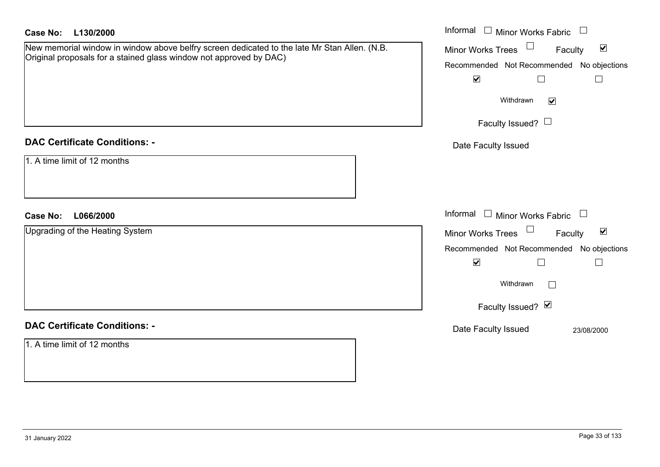| <b>Case No:</b><br>L130/2000                                                                                                                                       | Informal $\Box$ Minor Works Fabric $\Box$                                                                                                                                                                    |
|--------------------------------------------------------------------------------------------------------------------------------------------------------------------|--------------------------------------------------------------------------------------------------------------------------------------------------------------------------------------------------------------|
| New memorial window in window above belfry screen dedicated to the late Mr Stan Allen. (N.B.<br>Original proposals for a stained glass window not approved by DAC) | Minor Works Trees<br>$\blacktriangledown$<br>Faculty<br>Recommended Not Recommended No objections<br>$\blacktriangledown$<br>$\Box$<br>$\Box$<br>Withdrawn<br>$\blacktriangledown$<br>Faculty Issued? $\Box$ |
| <b>DAC Certificate Conditions: -</b>                                                                                                                               | Date Faculty Issued                                                                                                                                                                                          |
| 1. A time limit of 12 months                                                                                                                                       |                                                                                                                                                                                                              |
| L066/2000<br><b>Case No:</b>                                                                                                                                       | Informal<br>$\Box$ Minor Works Fabric $\Box$                                                                                                                                                                 |
| Upgrading of the Heating System                                                                                                                                    | Minor Works Trees<br>$\blacktriangledown$<br>Faculty<br>Recommended Not Recommended No objections<br>$\blacktriangledown$<br>$\perp$<br>$\Box$<br>Withdrawn<br>Faculty Issued? Ø                             |
| <b>DAC Certificate Conditions: -</b>                                                                                                                               | Date Faculty Issued<br>23/08/2000                                                                                                                                                                            |
| 1. A time limit of 12 months                                                                                                                                       |                                                                                                                                                                                                              |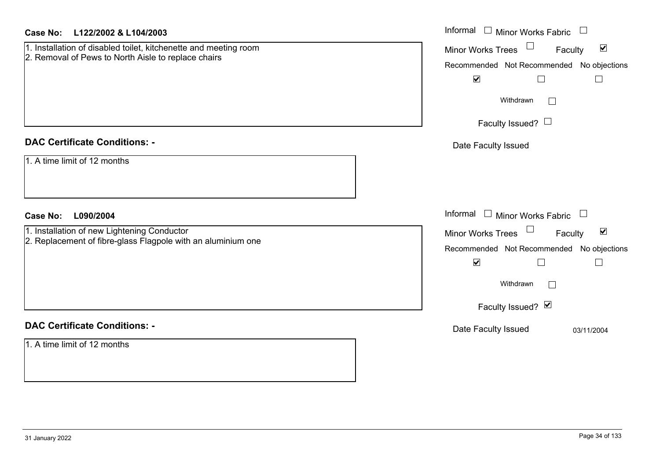| Case No:<br>L122/2002 & L104/2003                                                                                       | Informal $\Box$ Minor Works Fabric $\Box$                                                                                                                                                                     |
|-------------------------------------------------------------------------------------------------------------------------|---------------------------------------------------------------------------------------------------------------------------------------------------------------------------------------------------------------|
| 1. Installation of disabled toilet, kitchenette and meeting room<br>2. Removal of Pews to North Aisle to replace chairs | $\blacktriangledown$<br><b>Minor Works Trees</b><br>Faculty<br>Recommended Not Recommended No objections<br>$\blacktriangledown$<br>$\Box$<br>$\Box$                                                          |
|                                                                                                                         | Withdrawn<br>$\perp$<br>Faculty Issued? $\Box$                                                                                                                                                                |
| <b>DAC Certificate Conditions: -</b>                                                                                    | Date Faculty Issued                                                                                                                                                                                           |
| 1. A time limit of 12 months                                                                                            |                                                                                                                                                                                                               |
| <b>Case No:</b><br>L090/2004                                                                                            | Informal<br>$\Box$ Minor Works Fabric $\Box$                                                                                                                                                                  |
| 1. Installation of new Lightening Conductor<br>2. Replacement of fibre-glass Flagpole with an aluminium one             | $\blacktriangledown$<br><b>Minor Works Trees</b><br>$\sqcup$<br>Faculty<br>Recommended Not Recommended No objections<br>$\blacktriangledown$<br>$\Box$<br>$\Box$<br>Withdrawn<br>$\perp$<br>Faculty Issued? Ø |
|                                                                                                                         |                                                                                                                                                                                                               |
| <b>DAC Certificate Conditions: -</b>                                                                                    | Date Faculty Issued<br>03/11/2004                                                                                                                                                                             |
| 1. A time limit of 12 months                                                                                            |                                                                                                                                                                                                               |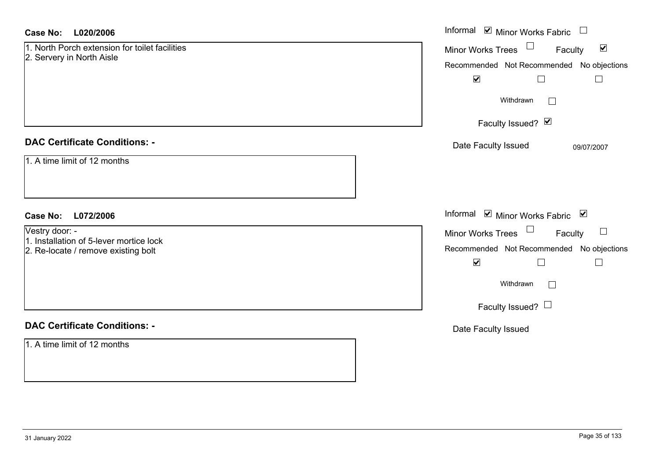#### **L020/2006Case No:**

| <b>Case No:</b><br>L020/2006                                                | Informal Ø Minor Works Fabric U                                             |
|-----------------------------------------------------------------------------|-----------------------------------------------------------------------------|
| 1. North Porch extension for toilet facilities<br>2. Servery in North Aisle | Minor Works Trees<br>$\blacktriangledown$<br>Faculty                        |
|                                                                             | Recommended Not Recommended No objections<br>$\blacktriangledown$<br>$\Box$ |
|                                                                             | Withdrawn<br>$\Box$                                                         |
|                                                                             | Faculty Issued? Ø                                                           |
| <b>DAC Certificate Conditions: -</b>                                        | Date Faculty Issued<br>09/07/2007                                           |
| 1. A time limit of 12 months                                                |                                                                             |
| L072/2006<br><b>Case No:</b>                                                | Informal Ø Minor Works Fabric Ø                                             |
| Vestry door: -<br>1. Installation of 5-lever mortice lock                   | Minor Works Trees<br>Faculty<br>$\Box$                                      |
| 2. Re-locate / remove existing bolt                                         | Recommended Not Recommended No objections                                   |
|                                                                             | $\blacktriangledown$<br>$\Box$                                              |
|                                                                             | Withdrawn<br>$\Box$                                                         |
|                                                                             | Faculty Issued? $\Box$                                                      |
| <b>DAC Certificate Conditions: -</b>                                        | Date Faculty Issued                                                         |
| 1. A time limit of 12 months                                                |                                                                             |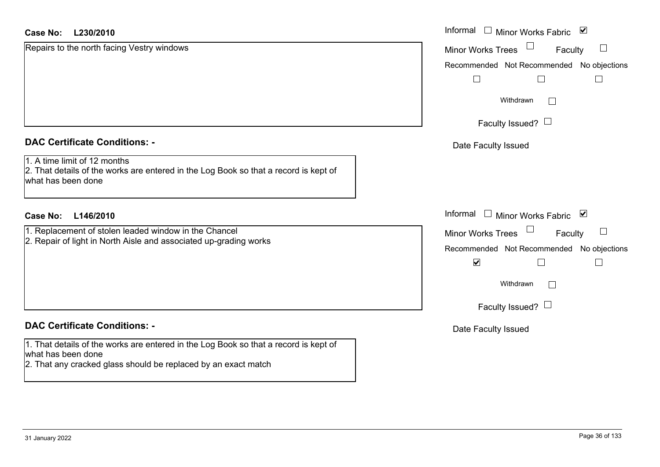| <b>Case No:</b><br>L230/2010                                                                                                               | Informal<br>Minor Works Fabric ⊠                            |
|--------------------------------------------------------------------------------------------------------------------------------------------|-------------------------------------------------------------|
| Repairs to the north facing Vestry windows                                                                                                 | <b>Minor Works Trees</b><br>Faculty                         |
|                                                                                                                                            | Recommended Not Recommended No objections                   |
|                                                                                                                                            | $\perp$                                                     |
|                                                                                                                                            | Withdrawn<br>$\sim$                                         |
|                                                                                                                                            | Faculty Issued? $\Box$                                      |
| <b>DAC Certificate Conditions: -</b>                                                                                                       | Date Faculty Issued                                         |
| 1. A time limit of 12 months<br>2. That details of the works are entered in the Log Book so that a record is kept of<br>what has been done |                                                             |
| <b>Case No:</b><br>L146/2010                                                                                                               | Informal<br>$\Box$<br>Minor Works Fabric ⊠                  |
| 1. Replacement of stolen leaded window in the Chancel                                                                                      | Minor Works Trees<br>$\mathcal{L}_{\mathcal{A}}$<br>Faculty |
| 2. Repair of light in North Aisle and associated up-grading works                                                                          | Recommended Not Recommended No objections                   |
|                                                                                                                                            | $\blacktriangledown$                                        |
|                                                                                                                                            | Withdrawn<br>$\mathcal{L}_{\mathcal{A}}$                    |
|                                                                                                                                            | Faculty Issued? $\Box$                                      |
| <b>DAC Certificate Conditions: -</b>                                                                                                       | Date Faculty Issued                                         |
| 1. That details of the works are entered in the Log Book so that a record is kept of<br>what has been done                                 |                                                             |
| 2. That any cracked glass should be replaced by an exact match                                                                             |                                                             |
|                                                                                                                                            |                                                             |

L.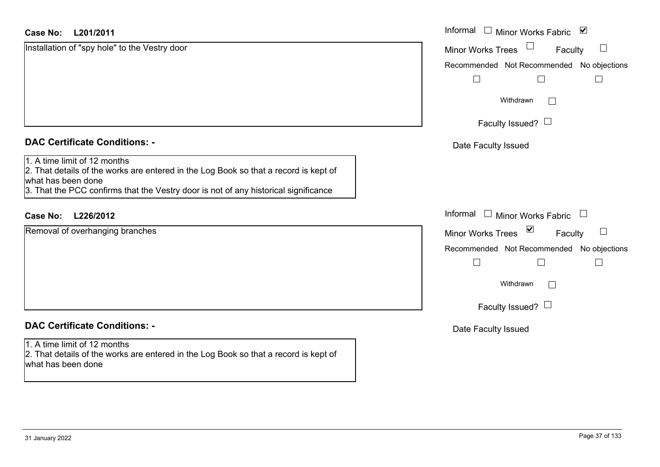| Case No: L201/2011                                                                                                                                                                                                                | Informal □ Minor Works Fabric<br>⊻                          |
|-----------------------------------------------------------------------------------------------------------------------------------------------------------------------------------------------------------------------------------|-------------------------------------------------------------|
| Installation of "spy hole" to the Vestry door                                                                                                                                                                                     | <b>Minor Works Trees</b><br>Faculty                         |
|                                                                                                                                                                                                                                   | Recommended Not Recommended No objections                   |
|                                                                                                                                                                                                                                   | $\Box$<br>$\overline{\phantom{0}}$                          |
|                                                                                                                                                                                                                                   | Withdrawn<br>$\Box$                                         |
|                                                                                                                                                                                                                                   | Faculty Issued? $\Box$                                      |
| <b>DAC Certificate Conditions: -</b>                                                                                                                                                                                              | Date Faculty Issued                                         |
| 1. A time limit of 12 months<br>2. That details of the works are entered in the Log Book so that a record is kept of<br>what has been done<br>3. That the PCC confirms that the Vestry door is not of any historical significance |                                                             |
| <b>Case No:</b><br>L226/2012                                                                                                                                                                                                      | Informal<br>$\Box$ Minor Works Fabric<br>$\Box$             |
| Removal of overhanging branches                                                                                                                                                                                                   | $\blacktriangledown$<br><b>Minor Works Trees</b><br>Faculty |
|                                                                                                                                                                                                                                   | Recommended Not Recommended No objections                   |
|                                                                                                                                                                                                                                   | $\mathbf{L}$<br>$\mathbf{I}$                                |
|                                                                                                                                                                                                                                   | Withdrawn<br>$\Box$                                         |
|                                                                                                                                                                                                                                   | Faculty Issued? $\Box$                                      |
| <b>DAC Certificate Conditions: -</b>                                                                                                                                                                                              | Date Faculty Issued                                         |
| 1. A time limit of 12 months<br>2. That details of the works are entered in the Log Book so that a record is kept of<br>what has been done                                                                                        |                                                             |
|                                                                                                                                                                                                                                   |                                                             |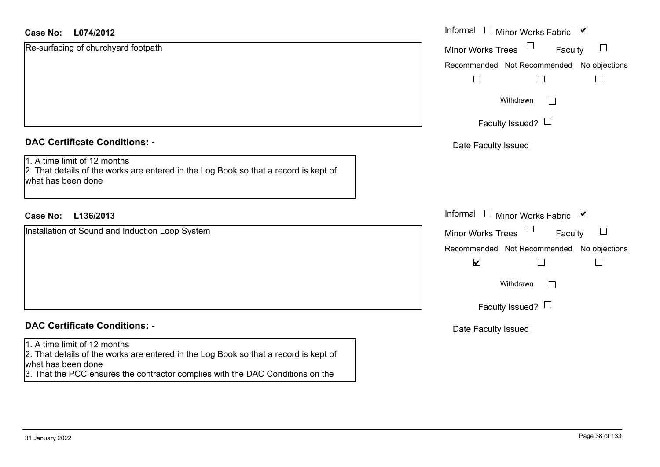| <b>Case No:</b><br>L074/2012                                                                                                               | Informal $\square$<br>Minor Works Fabric ⊠    |
|--------------------------------------------------------------------------------------------------------------------------------------------|-----------------------------------------------|
| Re-surfacing of churchyard footpath                                                                                                        | $\Box$<br><b>Minor Works Trees</b><br>Faculty |
|                                                                                                                                            | Recommended Not Recommended No objections     |
|                                                                                                                                            |                                               |
|                                                                                                                                            | Withdrawn<br>$\overline{a}$                   |
|                                                                                                                                            | Faculty Issued? $\Box$                        |
| <b>DAC Certificate Conditions: -</b>                                                                                                       | Date Faculty Issued                           |
| 1. A time limit of 12 months<br>2. That details of the works are entered in the Log Book so that a record is kept of<br>what has been done |                                               |
| L136/2013<br><b>Case No:</b>                                                                                                               | Informal<br>$\Box$<br>Minor Works Fabric ⊠    |
| Installation of Sound and Induction Loop System                                                                                            | $\Box$<br><b>Minor Works Trees</b><br>Faculty |
|                                                                                                                                            | Recommended Not Recommended No objections     |
|                                                                                                                                            | $\blacktriangledown$                          |
|                                                                                                                                            | Withdrawn<br>$\Box$                           |
|                                                                                                                                            | Faculty Issued? $\Box$                        |
| <b>DAC Certificate Conditions: -</b>                                                                                                       | Date Faculty Issued                           |
| 1. A time limit of 12 months<br>2. That details of the works are entered in the Log Book so that a record is kept of<br>what has been done |                                               |
| 3. That the PCC ensures the contractor complies with the DAC Conditions on the                                                             |                                               |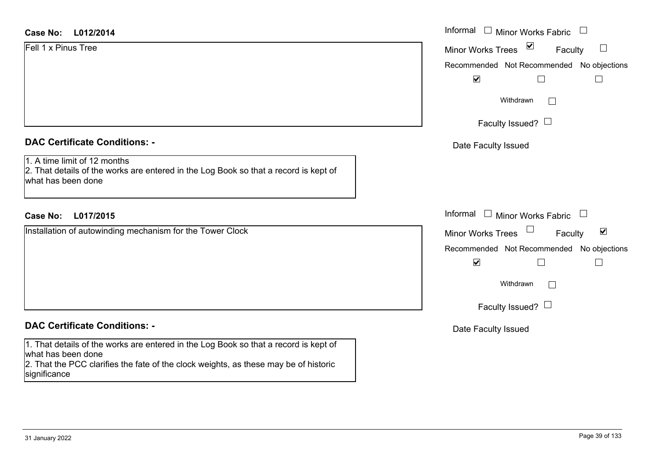# **DAC Certificate Conditions: -**

1. A time limit of 12 months

2. That details of the works are entered in the Log Book so that a record is kept of what has been done

# **L017/2015Case No:** Informal

Installation of autowinding mechanism for the Tower Clock

### **DAC Certificate Conditions: -**

1. That details of the works are entered in the Log Book so that a record is kept of what has been done

2. That the PCC clarifies the fate of the clock weights, as these may be of historic significance

|                                                                                                                | Informal $\Box$ Minor Works Fabric $\Box$                      |
|----------------------------------------------------------------------------------------------------------------|----------------------------------------------------------------|
| L012/2014                                                                                                      |                                                                |
| inus Tree                                                                                                      | $\blacktriangledown$<br>$\Box$<br>Minor Works Trees<br>Faculty |
|                                                                                                                | Recommended Not Recommended No objections                      |
|                                                                                                                | $\blacktriangledown$<br>$\Box$<br>$\overline{\phantom{a}}$     |
|                                                                                                                | Withdrawn<br>I.                                                |
|                                                                                                                | Faculty Issued? $\Box$                                         |
| rtificate Conditions: -                                                                                        | Date Faculty Issued                                            |
| limit of 12 months<br>etails of the works are entered in the Log Book so that a record is kept of<br>been done |                                                                |
| L017/2015                                                                                                      | Informal $\Box$ Minor Works Fabric $\Box$                      |
| on of autowinding mechanism for the Tower Clock                                                                | Minor Works Trees<br>$\blacktriangledown$<br>Faculty           |
|                                                                                                                | Recommended Not Recommended No objections                      |
|                                                                                                                | $\blacktriangledown$<br>Г<br>$\overline{\phantom{a}}$          |
|                                                                                                                | Withdrawn<br>$\Box$                                            |
|                                                                                                                | Faculty Issued? $\Box$                                         |
| rtificate Conditions: -                                                                                        | Date Faculty Issued                                            |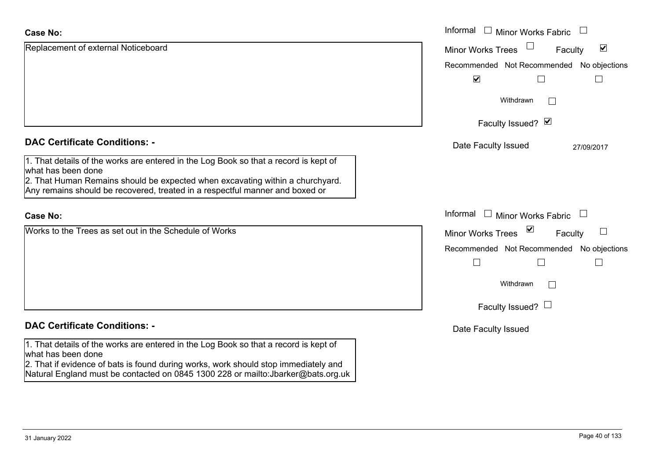| <b>Case No:</b>                                                                                                                                                          | Informal □ Minor Works Fabric                               |
|--------------------------------------------------------------------------------------------------------------------------------------------------------------------------|-------------------------------------------------------------|
| Replacement of external Noticeboard                                                                                                                                      | $\blacktriangledown$<br><b>Minor Works Trees</b><br>Faculty |
|                                                                                                                                                                          | Recommended Not Recommended No objections                   |
|                                                                                                                                                                          | $\blacktriangledown$                                        |
|                                                                                                                                                                          | Withdrawn<br>$\sim$                                         |
|                                                                                                                                                                          | Faculty Issued? Ø                                           |
| <b>DAC Certificate Conditions: -</b>                                                                                                                                     | Date Faculty Issued<br>27/09/2017                           |
| 1. That details of the works are entered in the Log Book so that a record is kept of<br>what has been done                                                               |                                                             |
| 2. That Human Remains should be expected when excavating within a churchyard.<br>Any remains should be recovered, treated in a respectful manner and boxed or            |                                                             |
| <b>Case No:</b>                                                                                                                                                          | Informal<br>$\perp$<br>Minor Works Fabric                   |
| Works to the Trees as set out in the Schedule of Works                                                                                                                   | ☑<br><b>Minor Works Trees</b><br>Faculty                    |
|                                                                                                                                                                          | Recommended Not Recommended No objections                   |
|                                                                                                                                                                          | $\vert \ \ \vert$                                           |
|                                                                                                                                                                          | Withdrawn                                                   |
|                                                                                                                                                                          | Faculty Issued? $\Box$                                      |
| <b>DAC Certificate Conditions: -</b>                                                                                                                                     | Date Faculty Issued                                         |
| 1. That details of the works are entered in the Log Book so that a record is kept of<br>what has been done                                                               |                                                             |
| 2. That if evidence of bats is found during works, work should stop immediately and<br>Natural England must be contacted on 0845 1300 228 or mailto: Jbarker@bats.org.uk |                                                             |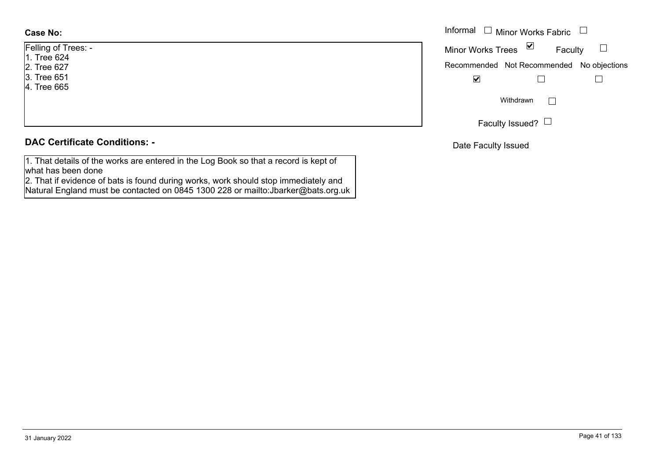| Felling of Trees: - |
|---------------------|
| 1. Tree 624         |
| 2. Tree 627         |
| 3. Tree 651         |
| 4. Tree 665         |
|                     |
|                     |

# **DAC Certificate Conditions: -**

1. That details of the works are entered in the Log Book so that a record is kept of what has been done

2. That if evidence of bats is found during works, work should stop immediately and Natural England must be contacted on 0845 1300 228 or mailto:Jbarker@bats.org.uk

|                | Informal $\Box$ Minor Works Fabric $\Box$ |
|----------------|-------------------------------------------|
| Trees: -<br>24 | Minor Works Trees ⊠<br>Faculty            |
| 27             | Recommended Not Recommended No objections |
| 51<br>65       | $\overline{\mathbf{v}}$                   |
|                | Withdrawn                                 |
|                | Faculty Issued? $\Box$                    |

Date Faculty Issued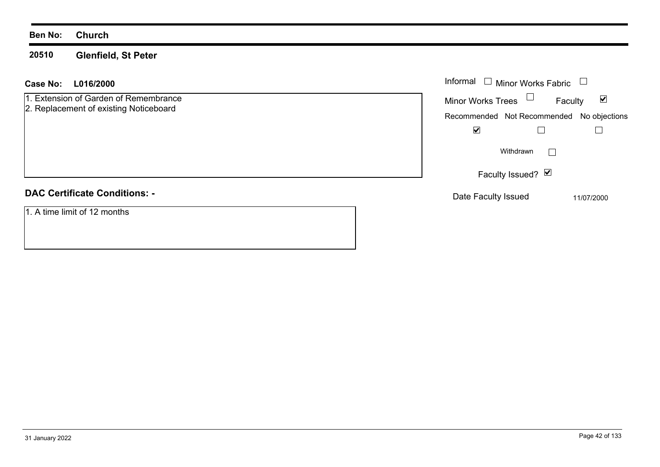#### **20510Glenfield, St Peter**

## **L016/2000 Case No:** Informal

1. Extension of Garden of Remembrance

2. Replacement of existing Noticeboard

# **DAC Certificate Conditions: -**

1. A time limit of 12 months

| Informal<br><b>Minor Works Fabric</b> |                                           |            |
|---------------------------------------|-------------------------------------------|------------|
| Minor Works Trees                     | Faculty                                   | M          |
|                                       | Recommended Not Recommended No objections |            |
|                                       |                                           |            |
|                                       | Withdrawn                                 |            |
| Faculty Issued? Ø                     |                                           |            |
| Date Faculty Issued                   |                                           | 11/07/2000 |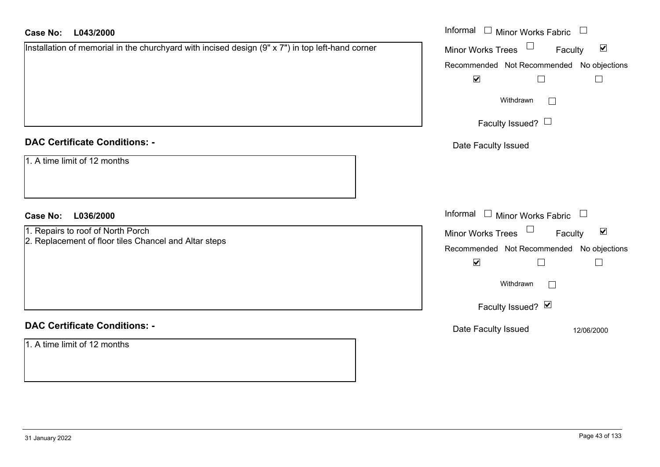| <b>Case No:</b><br>L043/2000                                                                     | Informal □ Minor Works Fabric                                  |
|--------------------------------------------------------------------------------------------------|----------------------------------------------------------------|
| Installation of memorial in the churchyard with incised design (9" x 7") in top left-hand corner | $\Box$<br>$\blacktriangledown$<br>Minor Works Trees<br>Faculty |
|                                                                                                  | Recommended Not Recommended No objections                      |
|                                                                                                  | $\blacktriangledown$<br>$\Box$<br>$\Box$                       |
|                                                                                                  | Withdrawn                                                      |
|                                                                                                  | Faculty Issued? $\Box$                                         |
| <b>DAC Certificate Conditions: -</b>                                                             | Date Faculty Issued                                            |
| 1. A time limit of 12 months                                                                     |                                                                |
| <b>Case No:</b><br>L036/2000                                                                     | Informal $\Box$ Minor Works Fabric $\Box$                      |
| 1. Repairs to roof of North Porch                                                                | Minor Works Trees<br>$\blacktriangledown$<br>Faculty           |
| 2. Replacement of floor tiles Chancel and Altar steps                                            | Recommended Not Recommended No objections                      |
|                                                                                                  | $\blacktriangledown$<br>$\Box$                                 |
|                                                                                                  | Withdrawn<br>$\Box$                                            |
|                                                                                                  | Faculty Issued? Ø                                              |
| <b>DAC Certificate Conditions: -</b>                                                             | Date Faculty Issued<br>12/06/2000                              |
| 1. A time limit of 12 months                                                                     |                                                                |
|                                                                                                  |                                                                |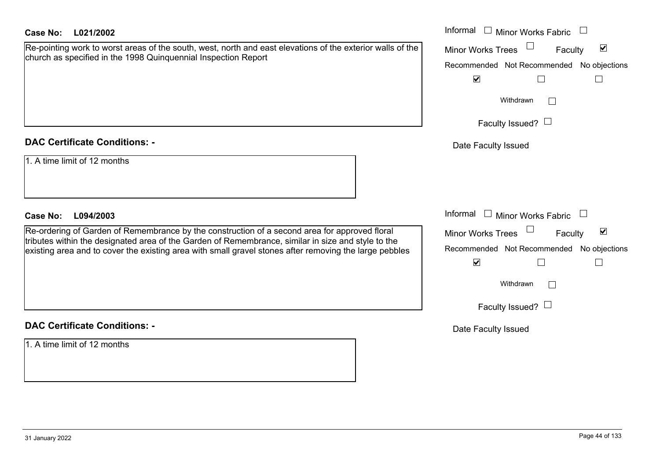| <b>Case No:</b><br>L021/2002                                                                                                                                                                                                                                                                                  | Informal $\Box$ Minor Works Fabric                                                                                                                       |
|---------------------------------------------------------------------------------------------------------------------------------------------------------------------------------------------------------------------------------------------------------------------------------------------------------------|----------------------------------------------------------------------------------------------------------------------------------------------------------|
| Re-pointing work to worst areas of the south, west, north and east elevations of the exterior walls of the<br>church as specified in the 1998 Quinquennial Inspection Report                                                                                                                                  | $\blacktriangledown$<br><b>Minor Works Trees</b><br>Faculty<br>Recommended Not Recommended<br>No objections<br>$\blacktriangledown$<br>$\Box$<br>$\Box$  |
|                                                                                                                                                                                                                                                                                                               | Withdrawn<br>Faculty Issued? $\Box$                                                                                                                      |
| <b>DAC Certificate Conditions: -</b>                                                                                                                                                                                                                                                                          | Date Faculty Issued                                                                                                                                      |
| 1. A time limit of 12 months                                                                                                                                                                                                                                                                                  |                                                                                                                                                          |
| <b>Case No:</b><br>L094/2003                                                                                                                                                                                                                                                                                  | Informal<br><b>Minor Works Fabric</b>                                                                                                                    |
| Re-ordering of Garden of Remembrance by the construction of a second area for approved floral<br>tributes within the designated area of the Garden of Remembrance, similar in size and style to the<br>existing area and to cover the existing area with small gravel stones after removing the large pebbles | $\blacktriangledown$<br>Minor Works Trees<br>Faculty<br>Recommended Not Recommended<br>No objections<br>$\blacktriangledown$<br>$\Box$<br>Г<br>Withdrawn |
|                                                                                                                                                                                                                                                                                                               | Faculty Issued? $\Box$                                                                                                                                   |
| <b>DAC Certificate Conditions: -</b>                                                                                                                                                                                                                                                                          | Date Faculty Issued                                                                                                                                      |
| 1. A time limit of 12 months                                                                                                                                                                                                                                                                                  |                                                                                                                                                          |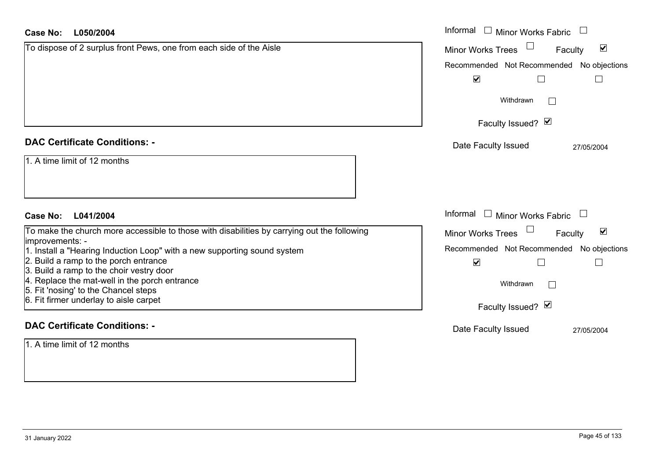| Case No:<br>L050/2004                                                                                                             | Informal $\Box$ Minor Works Fabric                             |
|-----------------------------------------------------------------------------------------------------------------------------------|----------------------------------------------------------------|
| To dispose of 2 surplus front Pews, one from each side of the Aisle                                                               | $\blacktriangledown$<br><b>Minor Works Trees</b><br>Faculty    |
|                                                                                                                                   | Recommended Not Recommended No objections                      |
|                                                                                                                                   | $\blacktriangledown$<br>$\Box$                                 |
|                                                                                                                                   | Withdrawn                                                      |
|                                                                                                                                   | Faculty Issued? Ø                                              |
| <b>DAC Certificate Conditions: -</b>                                                                                              | Date Faculty Issued<br>27/05/2004                              |
| 1. A time limit of 12 months                                                                                                      |                                                                |
| L041/2004<br>Case No:                                                                                                             | Informal $\Box$ Minor Works Fabric $\Box$                      |
| To make the church more accessible to those with disabilities by carrying out the following                                       | $\Box$<br>$\blacktriangledown$<br>Minor Works Trees<br>Faculty |
| improvements: -<br>1. Install a "Hearing Induction Loop" with a new supporting sound system                                       | Recommended Not Recommended No objections                      |
| 2. Build a ramp to the porch entrance                                                                                             | $\blacktriangledown$<br>$\Box$                                 |
| 3. Build a ramp to the choir vestry door<br>4. Replace the mat-well in the porch entrance<br>5. Fit 'nosing' to the Chancel steps | Withdrawn<br>$\Box$                                            |
| 6. Fit firmer underlay to aisle carpet                                                                                            | Faculty Issued? Ø                                              |
| <b>DAC Certificate Conditions: -</b>                                                                                              | Date Faculty Issued<br>27/05/2004                              |
| 1. A time limit of 12 months                                                                                                      |                                                                |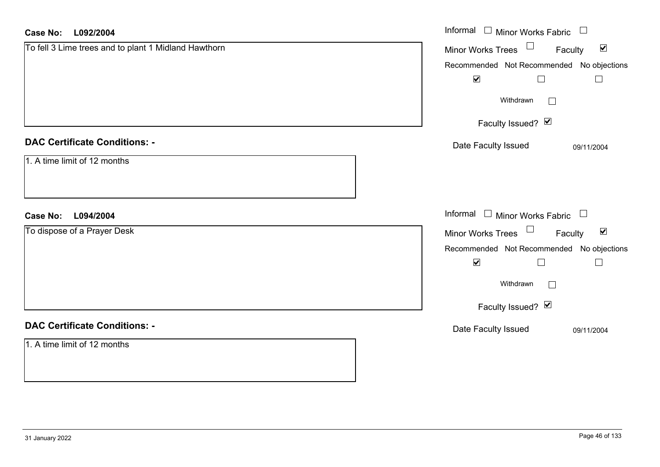| <b>Case No:</b><br>L092/2004                         | Informal □ Minor Works Fabric □                             |
|------------------------------------------------------|-------------------------------------------------------------|
| To fell 3 Lime trees and to plant 1 Midland Hawthorn | Minor Works Trees $\Box$<br>Faculty<br>$\blacktriangledown$ |
|                                                      | Recommended Not Recommended No objections                   |
|                                                      | $\blacktriangledown$<br>$\Box$<br>$\Box$                    |
|                                                      | Withdrawn<br>$\Box$                                         |
|                                                      | Faculty Issued? Ø                                           |
| <b>DAC Certificate Conditions: -</b>                 | Date Faculty Issued<br>09/11/2004                           |
| 1. A time limit of 12 months                         |                                                             |
| <b>Case No:</b><br>L094/2004                         | Informal $\Box$ Minor Works Fabric $\Box$                   |
| To dispose of a Prayer Desk                          | Minor Works Trees $\Box$<br>$\blacktriangledown$<br>Faculty |
|                                                      | Recommended Not Recommended No objections                   |
|                                                      | $\blacktriangledown$<br>$\Box$<br>$\Box$                    |
|                                                      | Withdrawn<br>$\Box$                                         |
|                                                      | Faculty Issued? Ø                                           |
| <b>DAC Certificate Conditions: -</b>                 | Date Faculty Issued<br>09/11/2004                           |
| 1. A time limit of 12 months                         |                                                             |
|                                                      |                                                             |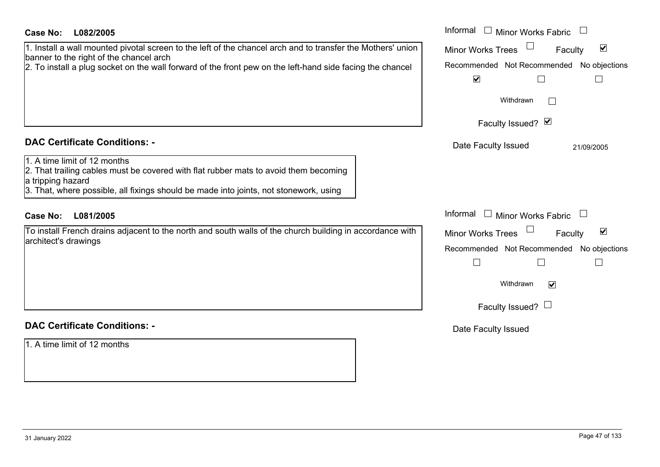| <b>Case No:</b><br>L082/2005                                                                                                                                                                                                                                        | Informal<br>$\Box$ Minor Works Fabric                                                                                                                                                            |
|---------------------------------------------------------------------------------------------------------------------------------------------------------------------------------------------------------------------------------------------------------------------|--------------------------------------------------------------------------------------------------------------------------------------------------------------------------------------------------|
| 1. Install a wall mounted pivotal screen to the left of the chancel arch and to transfer the Mothers' union<br>banner to the right of the chancel arch<br>2. To install a plug socket on the wall forward of the front pew on the left-hand side facing the chancel | $\blacktriangledown$<br><b>Minor Works Trees</b><br>Faculty<br>Recommended Not Recommended No objections<br>$\blacktriangledown$<br>$\Box$<br>$\Box$                                             |
|                                                                                                                                                                                                                                                                     | Withdrawn                                                                                                                                                                                        |
|                                                                                                                                                                                                                                                                     | Faculty Issued? Ø                                                                                                                                                                                |
| <b>DAC Certificate Conditions: -</b>                                                                                                                                                                                                                                | Date Faculty Issued<br>21/09/2005                                                                                                                                                                |
| 1. A time limit of 12 months<br>2. That trailing cables must be covered with flat rubber mats to avoid them becoming<br>a tripping hazard<br>3. That, where possible, all fixings should be made into joints, not stonework, using                                  |                                                                                                                                                                                                  |
| L081/2005<br><b>Case No:</b>                                                                                                                                                                                                                                        | Informal<br>$\Box$ Minor Works Fabric                                                                                                                                                            |
| To install French drains adjacent to the north and south walls of the church building in accordance with<br>architect's drawings                                                                                                                                    | $\blacktriangledown$<br><b>Minor Works Trees</b><br>Faculty<br>Recommended Not Recommended No objections<br>$\overline{\phantom{a}}$<br>$\Box$<br>$\mathbb{R}^n$<br>Withdrawn<br>$\triangledown$ |
|                                                                                                                                                                                                                                                                     | Faculty Issued? $\Box$                                                                                                                                                                           |
| <b>DAC Certificate Conditions: -</b>                                                                                                                                                                                                                                | Date Faculty Issued                                                                                                                                                                              |
| 1. A time limit of 12 months                                                                                                                                                                                                                                        |                                                                                                                                                                                                  |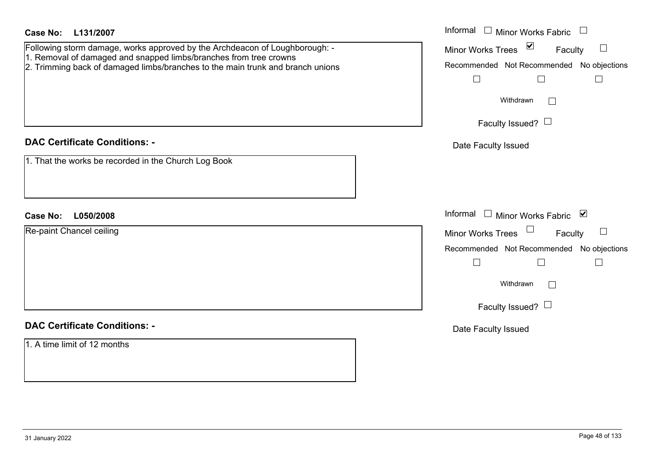| <b>Case No:</b><br>L131/2007<br>Following storm damage, works approved by the Archdeacon of Loughborough: -<br>1. Removal of damaged and snapped limbs/branches from tree crowns<br>2. Trimming back of damaged limbs/branches to the main trunk and branch unions | Informal $\Box$ Minor Works Fabric $\Box$<br>Minor Works Trees ⊠<br>Faculty<br>Recommended Not Recommended No objections<br>$\Box$<br>$\Box$<br>$\perp$<br>Withdrawn<br>Faculty Issued? $\Box$ |
|--------------------------------------------------------------------------------------------------------------------------------------------------------------------------------------------------------------------------------------------------------------------|------------------------------------------------------------------------------------------------------------------------------------------------------------------------------------------------|
| <b>DAC Certificate Conditions: -</b>                                                                                                                                                                                                                               | Date Faculty Issued                                                                                                                                                                            |
| 1. That the works be recorded in the Church Log Book                                                                                                                                                                                                               |                                                                                                                                                                                                |
| <b>Case No:</b><br>L050/2008                                                                                                                                                                                                                                       | Informal □ Minor Works Fabric ⊠                                                                                                                                                                |
| Re-paint Chancel ceiling                                                                                                                                                                                                                                           | Minor Works Trees $\Box$<br>Faculty                                                                                                                                                            |
|                                                                                                                                                                                                                                                                    | Recommended Not Recommended No objections                                                                                                                                                      |
|                                                                                                                                                                                                                                                                    | $\Box$<br>$\Box$<br>$\Box$                                                                                                                                                                     |
|                                                                                                                                                                                                                                                                    | Withdrawn<br>$\Box$                                                                                                                                                                            |
|                                                                                                                                                                                                                                                                    | Faculty Issued? $\Box$                                                                                                                                                                         |
| <b>DAC Certificate Conditions: -</b>                                                                                                                                                                                                                               | Date Faculty Issued                                                                                                                                                                            |
| 1. A time limit of 12 months                                                                                                                                                                                                                                       |                                                                                                                                                                                                |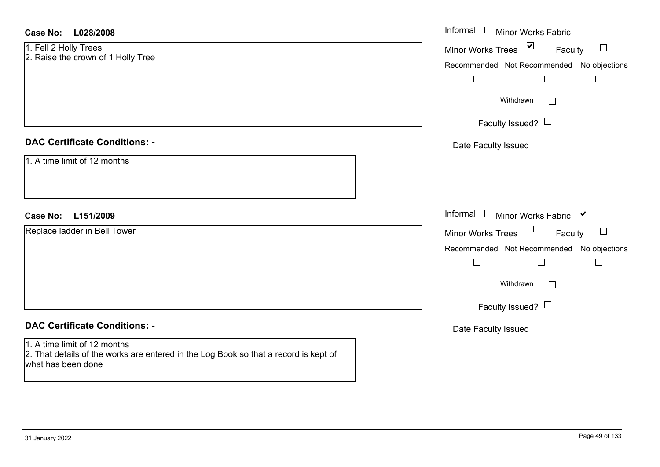| <b>Case No:</b><br>L028/2008                                                                                                               | Informal $\Box$ Minor Works Fabric        |
|--------------------------------------------------------------------------------------------------------------------------------------------|-------------------------------------------|
| Minor Works Trees ⊠<br>1. Fell 2 Holly Trees                                                                                               | Faculty<br>$\Box$                         |
| 2. Raise the crown of 1 Holly Tree                                                                                                         | Recommended Not Recommended No objections |
| $\overline{\phantom{a}}$                                                                                                                   | $\Box$<br>$\Box$                          |
|                                                                                                                                            | Withdrawn<br>$\sim$                       |
|                                                                                                                                            | Faculty Issued? $\Box$                    |
| <b>DAC Certificate Conditions: -</b><br>Date Faculty Issued                                                                                |                                           |
| 1. A time limit of 12 months                                                                                                               |                                           |
| <b>Case No:</b><br>L151/2009                                                                                                               | Informal $\Box$ Minor Works Fabric $\Box$ |
| Replace ladder in Bell Tower<br>Minor Works Trees                                                                                          | Faculty<br>ப                              |
|                                                                                                                                            | Recommended Not Recommended No objections |
| $\overline{\phantom{a}}$                                                                                                                   | $\Box$<br>$\Box$                          |
|                                                                                                                                            | Withdrawn<br>$\mathbf{L}$                 |
|                                                                                                                                            | Faculty Issued? $\Box$                    |
| <b>DAC Certificate Conditions: -</b><br>Date Faculty Issued                                                                                |                                           |
| 1. A time limit of 12 months<br>2. That details of the works are entered in the Log Book so that a record is kept of<br>what has been done |                                           |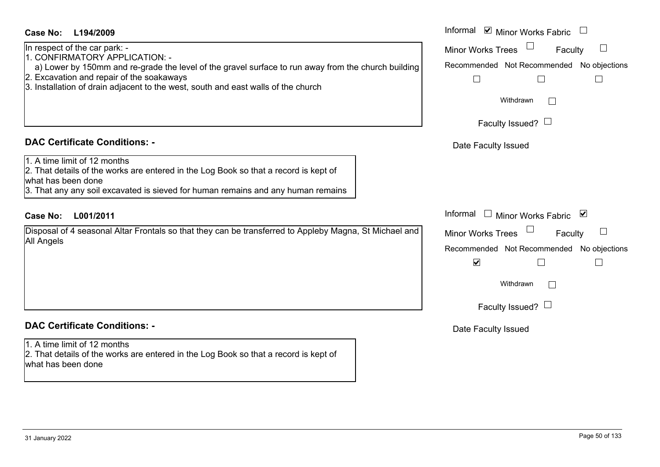| <b>Case No:</b><br>L194/2009                                                                                                                                                                                                   | Informal ☑ Minor Works Fabric                                                                           |
|--------------------------------------------------------------------------------------------------------------------------------------------------------------------------------------------------------------------------------|---------------------------------------------------------------------------------------------------------|
| In respect of the car park: -<br>1. CONFIRMATORY APPLICATION: -<br>a) Lower by 150mm and re-grade the level of the gravel surface to run away from the church building                                                         | $\Box$<br><b>Minor Works Trees</b><br>$\Box$<br>Faculty<br>Recommended Not Recommended<br>No objections |
| 2. Excavation and repair of the soakaways<br>3. Installation of drain adjacent to the west, south and east walls of the church                                                                                                 | $\Box$<br>$\Box$                                                                                        |
|                                                                                                                                                                                                                                | Withdrawn                                                                                               |
|                                                                                                                                                                                                                                | Faculty Issued? $\Box$                                                                                  |
| <b>DAC Certificate Conditions: -</b>                                                                                                                                                                                           | Date Faculty Issued                                                                                     |
| 1. A time limit of 12 months<br>2. That details of the works are entered in the Log Book so that a record is kept of<br>what has been done<br>3. That any any soil excavated is sieved for human remains and any human remains |                                                                                                         |
| <b>Case No:</b><br>L001/2011                                                                                                                                                                                                   | Informal<br>Minor Works Fabric ⊠                                                                        |
| Disposal of 4 seasonal Altar Frontals so that they can be transferred to Appleby Magna, St Michael and                                                                                                                         | Minor Works Trees<br>Faculty                                                                            |
| All Angels                                                                                                                                                                                                                     | Recommended Not Recommended<br>No objections                                                            |
|                                                                                                                                                                                                                                | $\blacktriangledown$<br>$\Box$                                                                          |
|                                                                                                                                                                                                                                | Withdrawn                                                                                               |
|                                                                                                                                                                                                                                | Faculty Issued? $\Box$                                                                                  |
| <b>DAC Certificate Conditions: -</b>                                                                                                                                                                                           | Date Faculty Issued                                                                                     |
| 1. A time limit of 12 months<br>2. That details of the works are entered in the Log Book so that a record is kept of<br>what has been done                                                                                     |                                                                                                         |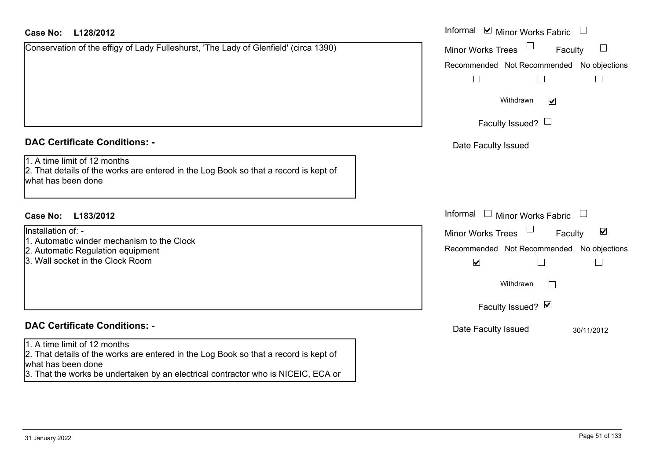# **L128/2012Case No:** Informal

| Conservation of the effigy of Lady Fulleshurst, 'The Lady of Glenfield' (circa 1390) |  |
|--------------------------------------------------------------------------------------|--|
|                                                                                      |  |

## **DAC Certificate Conditions: -**

|  |  |  |  |  |  |  | 1. A time limit of 12 months |
|--|--|--|--|--|--|--|------------------------------|
|--|--|--|--|--|--|--|------------------------------|

2. That details of the works are entered in the Log Book so that a record is kept of what has been done

# **L183/2012Case No:** Informal

Installation of: -

- 1. Automatic winder mechanism to the Clock
- 2. Automatic Regulation equipment
- 3. Wall socket in the Clock Room

# **DAC Certificate Conditions: -**

#### 1. A time limit of 12 months

2. That details of the works are entered in the Log Book so that a record is kept of what has been done

3. That the works be undertaken by an electrical contractor who is NICEIC, ECA or

| Informal<br>$\blacksquare$ Minor Works Fabric  |  |
|------------------------------------------------|--|
| <b>Minor Works Trees</b><br>Faculty            |  |
| Recommended Not Recommended No objections      |  |
| Withdrawn<br>$\blacktriangledown$              |  |
| Faculty Issued? I                              |  |
| Date Faculty Issued                            |  |
|                                                |  |
|                                                |  |
| Informal<br><b>Minor Works Fabric</b>          |  |
| ☑<br><b>Minor Works Trees</b><br>Faculty       |  |
| Recommended Not Recommended No objections<br>V |  |
| Withdrawn                                      |  |
| Faculty Issued? Ø                              |  |
| Date Faculty Issued<br>30/11/2012              |  |
|                                                |  |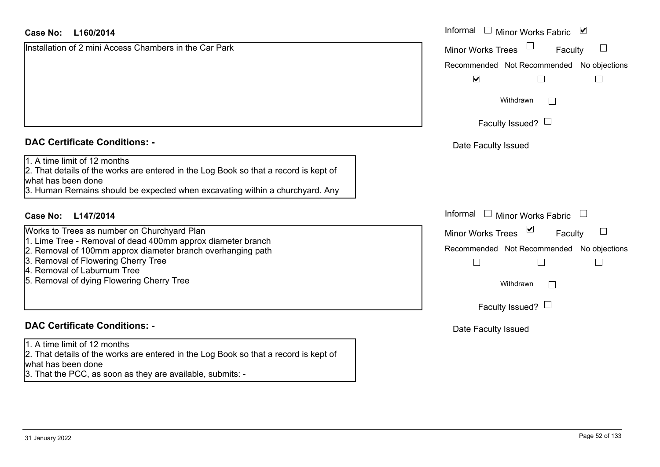# **L160/2014Case No:** Informal

Installation of 2 mini Access Chambers in the Car Park

## **DAC Certificate Conditions: -**

1. A time limit of 12 months

2. That details of the works are entered in the Log Book so that a record is kept of what has been done

3. Human Remains should be expected when excavating within a churchyard. Any

# **L147/2014Case No:** Informal

- Works to Trees as number on Churchyard Plan
- 1. Lime Tree Removal of dead 400mm approx diameter branch
- 2. Removal of 100mm approx diameter branch overhanging path
- 3. Removal of Flowering Cherry Tree
- 4. Removal of Laburnum Tree
- 5. Removal of dying Flowering Cherry Tree

# **DAC Certificate Conditions: -**

1. A time limit of 12 months

2. That details of the works are entered in the Log Book so that a record is kept of what has been done

3. That the PCC, as soon as they are available, submits: -

| Informal<br>Minor Works Fabric ⊠               |
|------------------------------------------------|
| <b>Minor Works Trees</b><br>Faculty            |
| Recommended Not Recommended No objections<br>☑ |
| Withdrawn                                      |
| Faculty Issued?                                |
| Date Faculty Issued                            |
|                                                |
|                                                |
| Informal<br><b>Minor Works Fabric</b>          |
| ⊻<br><b>Minor Works Trees</b><br>Faculty       |
| Recommended Not Recommended No objections      |
| Withdrawn                                      |
| Faculty Issued? L                              |
| Date Faculty Issued                            |
|                                                |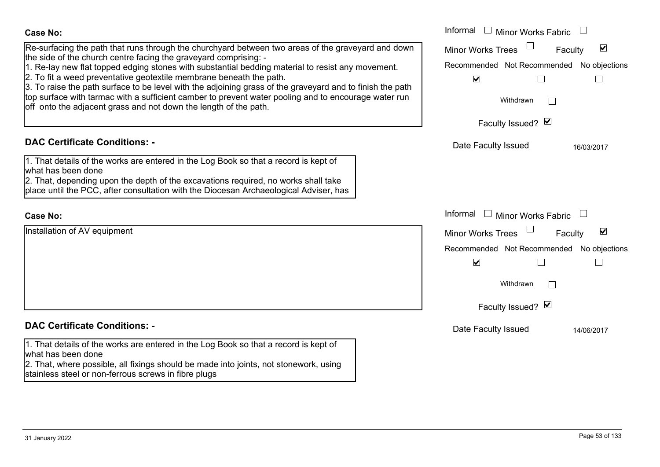| <b>Case No:</b>                                                                                                                                                                                                                                                                                                                                                                                                                                                                                                                                                                                                                             | Informal $\Box$ Minor Works Fabric $\Box$                                                                                                                          |
|---------------------------------------------------------------------------------------------------------------------------------------------------------------------------------------------------------------------------------------------------------------------------------------------------------------------------------------------------------------------------------------------------------------------------------------------------------------------------------------------------------------------------------------------------------------------------------------------------------------------------------------------|--------------------------------------------------------------------------------------------------------------------------------------------------------------------|
| Re-surfacing the path that runs through the churchyard between two areas of the graveyard and down<br>the side of the church centre facing the graveyard comprising: -<br>1. Re-lay new flat topped edging stones with substantial bedding material to resist any movement.<br>2. To fit a weed preventative geotextile membrane beneath the path.<br>3. To raise the path surface to be level with the adjoining grass of the graveyard and to finish the path<br>top surface with tarmac with a sufficient camber to prevent water pooling and to encourage water run<br>off onto the adjacent grass and not down the length of the path. | $\blacktriangledown$<br><b>Minor Works Trees</b><br>Faculty<br>Recommended Not Recommended No objections<br>$\blacktriangledown$<br>$\vert \ \ \vert$<br>Withdrawn |
|                                                                                                                                                                                                                                                                                                                                                                                                                                                                                                                                                                                                                                             | Faculty Issued? Ø                                                                                                                                                  |
| <b>DAC Certificate Conditions: -</b><br>1. That details of the works are entered in the Log Book so that a record is kept of<br>what has been done<br>2. That, depending upon the depth of the excavations required, no works shall take<br>place until the PCC, after consultation with the Diocesan Archaeological Adviser, has                                                                                                                                                                                                                                                                                                           | Date Faculty Issued<br>16/03/2017                                                                                                                                  |
| <b>Case No:</b>                                                                                                                                                                                                                                                                                                                                                                                                                                                                                                                                                                                                                             | Informal<br><b>Minor Works Fabric</b>                                                                                                                              |
| Installation of AV equipment                                                                                                                                                                                                                                                                                                                                                                                                                                                                                                                                                                                                                | $\blacktriangledown$<br>Minor Works Trees<br>Faculty<br>Recommended Not Recommended No objections<br>$\blacktriangledown$<br>Withdrawn<br>Faculty Issued? Ø        |
| <b>DAC Certificate Conditions: -</b>                                                                                                                                                                                                                                                                                                                                                                                                                                                                                                                                                                                                        | Date Faculty Issued<br>14/06/2017                                                                                                                                  |
| 1. That details of the works are entered in the Log Book so that a record is kept of<br>what has been done<br>2. That, where possible, all fixings should be made into joints, not stonework, using<br>stainless steel or non-ferrous screws in fibre plugs                                                                                                                                                                                                                                                                                                                                                                                 |                                                                                                                                                                    |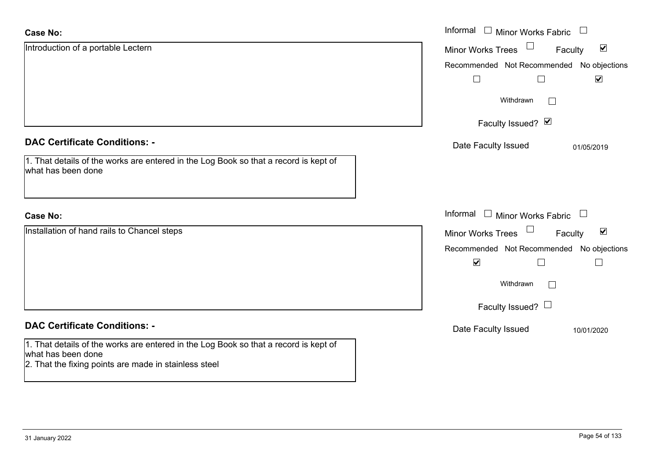| <b>Case No:</b>                                                                                                                                                     | Informal $\square$<br><b>Minor Works Fabric</b>             |
|---------------------------------------------------------------------------------------------------------------------------------------------------------------------|-------------------------------------------------------------|
| Introduction of a portable Lectern                                                                                                                                  | $\blacktriangledown$<br><b>Minor Works Trees</b><br>Faculty |
|                                                                                                                                                                     | Recommended Not Recommended<br>No objections                |
|                                                                                                                                                                     | $\blacktriangledown$<br>$\perp$                             |
|                                                                                                                                                                     | Withdrawn                                                   |
|                                                                                                                                                                     | Faculty Issued? Ø                                           |
| <b>DAC Certificate Conditions: -</b>                                                                                                                                | Date Faculty Issued<br>01/05/2019                           |
| 1. That details of the works are entered in the Log Book so that a record is kept of<br>what has been done                                                          |                                                             |
| <b>Case No:</b>                                                                                                                                                     | Informal<br>$\Box$ Minor Works Fabric $\Box$                |
| Installation of hand rails to Chancel steps                                                                                                                         | $\blacktriangledown$<br><b>Minor Works Trees</b><br>Faculty |
|                                                                                                                                                                     | Recommended Not Recommended No objections                   |
|                                                                                                                                                                     | $\blacktriangledown$                                        |
|                                                                                                                                                                     | Withdrawn                                                   |
|                                                                                                                                                                     | Faculty Issued? $\Box$                                      |
| <b>DAC Certificate Conditions: -</b>                                                                                                                                | Date Faculty Issued<br>10/01/2020                           |
| 1. That details of the works are entered in the Log Book so that a record is kept of<br>what has been done<br>2. That the fixing points are made in stainless steel |                                                             |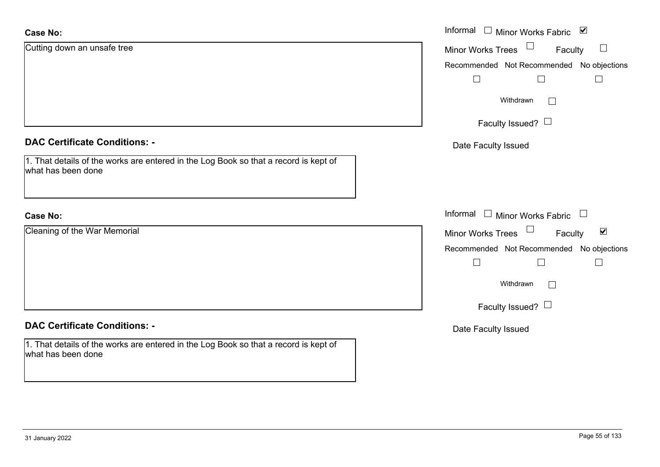| <b>Case No:</b>                                                                                            | Informal □ Minor Works Fabric ⊠                             |
|------------------------------------------------------------------------------------------------------------|-------------------------------------------------------------|
| Cutting down an unsafe tree                                                                                | Minor Works Trees<br>$\mathcal{L}_{\mathcal{A}}$<br>Faculty |
|                                                                                                            | Recommended Not Recommended No objections                   |
|                                                                                                            | $\Box$<br>$\Box$                                            |
|                                                                                                            | Withdrawn<br>$\perp$                                        |
|                                                                                                            | Faculty Issued? $\Box$                                      |
| <b>DAC Certificate Conditions: -</b>                                                                       | Date Faculty Issued                                         |
| 1. That details of the works are entered in the Log Book so that a record is kept of<br>what has been done |                                                             |
| <b>Case No:</b>                                                                                            | Informal □ Minor Works Fabric □                             |
| Cleaning of the War Memorial                                                                               | Minor Works Trees<br>Faculty<br>$\blacktriangledown$        |
|                                                                                                            | Recommended Not Recommended No objections                   |
|                                                                                                            | $\Box$<br>$\Box$<br>$\Box$                                  |
|                                                                                                            | Withdrawn<br>$\Box$                                         |
|                                                                                                            | Faculty Issued? $\Box$                                      |
| <b>DAC Certificate Conditions: -</b>                                                                       | Date Faculty Issued                                         |
| 1. That details of the works are entered in the Log Book so that a record is kept of<br>what has been done |                                                             |
|                                                                                                            |                                                             |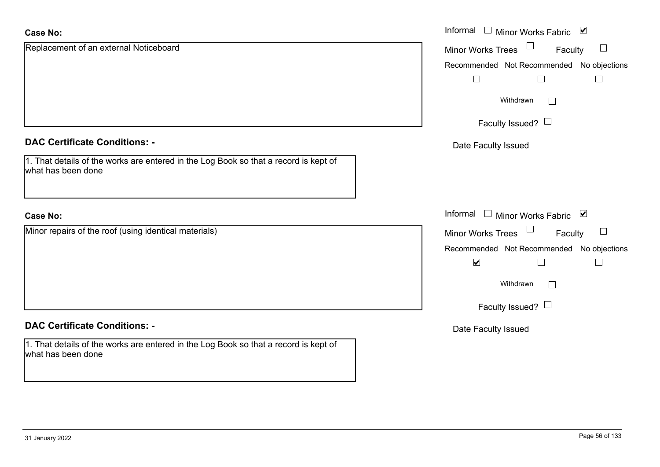| <b>Case No:</b>                                                                                            | Informal $\Box$ Minor Works Fabric $\Box$                                    |
|------------------------------------------------------------------------------------------------------------|------------------------------------------------------------------------------|
| Replacement of an external Noticeboard                                                                     | <b>Minor Works Trees</b><br>$\begin{array}{c} \hline \end{array}$<br>Faculty |
|                                                                                                            | Recommended Not Recommended No objections                                    |
|                                                                                                            |                                                                              |
|                                                                                                            | Withdrawn<br>$\Box$                                                          |
|                                                                                                            | Faculty Issued? $\Box$                                                       |
| <b>DAC Certificate Conditions: -</b>                                                                       | Date Faculty Issued                                                          |
| 1. That details of the works are entered in the Log Book so that a record is kept of<br>what has been done |                                                                              |
| <b>Case No:</b>                                                                                            | Informal □ Minor Works Fabric ⊠                                              |
| Minor repairs of the roof (using identical materials)                                                      | Minor Works Trees<br>$\begin{array}{c} \hline \end{array}$<br>Faculty        |
|                                                                                                            | Recommended Not Recommended No objections                                    |
|                                                                                                            | $\blacktriangledown$                                                         |
|                                                                                                            | Withdrawn<br>$\mathbf{1}$                                                    |
|                                                                                                            | Faculty Issued? $\Box$                                                       |
| <b>DAC Certificate Conditions: -</b>                                                                       | Date Faculty Issued                                                          |
| 1. That details of the works are entered in the Log Book so that a record is kept of<br>what has been done |                                                                              |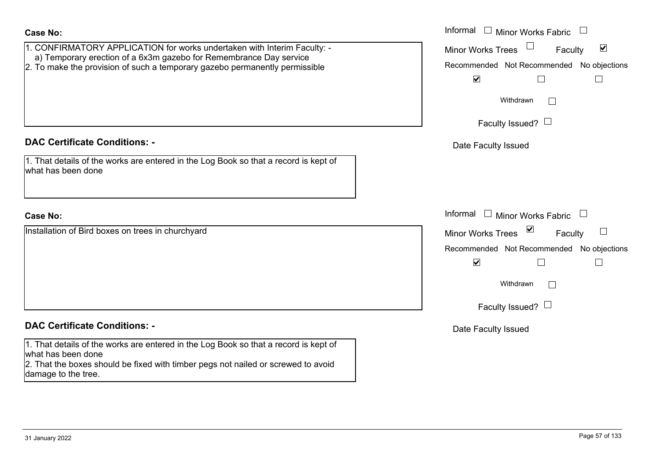| 1. CONFIRMATORY APPLICATION for works undertaken with Interim Faculty: -<br>a) Temporary erection of a 6x3m gazebo for Remembrance Day service<br>2. To make the provision of such a temporary gazebo permanently permissible | Minor W<br>Recomm |
|-------------------------------------------------------------------------------------------------------------------------------------------------------------------------------------------------------------------------------|-------------------|
| <b>DAC Certificate Conditions: -</b><br>1. That details of the works are entered in the Log Book so that a record is kept of<br>what has been done                                                                            | Date I            |
| <b>Case No:</b>                                                                                                                                                                                                               | Informal          |
| Installation of Bird boxes on trees in churchyard                                                                                                                                                                             | Minor W<br>Recomm |

### **DAC Certificate Conditions: -**

1. That details of the works are entered in the Log Book so that a record is kept of what has been done

2. That the boxes should be fixed with timber pegs not nailed or screwed to avoid damage to the tree.

|                                                                                                                                     | Informal<br>$\Box$ Minor Works Fabric                |
|-------------------------------------------------------------------------------------------------------------------------------------|------------------------------------------------------|
| IRMATORY APPLICATION for works undertaken with Interim Faculty: -                                                                   | $\blacktriangledown$<br>Minor Works Trees<br>Faculty |
| porary erection of a 6x3m gazebo for Remembrance Day service<br>ke the provision of such a temporary gazebo permanently permissible | Recommended Not Recommended No objections            |
|                                                                                                                                     | $\blacktriangledown$                                 |
|                                                                                                                                     | Withdrawn                                            |
|                                                                                                                                     | Faculty Issued? $\Box$                               |
| rtificate Conditions: -                                                                                                             | Date Faculty Issued                                  |
| etails of the works are entered in the Log Book so that a record is kept of<br>been done                                            |                                                      |
|                                                                                                                                     | Informal $\Box$ Minor Works Fabric                   |
| on of Bird boxes on trees in churchyard                                                                                             | Minor Works Trees ⊠<br>Faculty                       |
|                                                                                                                                     | Recommended Not Recommended No objections            |
|                                                                                                                                     | $\blacktriangledown$<br>$\Box$                       |
|                                                                                                                                     | Withdrawn                                            |
|                                                                                                                                     | Faculty Issued?                                      |
|                                                                                                                                     |                                                      |

Date Faculty Issued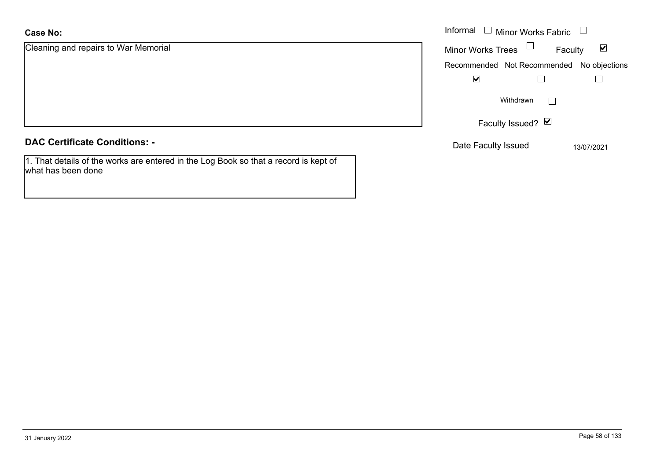Cleaning and repairs to War Memorial

**DAC Certificate Conditions: -**

1. That details of the works are entered in the Log Book so that a record is kept of what has been done

|                             |                          | Informal $\Box$ Minor Works Fabric $\Box$ |                      |
|-----------------------------|--------------------------|-------------------------------------------|----------------------|
| and repairs to War Memorial | Minor Works Trees $\Box$ | Faculty                                   | $\blacktriangledown$ |
|                             |                          | Recommended Not Recommended No objections |                      |
|                             | $\blacktriangledown$     |                                           |                      |
|                             |                          | Withdrawn                                 |                      |
|                             |                          | Faculty Issued? Ø                         |                      |
|                             |                          |                                           |                      |

Date Faculty Issued 13/07/2021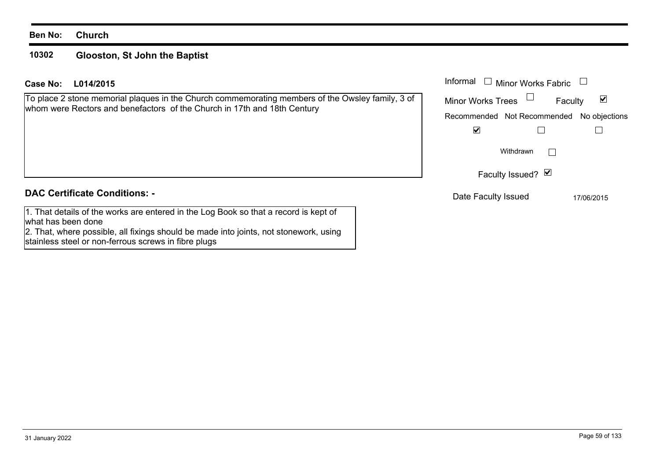#### **10302Glooston, St John the Baptist**

# **L014/2015 Case No:** Informal

To place 2 stone memorial plaques in the Church commemorating members of the Owsley family, 3 of whom were Rectors and benefactors of the Church in 17th and 18th Century

| Informal<br>$\Box$ Minor Works Fabric     |            |
|-------------------------------------------|------------|
| <b>Minor Works Trees</b>                  | Faculty    |
| Recommended Not Recommended No objections |            |
|                                           |            |
| Withdrawn                                 |            |
| Faculty Issued? Ø                         |            |
| Date Faculty Issued                       | 17/06/2015 |

## **DAC Certificate Conditions: -**

1. That details of the works are entered in the Log Book so that a record is kept of what has been done

2. That, where possible, all fixings should be made into joints, not stonework, using stainless steel or non-ferrous screws in fibre plugs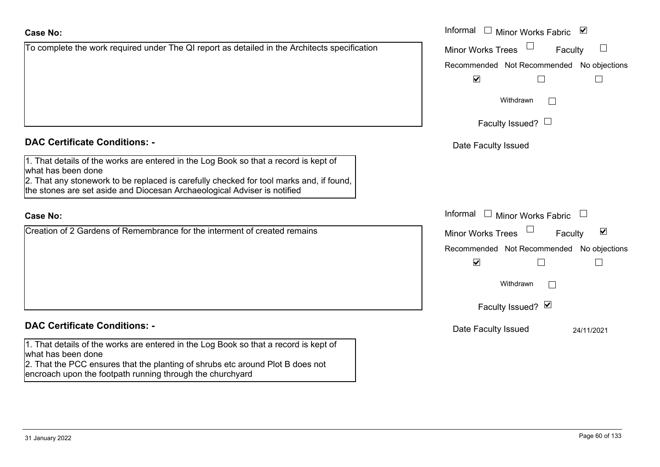| <b>Case No:</b>                                                                                                                                                                                                                                                                   | Informal $\square$<br>Minor Works Fabric ⊠                  |
|-----------------------------------------------------------------------------------------------------------------------------------------------------------------------------------------------------------------------------------------------------------------------------------|-------------------------------------------------------------|
| To complete the work required under The QI report as detailed in the Architects specification                                                                                                                                                                                     | <b>Minor Works Trees</b><br>Faculty<br>$\vert \ \ \vert$    |
|                                                                                                                                                                                                                                                                                   | Recommended Not Recommended No objections                   |
|                                                                                                                                                                                                                                                                                   | $\blacktriangledown$                                        |
|                                                                                                                                                                                                                                                                                   | Withdrawn<br>$\mathbb{R}^n$                                 |
|                                                                                                                                                                                                                                                                                   | Faculty Issued? $\Box$                                      |
| <b>DAC Certificate Conditions: -</b>                                                                                                                                                                                                                                              | Date Faculty Issued                                         |
| 1. That details of the works are entered in the Log Book so that a record is kept of<br>what has been done<br>2. That any stonework to be replaced is carefully checked for tool marks and, if found,<br>the stones are set aside and Diocesan Archaeological Adviser is notified |                                                             |
| <b>Case No:</b>                                                                                                                                                                                                                                                                   | Informal<br>$\Box$ Minor Works Fabric                       |
| Creation of 2 Gardens of Remembrance for the interment of created remains                                                                                                                                                                                                         | $\blacktriangledown$<br><b>Minor Works Trees</b><br>Faculty |
|                                                                                                                                                                                                                                                                                   | Recommended Not Recommended No objections                   |
|                                                                                                                                                                                                                                                                                   | $\blacktriangledown$                                        |
|                                                                                                                                                                                                                                                                                   | Withdrawn                                                   |
|                                                                                                                                                                                                                                                                                   | Faculty Issued? Ø                                           |
| <b>DAC Certificate Conditions: -</b>                                                                                                                                                                                                                                              | Date Faculty Issued<br>24/11/2021                           |
| 1. That details of the works are entered in the Log Book so that a record is kept of<br>what has been done<br>2. That the PCC ensures that the planting of shrubs etc around Plot B does not<br>encroach upon the footpath running through the churchyard                         |                                                             |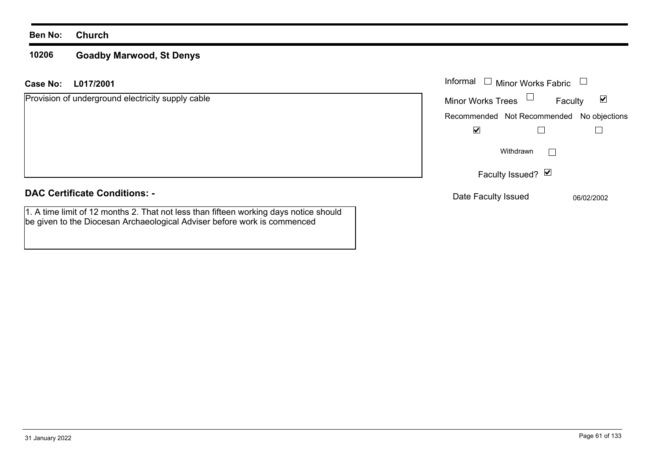#### **10206Goadby Marwood, St Denys**

## **L017/2001Case No:** Informal

| Provision of underground electricity supply cable | <b>Minor Works Trees</b>                  | ⊻<br>Faculty |
|---------------------------------------------------|-------------------------------------------|--------------|
|                                                   | Recommended Not Recommended No objections |              |
|                                                   | $\blacktriangledown$                      |              |
|                                                   | Withdrawn                                 |              |
|                                                   | Faculty Issued? ⊠                         |              |
| <b>DAC Certificate Conditions: -</b>              | Date Faculty Issued                       | 06/02/2002   |

1. A time limit of 12 months 2. That not less than fifteen working days notice should be given to the Diocesan Archaeological Adviser before work is commenced

Minor Works Fabric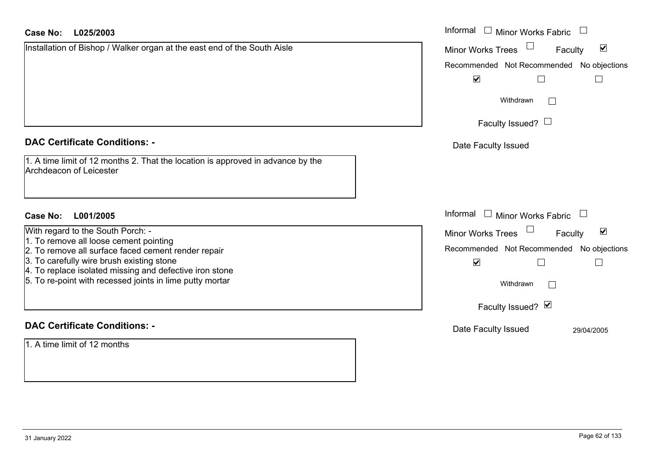| <b>Case No:</b><br>L025/2003                                                                                        | Informal<br>$\Box$ Minor Works Fabric                         |
|---------------------------------------------------------------------------------------------------------------------|---------------------------------------------------------------|
| Installation of Bishop / Walker organ at the east end of the South Aisle                                            | $\blacktriangledown$<br><b>Minor Works Trees</b><br>Faculty   |
|                                                                                                                     | Recommended Not Recommended No objections                     |
|                                                                                                                     | $\blacktriangledown$<br>$\Box$<br>$\mathcal{L}_{\mathcal{A}}$ |
|                                                                                                                     | Withdrawn                                                     |
|                                                                                                                     | Faculty Issued? $\Box$                                        |
| <b>DAC Certificate Conditions: -</b>                                                                                | Date Faculty Issued                                           |
| 1. A time limit of 12 months 2. That the location is approved in advance by the<br><b>Archdeacon of Leicester</b>   |                                                               |
| L001/2005<br>Case No:                                                                                               | Informal<br>$\Box$ Minor Works Fabric                         |
| With regard to the South Porch: -                                                                                   | $\blacktriangledown$<br><b>Minor Works Trees</b><br>Faculty   |
| 1. To remove all loose cement pointing<br>2. To remove all surface faced cement render repair                       | Recommended Not Recommended No objections                     |
| 3. To carefully wire brush existing stone                                                                           | $\blacktriangledown$<br>$\mathsf{L}$                          |
| 4. To replace isolated missing and defective iron stone<br>5. To re-point with recessed joints in lime putty mortar | Withdrawn                                                     |
|                                                                                                                     | Faculty Issued? Ø                                             |
| <b>DAC Certificate Conditions: -</b>                                                                                | Date Faculty Issued<br>29/04/2005                             |
| 1. A time limit of 12 months                                                                                        |                                                               |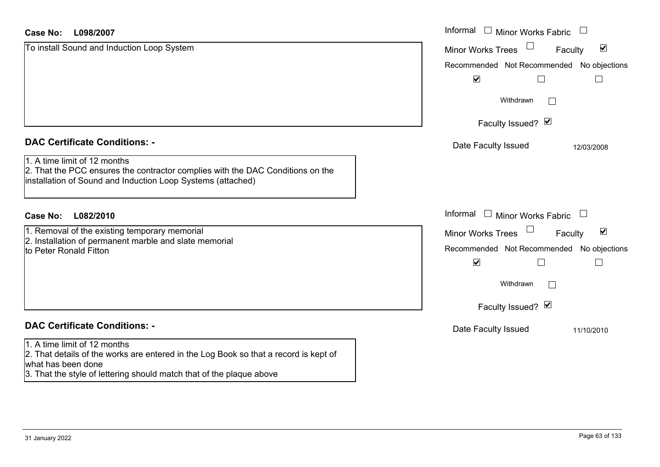| L098/2007<br>Case No:                                                                                                                                                         | Informal □ Minor Works Fabric<br>$\frac{1}{2}$                   |
|-------------------------------------------------------------------------------------------------------------------------------------------------------------------------------|------------------------------------------------------------------|
| To install Sound and Induction Loop System                                                                                                                                    | $\blacktriangledown$<br><b>Minor Works Trees</b><br>Faculty      |
|                                                                                                                                                                               | Recommended Not Recommended No objections                        |
|                                                                                                                                                                               | $\blacktriangledown$                                             |
|                                                                                                                                                                               | Withdrawn                                                        |
|                                                                                                                                                                               | Faculty Issued? Ø                                                |
| <b>DAC Certificate Conditions: -</b>                                                                                                                                          | Date Faculty Issued<br>12/03/2008                                |
| 1. A time limit of 12 months<br>2. That the PCC ensures the contractor complies with the DAC Conditions on the<br>installation of Sound and Induction Loop Systems (attached) |                                                                  |
| L082/2010<br><b>Case No:</b>                                                                                                                                                  | Informal<br>$\Box$<br><b>Minor Works Fabric</b><br>$\frac{1}{2}$ |
| 1. Removal of the existing temporary memorial                                                                                                                                 | $\blacktriangledown$<br><b>Minor Works Trees</b><br>Faculty      |
| 2. Installation of permanent marble and slate memorial<br>to Peter Ronald Fitton                                                                                              | Recommended Not Recommended No objections                        |
|                                                                                                                                                                               | $\blacktriangledown$                                             |
|                                                                                                                                                                               | Withdrawn                                                        |
|                                                                                                                                                                               | Faculty Issued? Ø                                                |
| <b>DAC Certificate Conditions: -</b>                                                                                                                                          | Date Faculty Issued<br>11/10/2010                                |
| 1. A time limit of 12 months<br>2. That details of the works are entered in the Log Book so that a record is kept of<br>what has been done                                    |                                                                  |
| 3. That the style of lettering should match that of the plaque above                                                                                                          |                                                                  |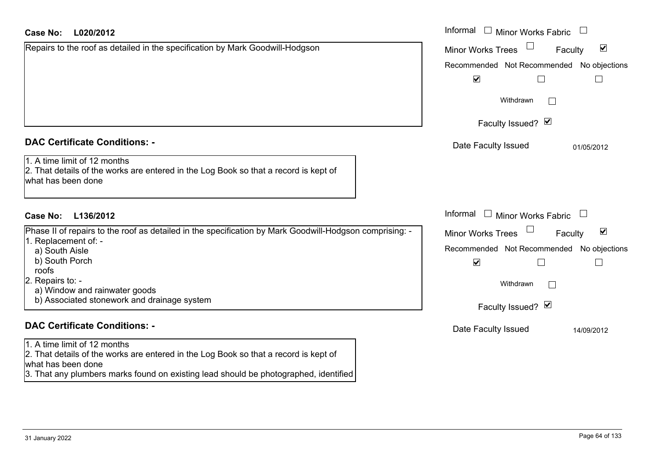| <b>Case No:</b><br>L020/2012                                                                                                               | Informal $\square$<br>Minor Works Fabric                    |
|--------------------------------------------------------------------------------------------------------------------------------------------|-------------------------------------------------------------|
| Repairs to the roof as detailed in the specification by Mark Goodwill-Hodgson                                                              | $\blacktriangledown$<br><b>Minor Works Trees</b><br>Faculty |
|                                                                                                                                            | Recommended Not Recommended No objections                   |
|                                                                                                                                            | $\blacktriangledown$                                        |
|                                                                                                                                            | Withdrawn                                                   |
|                                                                                                                                            | Faculty Issued? Ø                                           |
| <b>DAC Certificate Conditions: -</b>                                                                                                       | Date Faculty Issued<br>01/05/2012                           |
| 1. A time limit of 12 months<br>2. That details of the works are entered in the Log Book so that a record is kept of<br>what has been done |                                                             |
| <b>Case No:</b><br>L136/2012                                                                                                               | Informal $\Box$ Minor Works Fabric $\Box$                   |
| Phase II of repairs to the roof as detailed in the specification by Mark Goodwill-Hodgson comprising: -                                    | $\blacktriangledown$<br><b>Minor Works Trees</b><br>Faculty |
| 1. Replacement of: -                                                                                                                       | Recommended Not Recommended No objections                   |
| a) South Aisle<br>b) South Porch<br>roofs                                                                                                  | $\blacktriangledown$<br>∟                                   |
| 2. Repairs to: -                                                                                                                           | Withdrawn                                                   |
| a) Window and rainwater goods                                                                                                              |                                                             |
| b) Associated stonework and drainage system                                                                                                | Faculty Issued? Ø                                           |
| <b>DAC Certificate Conditions: -</b>                                                                                                       | Date Faculty Issued<br>14/09/2012                           |
| 1. A time limit of 12 months<br>2. That details of the works are entered in the Log Book so that a record is kept of<br>what has been done |                                                             |

3. That any plumbers marks found on existing lead should be photographed, identified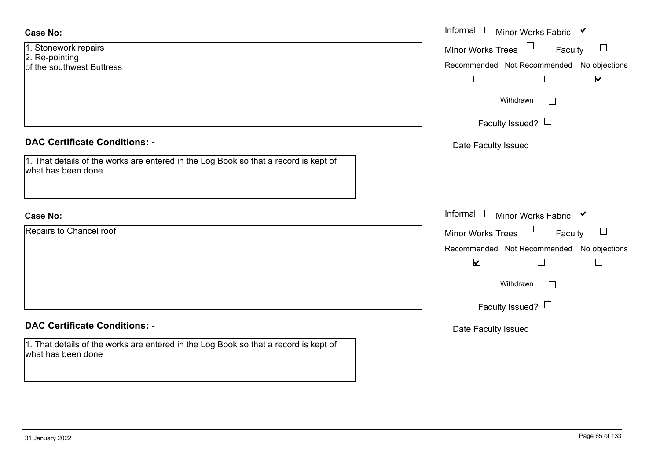| Case No: |
|----------|
|          |

| 1. Stonework repairs      |
|---------------------------|
| 2. Re-pointing            |
| of the southwest Buttress |

# **DAC Certificate Conditions: -**

| 1. That details of the works are entered in the Log Book so that a record is kept of |
|--------------------------------------------------------------------------------------|
| what has been done                                                                   |

# **Case No:**

Repairs to Chancel roof

# **DAC Certificate Conditions: -**

1. That details of the works are entered in the Log Book so that a record is kept of what has been done

|                                                                                          | Informal $\square$<br>Minor Works Fabric ⊠    |
|------------------------------------------------------------------------------------------|-----------------------------------------------|
| vork repairs<br>inting                                                                   | Minor Works Trees $\Box$<br>Faculty<br>$\Box$ |
| uthwest Buttress                                                                         | Recommended Not Recommended No objections     |
|                                                                                          | $\blacktriangledown$                          |
|                                                                                          | Withdrawn                                     |
|                                                                                          | Faculty Issued? $\Box$                        |
| rtificate Conditions: -                                                                  | Date Faculty Issued                           |
| etails of the works are entered in the Log Book so that a record is kept of<br>been done |                                               |
|                                                                                          | Informal □ Minor Works Fabric ⊠               |
| o Chancel roof                                                                           | Minor Works Trees $\Box$ Faculty<br>$\Box$    |
|                                                                                          | Recommended Not Recommended No objections     |
|                                                                                          | $\blacktriangledown$                          |
|                                                                                          | Withdrawn                                     |
|                                                                                          | Faculty Issued? $\Box$                        |
|                                                                                          |                                               |

Date Faculty Issued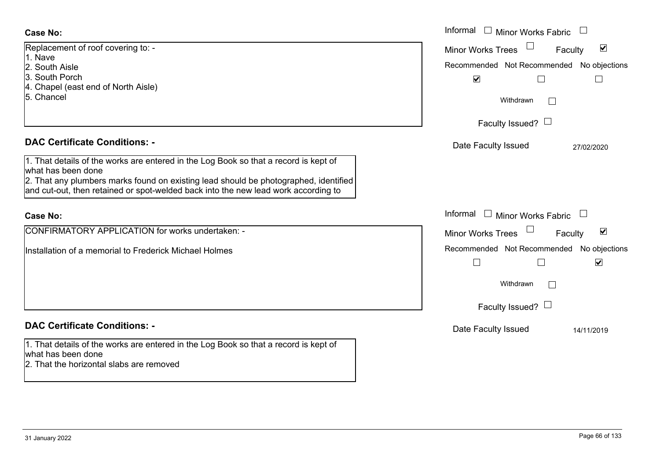| <b>Case No:</b>                                                                                                                                                            | Informal $\Box$<br><b>Minor Works Fabric</b>         |
|----------------------------------------------------------------------------------------------------------------------------------------------------------------------------|------------------------------------------------------|
| Replacement of roof covering to: -<br>1. Nave                                                                                                                              | $\blacktriangledown$<br>Minor Works Trees<br>Faculty |
| 2. South Aisle                                                                                                                                                             | Recommended Not Recommended No objections            |
| 3. South Porch                                                                                                                                                             | $\blacktriangledown$                                 |
| 4. Chapel (east end of North Aisle)<br>5. Chancel                                                                                                                          | Withdrawn<br>$\mathbb{R}^n$                          |
|                                                                                                                                                                            | Faculty Issued? $\Box$                               |
| <b>DAC Certificate Conditions: -</b>                                                                                                                                       | Date Faculty Issued<br>27/02/2020                    |
| 1. That details of the works are entered in the Log Book so that a record is kept of<br>what has been done                                                                 |                                                      |
| 2. That any plumbers marks found on existing lead should be photographed, identified<br>and cut-out, then retained or spot-welded back into the new lead work according to |                                                      |
| <b>Case No:</b>                                                                                                                                                            | Informal $\Box$ Minor Works Fabric                   |
| CONFIRMATORY APPLICATION for works undertaken: -                                                                                                                           | $\blacktriangledown$<br>Minor Works Trees<br>Faculty |
| Installation of a memorial to Frederick Michael Holmes                                                                                                                     | Recommended Not Recommended<br>No objections         |
|                                                                                                                                                                            | $\blacktriangledown$<br>$\overline{\phantom{a}}$     |
|                                                                                                                                                                            | Withdrawn<br>$\mathbb{R}^n$                          |
|                                                                                                                                                                            | Faculty Issued? $\Box$                               |
| <b>DAC Certificate Conditions: -</b>                                                                                                                                       | Date Faculty Issued<br>14/11/2019                    |
| 1. That details of the works are entered in the Log Book so that a record is kept of<br>what has been done<br>2. That the horizontal slabs are removed                     |                                                      |

 $\sim$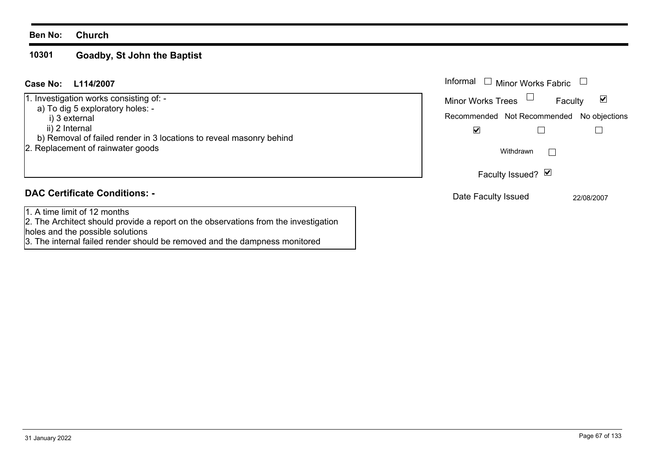#### **10301 Goadby, St John the Baptist**

| L114/2007<br>Case No:                                                                                                                                                                                                      | Informal $\square$<br><b>Minor Works Fabric</b>                                                                            |
|----------------------------------------------------------------------------------------------------------------------------------------------------------------------------------------------------------------------------|----------------------------------------------------------------------------------------------------------------------------|
| 1. Investigation works consisting of: -<br>a) To dig 5 exploratory holes: -<br>i) 3 external<br>ii) 2 Internal<br>b) Removal of failed render in 3 locations to reveal masonry behind<br>2. Replacement of rainwater goods | ⊻<br><b>Minor Works Trees</b><br>Faculty<br>Recommended Not Recommended No objections<br>$\blacktriangledown$<br>Withdrawn |
|                                                                                                                                                                                                                            | Faculty Issued? Ø                                                                                                          |
| <b>DAC Certificate Conditions: -</b>                                                                                                                                                                                       | Date Faculty Issued<br>22/08/2007                                                                                          |
| 1. A time limit of 12 months<br>[2. The Architect should provide a report on the observations from the investigation<br>holes and the possible solutions                                                                   |                                                                                                                            |

3. The internal failed render should be removed and the dampness monitored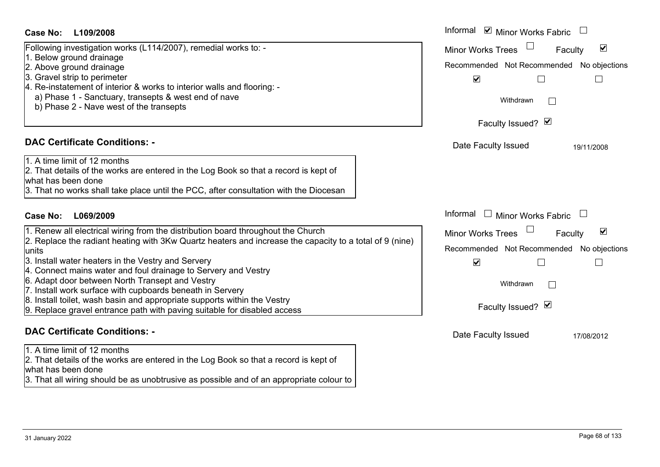#### Informal  $\vee$  Minor Works Fabric  $\Box$ **L109/2008Case No:** Informal Following investigation works (L114/2007), remedial works to: - Minor Works Trees<sup>1</sup>  $\blacktriangledown$ Faculty 1. Below ground drainage 2. Above ground drainage Recommended Not Recommended No objections 3. Gravel strip to perimeter  $\overline{\mathbf{v}}$  $\Box$  $\Box$ 4. Re-instatement of interior & works to interior walls and flooring: a) Phase 1 - Sanctuary, transepts & west end of nave Withdrawn $\Box$  b) Phase 2 - Nave west of the transepts Faculty Issued?  $\boxtimes$ **DAC Certificate Conditions: -**Date Faculty Issued 19/11/2008 1. A time limit of 12 months2. That details of the works are entered in the Log Book so that a record is kept of what has been done3. That no works shall take place until the PCC, after consultation with the Diocesan Informal  $\Box$  Minor Works Fabric  $\Box$ **L069/2009Case No:** Informal 1. Renew all electrical wiring from the distribution board throughout the Church  $\overline{\mathsf{v}}$ Faculty Minor Works Trees 2. Replace the radiant heating with 3Kw Quartz heaters and increase the capacity to a total of 9 (nine) Recommended Not Recommended No objections units3. Install water heaters in the Vestry and Servery  $\overline{\mathbf{v}}$  $\Box$  $\Box$ 4. Connect mains water and foul drainage to Servery and Vestry 6. Adapt door between North Transept and Vestry Withdrawn $\Box$ 7. Install work surface with cupboards beneath in Servery 8. Install toilet, wash basin and appropriate supports within the Vestry Faculty Issued? Ø 9. Replace gravel entrance path with paving suitable for disabled access **DAC Certificate Conditions: -**Date Faculty Issued 17/08/2012 1. A time limit of 12 months2. That details of the works are entered in the Log Book so that a record is kept of what has been done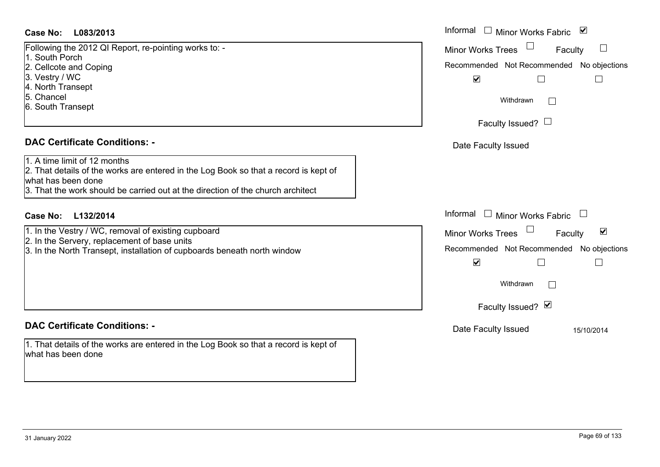# **L083/2013Case No:** Informal

Following the 2012 QI Report, re-pointing works to: - 1. South Porch2. Cellcote and Coping 3. Vestry / WC 4. North Transept 5. Chancel6. South Transept

# **DAC Certificate Conditions: -**

1. A time limit of 12 months

2. That details of the works are entered in the Log Book so that a record is kept of what has been done

3. That the work should be carried out at the direction of the church architect

# **L132/2014Case No:** Informal

1. In the Vestry / WC, removal of existing cupboard

2. In the Servery, replacement of base units

3. In the North Transept, installation of cupboards beneath north window

# **DAC Certificate Conditions: -**

1. That details of the works are entered in the Log Book so that a record is kept of what has been done

| Informal<br>⊻<br>Minor Works Fabric                               |
|-------------------------------------------------------------------|
| <b>Minor Works Trees</b><br>Faculty                               |
| Recommended Not Recommended No objections<br>$\blacktriangledown$ |
| Withdrawn                                                         |
| Faculty Issued? $\Box$                                            |
| Date Faculty Issued                                               |
|                                                                   |
|                                                                   |
| Informal<br><b>Minor Works Fabric</b>                             |
| ☑<br><b>Minor Works Trees</b><br>Faculty                          |
| Recommended Not Recommended No objections<br>V                    |
| Withdrawn                                                         |
| Faculty Issued? Ø                                                 |
| Date Faculty Issued<br>15/10/2014                                 |
|                                                                   |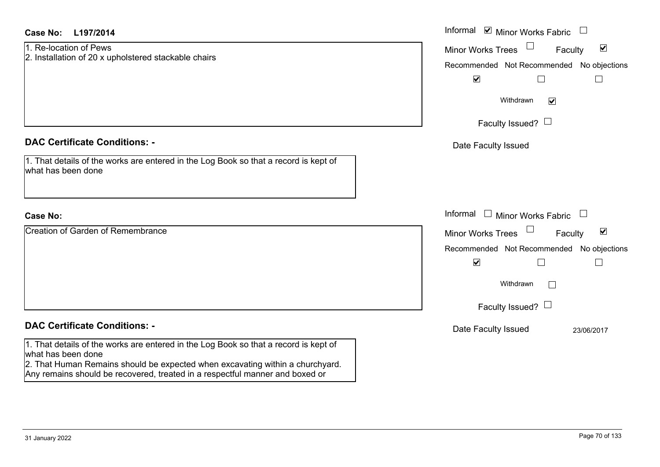| <b>Case No:</b><br>L197/2014                                                                                                                                                                                                                                                | Informal ⊠ Minor Works Fabric $\Box$                                                                                                                                                                            |
|-----------------------------------------------------------------------------------------------------------------------------------------------------------------------------------------------------------------------------------------------------------------------------|-----------------------------------------------------------------------------------------------------------------------------------------------------------------------------------------------------------------|
| 1. Re-location of Pews<br>2. Installation of 20 x upholstered stackable chairs                                                                                                                                                                                              | Minor Works Trees<br>$\blacktriangledown$<br>Faculty<br>Recommended Not Recommended No objections<br>$\blacktriangledown$<br>$\Box$<br>$\Box$                                                                   |
|                                                                                                                                                                                                                                                                             | Withdrawn<br>$\blacktriangledown$                                                                                                                                                                               |
|                                                                                                                                                                                                                                                                             | Faculty Issued? $\Box$                                                                                                                                                                                          |
| <b>DAC Certificate Conditions: -</b>                                                                                                                                                                                                                                        | Date Faculty Issued                                                                                                                                                                                             |
| 1. That details of the works are entered in the Log Book so that a record is kept of<br>what has been done                                                                                                                                                                  |                                                                                                                                                                                                                 |
| <b>Case No:</b>                                                                                                                                                                                                                                                             | Informal □ Minor Works Fabric<br>$\Box$                                                                                                                                                                         |
| <b>Creation of Garden of Remembrance</b>                                                                                                                                                                                                                                    | Minor Works Trees<br>$\blacktriangledown$<br>Faculty<br>Recommended Not Recommended No objections<br>$\blacktriangledown$<br>$\mathbb{R}$<br>Withdrawn<br>$\mathcal{L}^{\mathcal{A}}$<br>Faculty Issued? $\Box$ |
| <b>DAC Certificate Conditions: -</b>                                                                                                                                                                                                                                        | Date Faculty Issued<br>23/06/2017                                                                                                                                                                               |
| 1. That details of the works are entered in the Log Book so that a record is kept of<br>what has been done<br>2. That Human Remains should be expected when excavating within a churchyard.<br>Any remains should be recovered, treated in a respectful manner and boxed or |                                                                                                                                                                                                                 |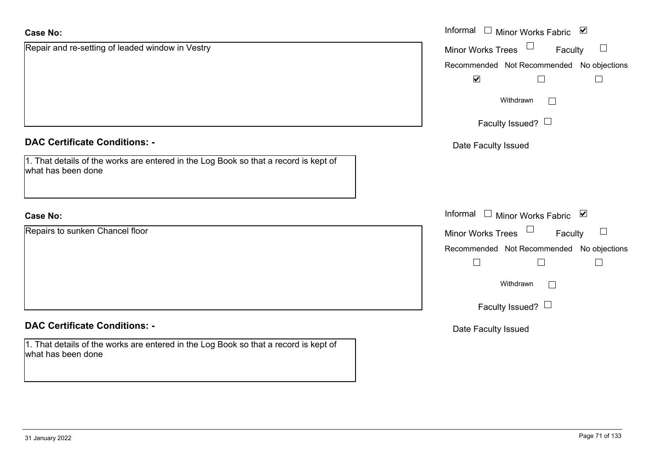| <b>Case No:</b>                                                                                            | Informal □ Minor Works Fabric ⊠              |
|------------------------------------------------------------------------------------------------------------|----------------------------------------------|
| Repair and re-setting of leaded window in Vestry                                                           | Minor Works Trees<br>$\Box$<br>Faculty       |
|                                                                                                            | Recommended Not Recommended No objections    |
|                                                                                                            | $\blacktriangledown$<br>$\Box$               |
|                                                                                                            | Withdrawn<br>$\Box$                          |
|                                                                                                            | Faculty Issued? $\Box$                       |
| <b>DAC Certificate Conditions: -</b>                                                                       | Date Faculty Issued                          |
| 1. That details of the works are entered in the Log Book so that a record is kept of<br>what has been done |                                              |
| <b>Case No:</b>                                                                                            | Informal<br>$\Box$ Minor Works Fabric $\Box$ |
| Repairs to sunken Chancel floor                                                                            | Minor Works Trees<br>$\Box$<br>Faculty       |
|                                                                                                            | Recommended Not Recommended No objections    |
|                                                                                                            | $\Box$<br>$\Box$                             |
|                                                                                                            | Withdrawn<br>$\vert \hspace{.06cm} \vert$    |
|                                                                                                            | Faculty Issued? $\Box$                       |
| <b>DAC Certificate Conditions: -</b>                                                                       | Date Faculty Issued                          |
| 1. That details of the works are entered in the Log Book so that a record is kept of<br>what has been done |                                              |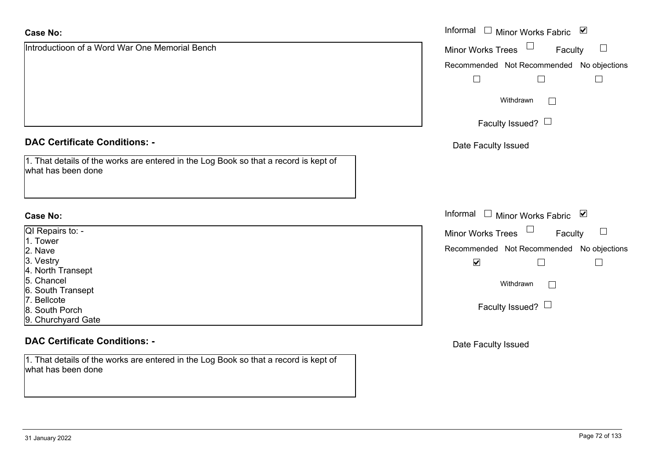| <b>Case No:</b>                                                                                            | Informal<br>Minor Works Fabric ⊠<br>$\Box$                   |
|------------------------------------------------------------------------------------------------------------|--------------------------------------------------------------|
| Introductioon of a Word War One Memorial Bench                                                             | Minor Works Trees<br>$\Box$<br>Faculty                       |
|                                                                                                            | Recommended Not Recommended No objections                    |
|                                                                                                            | $\Box$                                                       |
|                                                                                                            |                                                              |
|                                                                                                            | Withdrawn<br>$\Box$                                          |
|                                                                                                            | Faculty Issued? $\Box$                                       |
| <b>DAC Certificate Conditions: -</b>                                                                       | Date Faculty Issued                                          |
| 1. That details of the works are entered in the Log Book so that a record is kept of<br>what has been done |                                                              |
| <b>Case No:</b>                                                                                            | Informal<br>□ Minor Works Fabric $\vert \blacktriangleright$ |
| QI Repairs to: -                                                                                           | Minor Works Trees<br>$\Box$<br>Faculty                       |
| 1. Tower                                                                                                   | Recommended Not Recommended No objections                    |
| 2. Nave<br>3. Vestry                                                                                       |                                                              |
| 4. North Transept                                                                                          | $\blacktriangledown$                                         |
| 5. Chancel                                                                                                 | Withdrawn<br>$\Box$                                          |
| 6. South Transept                                                                                          |                                                              |
| 7. Bellcote                                                                                                | Faculty Issued? $\Box$                                       |
| 8. South Porch                                                                                             |                                                              |
| 9. Churchyard Gate                                                                                         |                                                              |
| <b>DAC Certificate Conditions: -</b>                                                                       | Date Faculty Issued                                          |
| 1. That details of the works are entered in the Log Book so that a record is kept of                       |                                                              |

what has been done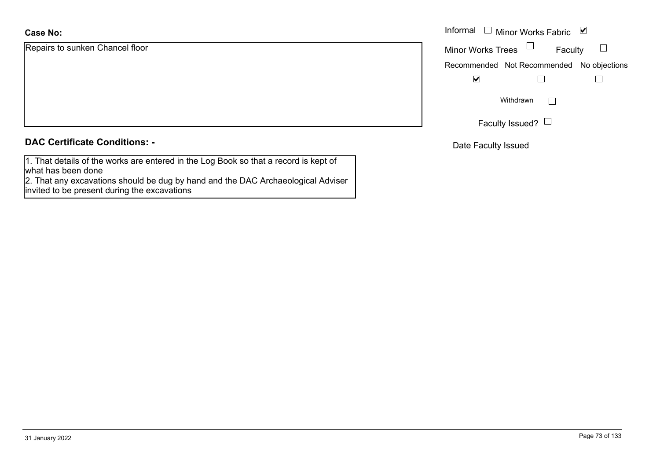### **Case No:**

Repairs to sunken Chancel floor

|  |  | <b>DAC Certificate Conditions: -</b> |  |
|--|--|--------------------------------------|--|
|--|--|--------------------------------------|--|

1. That details of the works are entered in the Log Book so that a record is kept of what has been done

 2. That any excavations should be dug by hand and the DAC Archaeological Adviser invited to be present during the excavations

|                        | Informal $\Box$ Minor Works Fabric $\Box$ |
|------------------------|-------------------------------------------|
| o sunken Chancel floor | Minor Works Trees $\quad \Box$<br>Faculty |
|                        | Recommended Not Recommended No objections |
|                        | ⊻                                         |
|                        | Withdrawn<br>I.                           |
|                        | Faculty Issued? $\Box$                    |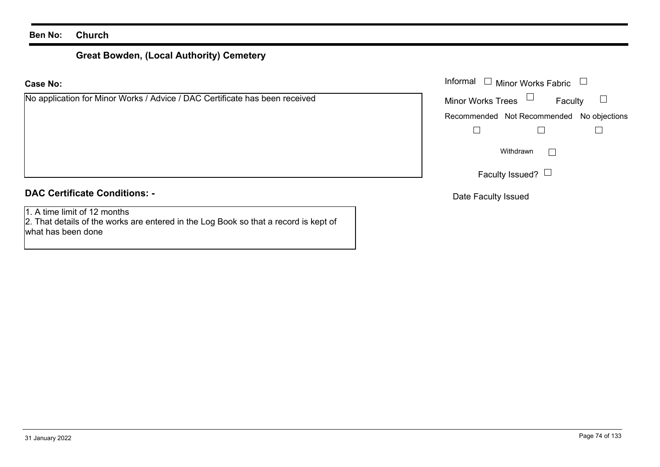# **Great Bowden, (Local Authority) Cemetery**

### **Case No:**

| No application for Minor Works / Advice / DAC Certificate has been received |  |  |
|-----------------------------------------------------------------------------|--|--|
|                                                                             |  |  |

### **DAC Certificate Conditions: -**

1. A time limit of 12 months

2. That details of the works are entered in the Log Book so that a record is kept of what has been done

|                                                                     | Informal $\Box$ Minor Works Fabric $\Box$     |
|---------------------------------------------------------------------|-----------------------------------------------|
| cation for Minor Works / Advice / DAC Certificate has been received | Faculty $\square$<br>Minor Works Trees $\Box$ |
|                                                                     | Recommended Not Recommended No objections     |
|                                                                     |                                               |
|                                                                     | Withdrawn                                     |
|                                                                     | Faculty Issued? $\Box$                        |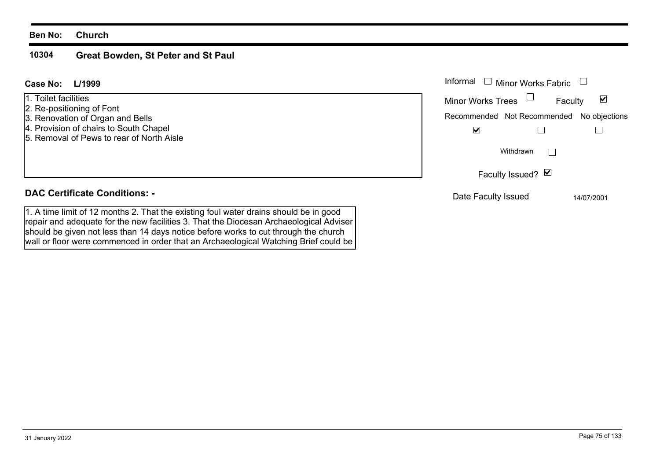#### **10304Great Bowden, St Peter and St Paul**

should be given not less than 14 days notice before works to cut through the church wall or floor were commenced in order that an Archaeological Watching Brief could be

#### Informal  $\Box$  Minor Works Fabric  $\Box$  Informal **L/1999Case No:**1. Toilet facilitiesFaculty  $\blacktriangledown$ Minor Works Trees 2. Re-positioning of Font 3. Renovation of Organ and Bells Recommended Not Recommended No objections 4. Provision of chairs to South Chapel  $\overline{\mathbf{v}}$  $\Box$  $\Box$ 5. Removal of Pews to rear of North AisleWithdrawn $\Box$ Faculty Issued? Ø **DAC Certificate Conditions: -**Date Faculty Issued 14/07/2001 1. A time limit of 12 months 2. That the existing foul water drains should be in good repair and adequate for the new facilities 3. That the Diocesan Archaeological Adviser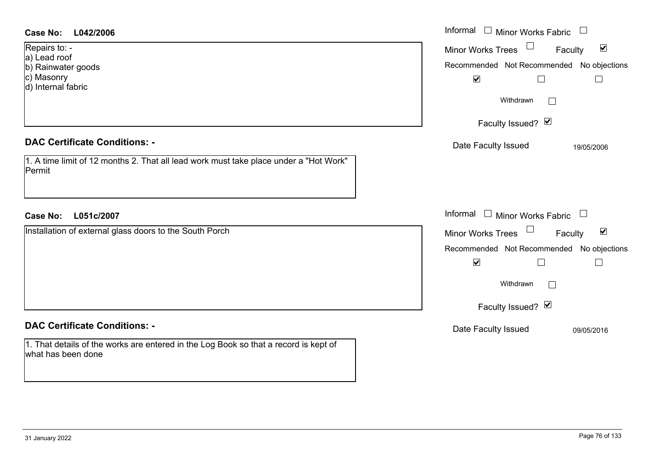| <b>Case No:</b><br>L042/2006                                                                                                                                                                                                       | Informal<br>$\Box$ Minor Works Fabric $\Box$                                                                                                                                                                                      |
|------------------------------------------------------------------------------------------------------------------------------------------------------------------------------------------------------------------------------------|-----------------------------------------------------------------------------------------------------------------------------------------------------------------------------------------------------------------------------------|
| Repairs to: -<br>a) Lead roof<br>b) Rainwater goods<br>c) Masonry<br>d) Internal fabric<br><b>DAC Certificate Conditions: -</b><br>1. A time limit of 12 months 2. That all lead work must take place under a "Hot Work"<br>Permit | Minor Works Trees <sup>1</sup><br>$\blacktriangledown$<br>Faculty<br>Recommended Not Recommended No objections<br>$\blacktriangledown$<br>$\Box$<br>$\Box$<br>Withdrawn<br>Faculty Issued? Ø<br>Date Faculty Issued<br>19/05/2006 |
| L051c/2007<br><b>Case No:</b>                                                                                                                                                                                                      | Informal $\Box$ Minor Works Fabric $\Box$                                                                                                                                                                                         |
| Installation of external glass doors to the South Porch                                                                                                                                                                            | Minor Works Trees<br>$\blacktriangledown$<br>Faculty<br>Recommended Not Recommended No objections<br>$\blacktriangledown$<br>$\Box$<br>$\Box$<br>Withdrawn<br>$\sim$<br>Faculty Issued? Ø                                         |
| <b>DAC Certificate Conditions: -</b>                                                                                                                                                                                               | Date Faculty Issued<br>09/05/2016                                                                                                                                                                                                 |
| 1. That details of the works are entered in the Log Book so that a record is kept of<br>what has been done                                                                                                                         |                                                                                                                                                                                                                                   |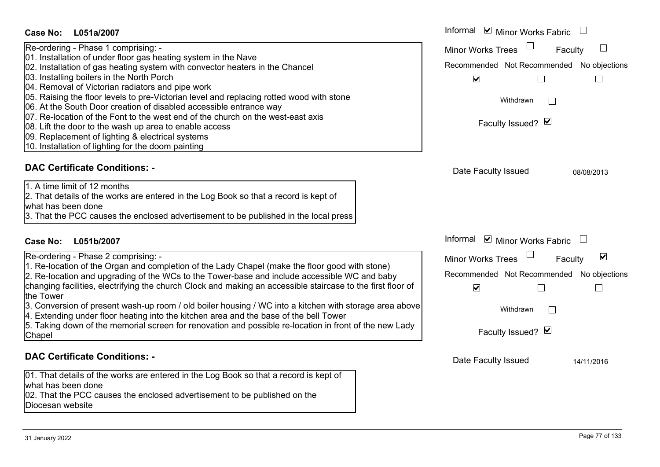| Case No:<br>L051a/2007                                                                                                                                                                                                                                                                                                                                                                                                                                                                                                                                                                                                                                                                                          | Informal ☑ Minor Works Fabric                                                                                                                                                             |
|-----------------------------------------------------------------------------------------------------------------------------------------------------------------------------------------------------------------------------------------------------------------------------------------------------------------------------------------------------------------------------------------------------------------------------------------------------------------------------------------------------------------------------------------------------------------------------------------------------------------------------------------------------------------------------------------------------------------|-------------------------------------------------------------------------------------------------------------------------------------------------------------------------------------------|
| Re-ordering - Phase 1 comprising: -<br>01. Installation of under floor gas heating system in the Nave<br>02. Installation of gas heating system with convector heaters in the Chancel<br>03. Installing boilers in the North Porch<br>04. Removal of Victorian radiators and pipe work<br>05. Raising the floor levels to pre-Victorian level and replacing rotted wood with stone<br>06. At the South Door creation of disabled accessible entrance way<br>07. Re-location of the Font to the west end of the church on the west-east axis<br>08. Lift the door to the wash up area to enable access<br>09. Replacement of lighting & electrical systems<br>10. Installation of lighting for the doom painting | $\mathbb{L}$<br><b>Minor Works Trees</b><br>Faculty<br>Recommended Not Recommended No objections<br>$\blacktriangledown$<br>Г<br>$\Box$<br>Withdrawn<br>$\mathbf{I}$<br>Faculty Issued? Ø |
| <b>DAC Certificate Conditions: -</b><br>1. A time limit of 12 months<br>2. That details of the works are entered in the Log Book so that a record is kept of<br>what has been done<br>3. That the PCC causes the enclosed advertisement to be published in the local press                                                                                                                                                                                                                                                                                                                                                                                                                                      | Date Faculty Issued<br>08/08/2013                                                                                                                                                         |
| L051b/2007<br><b>Case No:</b>                                                                                                                                                                                                                                                                                                                                                                                                                                                                                                                                                                                                                                                                                   | Informal ☑ Minor Works Fabric                                                                                                                                                             |
| Re-ordering - Phase 2 comprising: -<br>1. Re-location of the Organ and completion of the Lady Chapel (make the floor good with stone)<br>2. Re-location and upgrading of the WCs to the Tower-base and include accessible WC and baby<br>changing facilities, electrifying the church Clock and making an accessible staircase to the first floor of<br>the Tower<br>3. Conversion of present wash-up room / old boiler housing / WC into a kitchen with storage area above                                                                                                                                                                                                                                     | $\blacktriangledown$<br><b>Minor Works Trees</b><br>Faculty<br>Recommended Not Recommended<br>No objections<br>$\blacktriangledown$<br>Withdrawn                                          |
| 4. Extending under floor heating into the kitchen area and the base of the bell Tower<br>5. Taking down of the memorial screen for renovation and possible re-location in front of the new Lady<br>Chapel                                                                                                                                                                                                                                                                                                                                                                                                                                                                                                       | Faculty Issued? Ø                                                                                                                                                                         |
| <b>DAC Certificate Conditions: -</b><br>01. That details of the works are entered in the Log Book so that a record is kept of<br>what has been done<br>02. That the PCC causes the enclosed advertisement to be published on the                                                                                                                                                                                                                                                                                                                                                                                                                                                                                | Date Faculty Issued<br>14/11/2016                                                                                                                                                         |

Diocesan website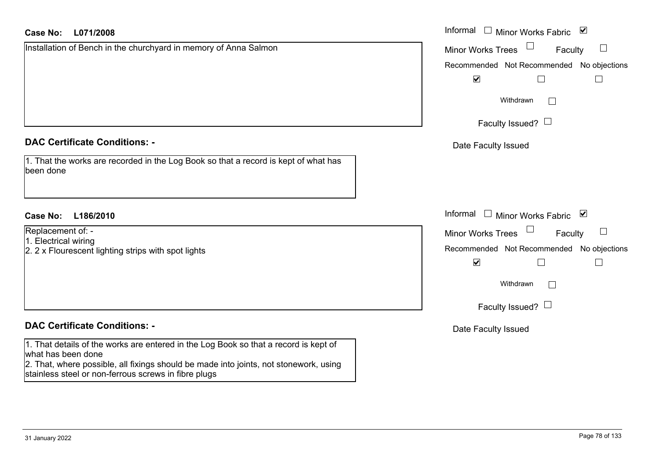| <b>Case No:</b><br>L071/2008                                                                                                                  | Informal $\Box$ Minor Works Fabric $\Box$                 |
|-----------------------------------------------------------------------------------------------------------------------------------------------|-----------------------------------------------------------|
| Installation of Bench in the churchyard in memory of Anna Salmon                                                                              | $\Box$<br><b>Minor Works Trees</b><br>Faculty             |
|                                                                                                                                               | Recommended Not Recommended No objections                 |
|                                                                                                                                               | $\blacktriangledown$                                      |
|                                                                                                                                               | Withdrawn                                                 |
|                                                                                                                                               | Faculty Issued? $\Box$                                    |
| <b>DAC Certificate Conditions: -</b>                                                                                                          | Date Faculty Issued                                       |
| 1. That the works are recorded in the Log Book so that a record is kept of what has<br>been done                                              |                                                           |
| <b>Case No:</b><br>L186/2010                                                                                                                  | Informal<br>□ Minor Works Fabric $\vert \mathbf{v} \vert$ |
| Replacement of: -                                                                                                                             | $\Box$<br><b>Minor Works Trees</b><br>Faculty             |
| 1. Electrical wiring<br>2. 2 x Flourescent lighting strips with spot lights                                                                   | Recommended Not Recommended No objections                 |
|                                                                                                                                               | $\blacktriangledown$                                      |
|                                                                                                                                               | Withdrawn                                                 |
|                                                                                                                                               | Faculty Issued? $\Box$                                    |
| <b>DAC Certificate Conditions: -</b>                                                                                                          | Date Faculty Issued                                       |
| 1. That details of the works are entered in the Log Book so that a record is kept of<br>what has been done                                    |                                                           |
| 2. That, where possible, all fixings should be made into joints, not stonework, using<br>stainless steel or non-ferrous screws in fibre plugs |                                                           |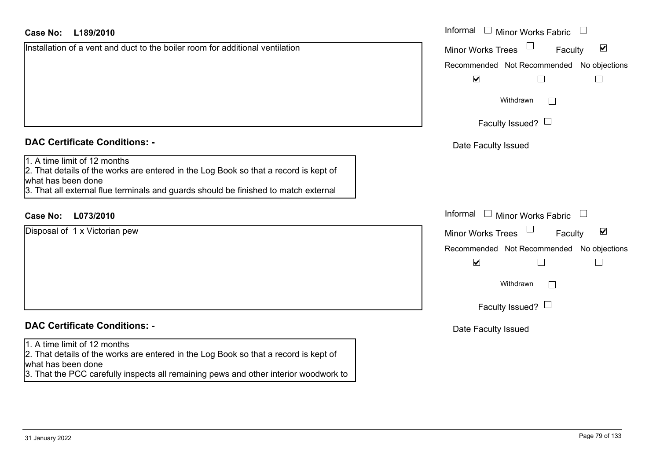| Case No: | L189/2010 |
|----------|-----------|
|----------|-----------|

Installation of a vent and duct to the boiler room for additional ventilation

## **DAC Certificate Conditions: -**

1. A time limit of 12 months

 2. That details of the works are entered in the Log Book so that a record is kept of what has been done

3. That all external flue terminals and guards should be finished to match external

## **L073/2010Case No:** Informal

Disposal of 1 x Victorian pew

## **DAC Certificate Conditions: -**

#### 1. A time limit of 12 months

2. That details of the works are entered in the Log Book so that a record is kept of what has been done

3. That the PCC carefully inspects all remaining pews and other interior woodwork to

| L189/2010                                                                                                                                                                                    | Informal $\square$<br>Minor Works Fabric             |  |
|----------------------------------------------------------------------------------------------------------------------------------------------------------------------------------------------|------------------------------------------------------|--|
| on of a vent and duct to the boiler room for additional ventilation                                                                                                                          | $\blacktriangledown$<br>Minor Works Trees<br>Faculty |  |
|                                                                                                                                                                                              | Recommended Not Recommended No objections            |  |
|                                                                                                                                                                                              | $\blacktriangledown$                                 |  |
|                                                                                                                                                                                              | Withdrawn<br>$\mathbb{R}^n$                          |  |
|                                                                                                                                                                                              | Faculty Issued? $\Box$                               |  |
| rtificate Conditions: -                                                                                                                                                                      | Date Faculty Issued                                  |  |
| limit of 12 months<br>etails of the works are entered in the Log Book so that a record is kept of<br>been done<br>Il external flue terminals and guards should be finished to match external |                                                      |  |
| L073/2010                                                                                                                                                                                    | Informal<br><b>Minor Works Fabric</b><br>$\Box$      |  |
| of 1 x Victorian pew                                                                                                                                                                         | $\blacktriangledown$<br>Minor Works Trees<br>Faculty |  |
|                                                                                                                                                                                              | Recommended Not Recommended No objections            |  |
|                                                                                                                                                                                              | $\blacktriangledown$                                 |  |
|                                                                                                                                                                                              | Withdrawn<br>$\mathbb{R}^n$                          |  |
|                                                                                                                                                                                              | Faculty Issued? $\Box$                               |  |
| rtificate Conditions: -                                                                                                                                                                      | Date Faculty Issued                                  |  |
| $\Gamma$ and $\Gamma$ and $\Gamma$ and $\Gamma$ are a set of $\Gamma$                                                                                                                        |                                                      |  |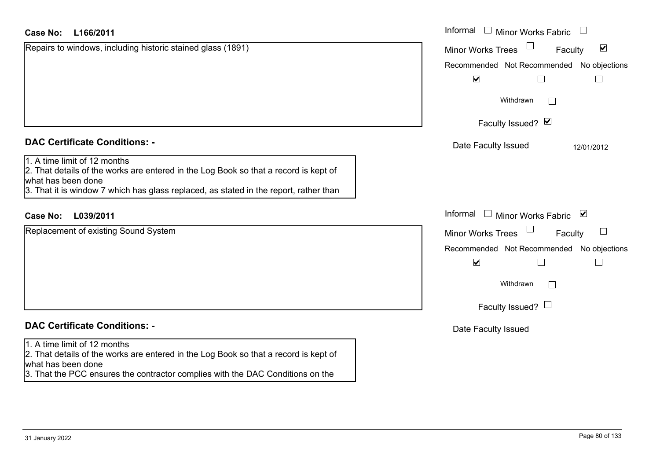| <b>Case No:</b><br>L166/2011                                                                                                                                                                                                        | Informal $\Box$ Minor Works Fabric<br>$\Box$                    |
|-------------------------------------------------------------------------------------------------------------------------------------------------------------------------------------------------------------------------------------|-----------------------------------------------------------------|
| Repairs to windows, including historic stained glass (1891)                                                                                                                                                                         | $\blacktriangledown$<br><b>Minor Works Trees</b><br>Faculty     |
|                                                                                                                                                                                                                                     | Recommended Not Recommended No objections                       |
|                                                                                                                                                                                                                                     | $\blacktriangledown$<br>⊔                                       |
|                                                                                                                                                                                                                                     | Withdrawn<br>$\mathbb{R}^n$                                     |
|                                                                                                                                                                                                                                     | Faculty Issued? Ø                                               |
| <b>DAC Certificate Conditions: -</b>                                                                                                                                                                                                | Date Faculty Issued<br>12/01/2012                               |
| 1. A time limit of 12 months<br>2. That details of the works are entered in the Log Book so that a record is kept of<br>what has been done<br>3. That it is window 7 which has glass replaced, as stated in the report, rather than |                                                                 |
| <b>Case No:</b><br>L039/2011                                                                                                                                                                                                        | Informal<br>$\mathcal{L}^{\mathcal{L}}$<br>Minor Works Fabric ⊠ |
| Replacement of existing Sound System                                                                                                                                                                                                | <b>Minor Works Trees</b><br>Faculty                             |
|                                                                                                                                                                                                                                     | Recommended Not Recommended No objections                       |
|                                                                                                                                                                                                                                     | $\blacktriangledown$<br>П                                       |
|                                                                                                                                                                                                                                     | Withdrawn<br>$\mathbb{R}^n$                                     |
|                                                                                                                                                                                                                                     | Faculty Issued? $\Box$                                          |
| <b>DAC Certificate Conditions: -</b>                                                                                                                                                                                                | Date Faculty Issued                                             |
| 1. A time limit of 12 months<br>2. That details of the works are entered in the Log Book so that a record is kept of<br>what has been done<br>3. That the PCC ensures the contractor complies with the DAC Conditions on the        |                                                                 |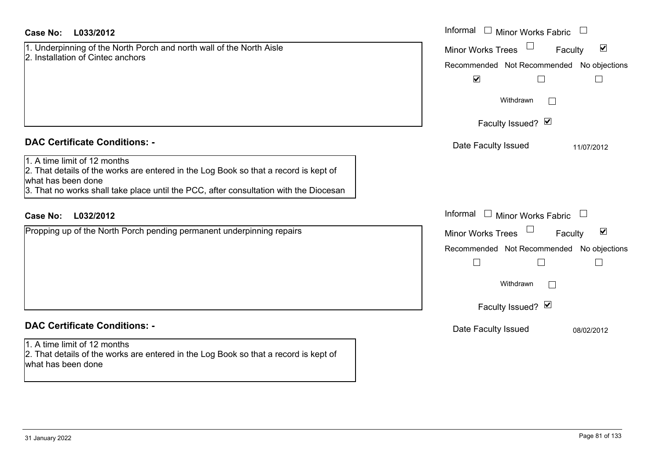| <b>Case No:</b><br>L033/2012                                                                                                                                                                                                        | Informal<br>$\Box$ Minor Works Fabric<br>$\Box$             |
|-------------------------------------------------------------------------------------------------------------------------------------------------------------------------------------------------------------------------------------|-------------------------------------------------------------|
| 1. Underpinning of the North Porch and north wall of the North Aisle<br>2. Installation of Cintec anchors                                                                                                                           | Minor Works Trees<br>$\blacktriangledown$<br>Faculty        |
|                                                                                                                                                                                                                                     | Recommended Not Recommended No objections                   |
|                                                                                                                                                                                                                                     | $\blacktriangledown$<br>$\Box$<br>$\Box$                    |
|                                                                                                                                                                                                                                     | Withdrawn                                                   |
|                                                                                                                                                                                                                                     | Faculty Issued? Ø                                           |
| <b>DAC Certificate Conditions: -</b>                                                                                                                                                                                                | Date Faculty Issued<br>11/07/2012                           |
| 1. A time limit of 12 months<br>2. That details of the works are entered in the Log Book so that a record is kept of<br>what has been done<br>3. That no works shall take place until the PCC, after consultation with the Diocesan |                                                             |
|                                                                                                                                                                                                                                     |                                                             |
| L032/2012<br><b>Case No:</b>                                                                                                                                                                                                        | Informal $\Box$ Minor Works Fabric $\Box$                   |
| Propping up of the North Porch pending permanent underpinning repairs                                                                                                                                                               | $\blacktriangledown$<br><b>Minor Works Trees</b><br>Faculty |
|                                                                                                                                                                                                                                     | Recommended Not Recommended No objections                   |
|                                                                                                                                                                                                                                     | $\Box$                                                      |
|                                                                                                                                                                                                                                     | Withdrawn                                                   |
|                                                                                                                                                                                                                                     | Faculty Issued? Ø                                           |
| <b>DAC Certificate Conditions: -</b>                                                                                                                                                                                                | Date Faculty Issued<br>08/02/2012                           |
| 1. A time limit of 12 months                                                                                                                                                                                                        |                                                             |
| 2. That details of the works are entered in the Log Book so that a record is kept of<br>what has been done                                                                                                                          |                                                             |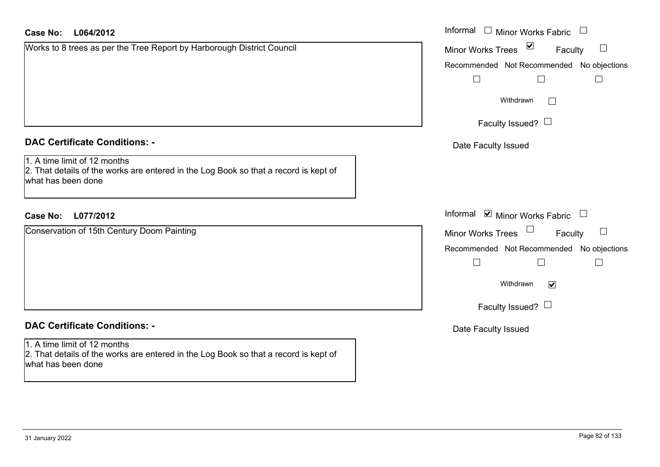| <b>Case No:</b><br>L064/2012                                                                                                               | Informal □ Minor Works Fabric                           |
|--------------------------------------------------------------------------------------------------------------------------------------------|---------------------------------------------------------|
| Works to 8 trees as per the Tree Report by Harborough District Council                                                                     | $\sum$<br><b>Minor Works Trees</b><br>Faculty<br>$\Box$ |
|                                                                                                                                            | Recommended Not Recommended No objections               |
|                                                                                                                                            | $\Box$                                                  |
|                                                                                                                                            | Withdrawn                                               |
|                                                                                                                                            | Faculty Issued? $\Box$                                  |
| <b>DAC Certificate Conditions: -</b>                                                                                                       | Date Faculty Issued                                     |
| 1. A time limit of 12 months<br>2. That details of the works are entered in the Log Book so that a record is kept of<br>what has been done |                                                         |
| L077/2012<br><b>Case No:</b>                                                                                                               | Informal <b>☑</b> Minor Works Fabric                    |
| Conservation of 15th Century Doom Painting                                                                                                 | $\Box$<br>$\sqcup$<br>Minor Works Trees<br>Faculty      |
|                                                                                                                                            | Recommended Not Recommended No objections               |
|                                                                                                                                            | $\vert \ \ \vert$<br>$\vert \ \ \vert$                  |
|                                                                                                                                            | Withdrawn<br>$\blacktriangledown$                       |
|                                                                                                                                            | Faculty Issued? $\Box$                                  |
| <b>DAC Certificate Conditions: -</b>                                                                                                       | Date Faculty Issued                                     |
| 1. A time limit of 12 months<br>2. That details of the works are entered in the Log Book so that a record is kept of<br>what has been done |                                                         |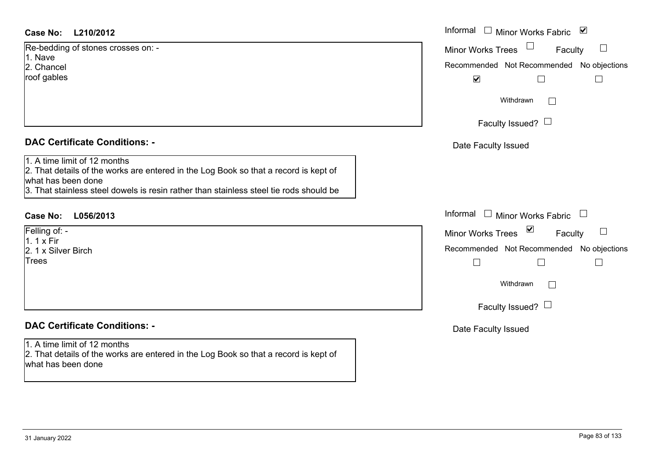### **L210/2012Case No:** Informal

| Re-bedding of stones crosses on: - |  |
|------------------------------------|--|
| 1. Nave                            |  |
| 2. Chancel                         |  |
| roof gables                        |  |
|                                    |  |
|                                    |  |
|                                    |  |

### **DAC Certificate Conditions: -**

1. A time limit of 12 months

2. That details of the works are entered in the Log Book so that a record is kept of what has been done

3. That stainless steel dowels is resin rather than stainless steel tie rods should be

## **L056/2013Case No:** Informal

Felling of: -  $1.1 \times$  Fir 2. 1 x Silver BirchTrees

### **DAC Certificate Conditions: -**

1. A time limit of 12 months 2. That details of the works are entered in the Log Book so that a record is kept of

what has been done

| Informal<br>$\overline{\mathbf{v}}$<br><b>Minor Works Fabric</b>                      |
|---------------------------------------------------------------------------------------|
| <b>Minor Works Trees</b><br>Faculty<br>Recommended Not Recommended No objections<br>⊻ |
| Withdrawn                                                                             |
| Faculty Issued? $\Box$                                                                |
| Date Faculty Issued                                                                   |
| Informal<br><b>Minor Works Fabric</b>                                                 |
| ⊻<br><b>Minor Works Trees</b><br>Faculty                                              |
| Recommended Not Recommended No objections                                             |
| Withdrawn                                                                             |
| Faculty Issued? $\Box$                                                                |
| Date Faculty Issued                                                                   |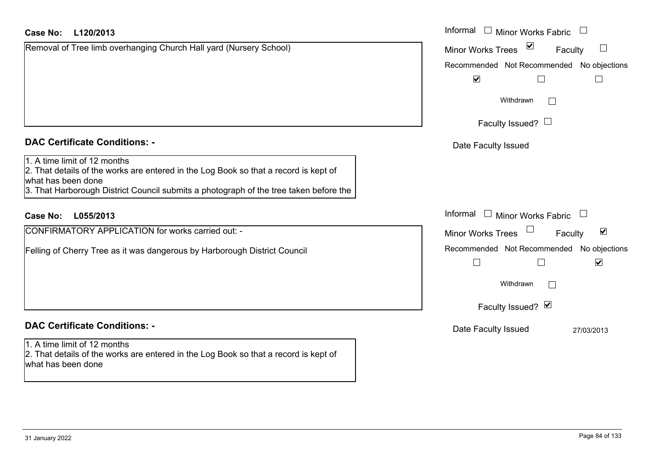| Case No:<br>L120/2013                                                                                                                                                                                                               | Informal $\Box$ Minor Works Fabric                                    |
|-------------------------------------------------------------------------------------------------------------------------------------------------------------------------------------------------------------------------------------|-----------------------------------------------------------------------|
| Removal of Tree limb overhanging Church Hall yard (Nursery School)                                                                                                                                                                  | $\blacktriangledown$<br><b>Minor Works Trees</b><br>Faculty<br>$\Box$ |
|                                                                                                                                                                                                                                     | Recommended Not Recommended No objections                             |
|                                                                                                                                                                                                                                     | $\blacktriangledown$                                                  |
|                                                                                                                                                                                                                                     | Withdrawn<br>$\sim$                                                   |
|                                                                                                                                                                                                                                     | Faculty Issued? $\Box$                                                |
| <b>DAC Certificate Conditions: -</b>                                                                                                                                                                                                | Date Faculty Issued                                                   |
| 1. A time limit of 12 months<br>2. That details of the works are entered in the Log Book so that a record is kept of<br>what has been done<br>3. That Harborough District Council submits a photograph of the tree taken before the |                                                                       |
| <b>Case No:</b><br>L055/2013                                                                                                                                                                                                        | Informal<br>$\Box$ Minor Works Fabric                                 |
| CONFIRMATORY APPLICATION for works carried out: -                                                                                                                                                                                   | $\blacktriangledown$<br><b>Minor Works Trees</b><br>Faculty           |
| Felling of Cherry Tree as it was dangerous by Harborough District Council                                                                                                                                                           | Recommended Not Recommended No objections<br>$\blacktriangledown$     |
|                                                                                                                                                                                                                                     | Withdrawn<br>$\mathbf{I}$                                             |
|                                                                                                                                                                                                                                     | Faculty Issued? Ø                                                     |
| <b>DAC Certificate Conditions: -</b>                                                                                                                                                                                                | Date Faculty Issued<br>27/03/2013                                     |
| 1. A time limit of 12 months<br>2. That details of the works are entered in the Log Book so that a record is kept of<br>what has been done                                                                                          |                                                                       |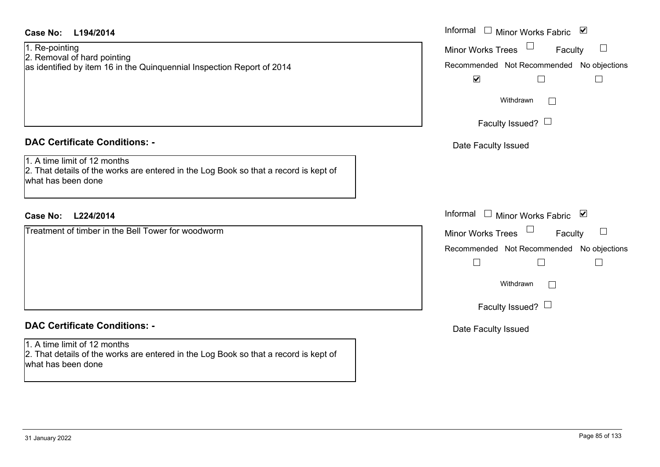| <b>Case No:</b><br>L194/2014                                                                                                               | Informal □ Minor Works Fabric ⊠                                                                                                                                 |
|--------------------------------------------------------------------------------------------------------------------------------------------|-----------------------------------------------------------------------------------------------------------------------------------------------------------------|
| 1. Re-pointing<br>2. Removal of hard pointing<br>as identified by item 16 in the Quinquennial Inspection Report of 2014                    | Minor Works Trees<br>Faculty<br>Recommended Not Recommended No objections<br>$\blacktriangledown$<br>$\Box$<br>$\vert$ $\vert$                                  |
|                                                                                                                                            | Withdrawn<br>Faculty Issued? $\Box$                                                                                                                             |
| <b>DAC Certificate Conditions: -</b>                                                                                                       | Date Faculty Issued                                                                                                                                             |
| 1. A time limit of 12 months<br>2. That details of the works are entered in the Log Book so that a record is kept of<br>what has been done |                                                                                                                                                                 |
| <b>Case No:</b><br>L224/2014                                                                                                               | Informal $\Box$ Minor Works Fabric $\Box$                                                                                                                       |
| Treatment of timber in the Bell Tower for woodworm                                                                                         | <b>Minor Works Trees</b><br>Faculty<br>Recommended Not Recommended No objections<br>$\Box$<br>$\Box$<br>$\Box$<br>Withdrawn<br>$\Box$<br>Faculty Issued? $\Box$ |
| <b>DAC Certificate Conditions: -</b>                                                                                                       | Date Faculty Issued                                                                                                                                             |
| 1. A time limit of 12 months<br>2. That details of the works are entered in the Log Book so that a record is kept of<br>what has been done |                                                                                                                                                                 |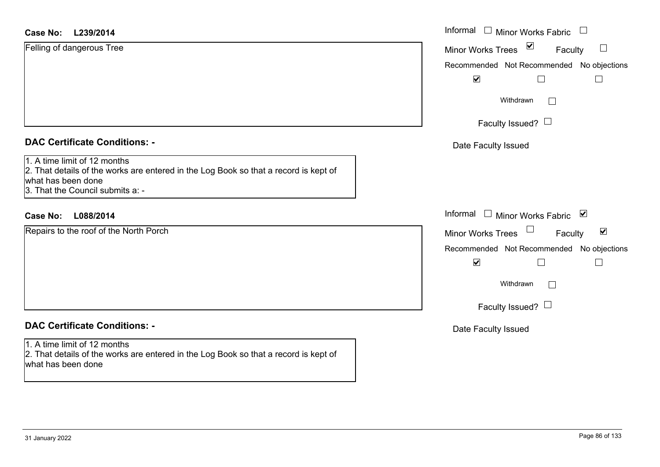| Case No: L239/2014                                                                                                                                                             | Informal<br>$\Box$ Minor Works Fabric<br>$\begin{array}{c} \hline \end{array}$ |
|--------------------------------------------------------------------------------------------------------------------------------------------------------------------------------|--------------------------------------------------------------------------------|
| Felling of dangerous Tree                                                                                                                                                      | $\blacktriangledown$<br>$\Box$<br><b>Minor Works Trees</b><br>Faculty          |
|                                                                                                                                                                                | Recommended Not Recommended No objections                                      |
|                                                                                                                                                                                | $\blacktriangledown$                                                           |
|                                                                                                                                                                                | Withdrawn<br>$\mathbf{L}$                                                      |
|                                                                                                                                                                                | Faculty Issued? $\Box$                                                         |
| <b>DAC Certificate Conditions: -</b>                                                                                                                                           | Date Faculty Issued                                                            |
| 1. A time limit of 12 months<br>2. That details of the works are entered in the Log Book so that a record is kept of<br>what has been done<br>3. That the Council submits a: - |                                                                                |
| <b>Case No:</b><br>L088/2014                                                                                                                                                   | Informal<br>$\Box$ Minor Works Fabric $\Box$                                   |
| Repairs to the roof of the North Porch                                                                                                                                         | $\blacktriangledown$<br><b>Minor Works Trees</b><br>Faculty                    |
|                                                                                                                                                                                | Recommended Not Recommended No objections                                      |
|                                                                                                                                                                                | $\blacktriangledown$<br>$\vert \ \ \vert$                                      |
|                                                                                                                                                                                | Withdrawn                                                                      |
|                                                                                                                                                                                | Faculty Issued? $\Box$                                                         |
| <b>DAC Certificate Conditions: -</b>                                                                                                                                           | Date Faculty Issued                                                            |
| 1. A time limit of 12 months<br>2. That details of the works are entered in the Log Book so that a record is kept of<br>what has been done                                     |                                                                                |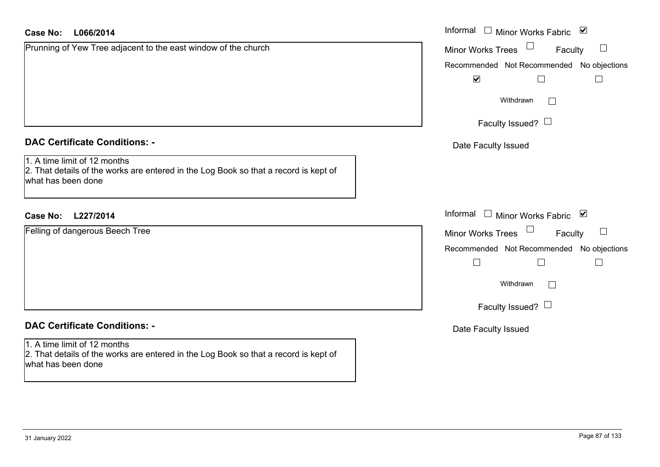| <b>Case No:</b><br>L066/2014                                                                                                               | Informal $\Box$ Minor Works Fabric $\Box$ |
|--------------------------------------------------------------------------------------------------------------------------------------------|-------------------------------------------|
| Prunning of Yew Tree adjacent to the east window of the church                                                                             | Minor Works Trees<br>Faculty              |
|                                                                                                                                            | Recommended Not Recommended No objections |
|                                                                                                                                            | $\blacktriangledown$<br>$\Box$<br>$\Box$  |
|                                                                                                                                            | Withdrawn                                 |
|                                                                                                                                            | Faculty Issued? $\Box$                    |
| <b>DAC Certificate Conditions: -</b>                                                                                                       | Date Faculty Issued                       |
| 1. A time limit of 12 months<br>2. That details of the works are entered in the Log Book so that a record is kept of<br>what has been done |                                           |
| <b>Case No:</b><br>L227/2014                                                                                                               | Informal $\Box$ Minor Works Fabric $\Box$ |
| Felling of dangerous Beech Tree                                                                                                            | <b>Minor Works Trees</b><br>Faculty       |
|                                                                                                                                            | Recommended Not Recommended No objections |
|                                                                                                                                            | $\Box$<br>$\Box$<br>$\Box$                |
|                                                                                                                                            | Withdrawn<br>$\mathbf{L}$                 |
|                                                                                                                                            | Faculty Issued? $\Box$                    |
| <b>DAC Certificate Conditions: -</b>                                                                                                       | Date Faculty Issued                       |
| 1. A time limit of 12 months<br>2. That details of the works are entered in the Log Book so that a record is kept of<br>what has been done |                                           |
|                                                                                                                                            |                                           |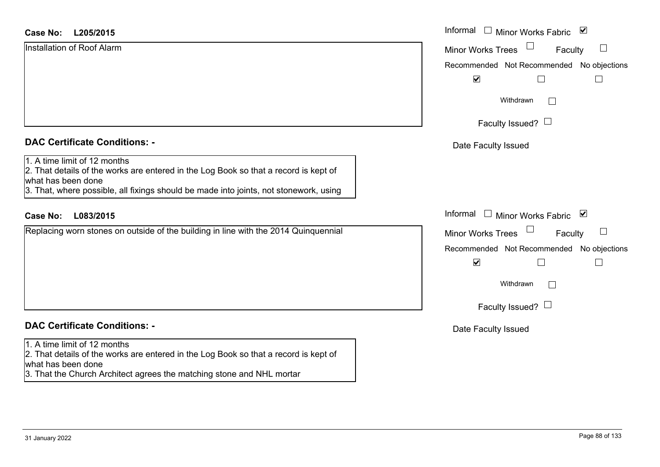### **L205/2015Case No:** Informal

| Installation of Roof Alarm |  |  |
|----------------------------|--|--|
|                            |  |  |
|                            |  |  |
|                            |  |  |
|                            |  |  |

### **DAC Certificate Conditions: -**

### 1. A time limit of 12 months

 2. That details of the works are entered in the Log Book so that a record is kept of what has been done

3. That, where possible, all fixings should be made into joints, not stonework, using

### **L083/2015Case No:** Informal

Replacing worn stones on outside of the building in line with the 2014 Quinquennial

## **DAC Certificate Conditions: -**

#### 1. A time limit of 12 months

2. That details of the works are entered in the Log Book so that a record is kept of what has been done

3. That the Church Architect agrees the matching stone and NHL mortar

| Informal<br>☑<br>Minor Works Fabric        |
|--------------------------------------------|
| <b>Minor Works Trees</b><br>Faculty        |
| Recommended Not Recommended No objections  |
| $\overline{\mathbf{v}}$                    |
| Withdrawn                                  |
| Faculty Issued?                            |
| Date Faculty Issued                        |
|                                            |
|                                            |
|                                            |
| Informal<br>⊻<br><b>Minor Works Fabric</b> |
| <b>Minor Works Trees</b><br>Faculty        |
| Recommended Not Recommended No objections  |
| $\blacktriangledown$                       |
| Withdrawn                                  |
| Faculty Issued?                            |
| Date Faculty Issued                        |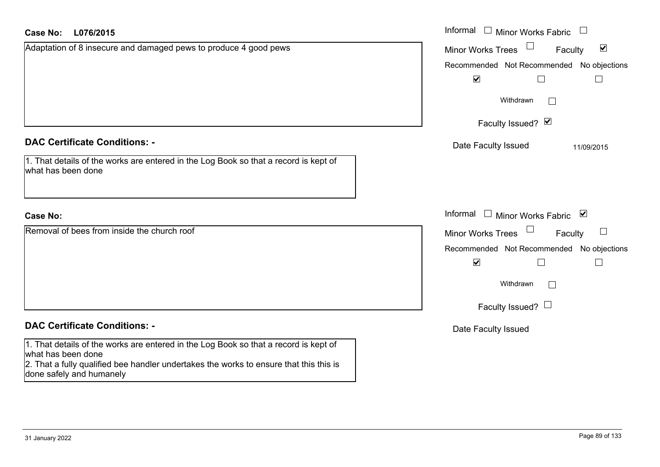| <b>Case No:</b><br>L076/2015                                                                                                                                                                                                     | Informal □ Minor Works Fabric                               |
|----------------------------------------------------------------------------------------------------------------------------------------------------------------------------------------------------------------------------------|-------------------------------------------------------------|
| Adaptation of 8 insecure and damaged pews to produce 4 good pews                                                                                                                                                                 | $\blacktriangledown$<br><b>Minor Works Trees</b><br>Faculty |
|                                                                                                                                                                                                                                  | Recommended Not Recommended No objections                   |
|                                                                                                                                                                                                                                  | $\blacktriangledown$<br>$\Box$                              |
|                                                                                                                                                                                                                                  | Withdrawn                                                   |
|                                                                                                                                                                                                                                  | Faculty Issued? Ø                                           |
| <b>DAC Certificate Conditions: -</b>                                                                                                                                                                                             | Date Faculty Issued<br>11/09/2015                           |
| 1. That details of the works are entered in the Log Book so that a record is kept of<br>what has been done                                                                                                                       |                                                             |
| <b>Case No:</b>                                                                                                                                                                                                                  | Informal<br>$\Box$ Minor Works Fabric $\Box$                |
| Removal of bees from inside the church roof                                                                                                                                                                                      | <b>Minor Works Trees</b><br>$\Box$<br>Faculty               |
|                                                                                                                                                                                                                                  | Recommended Not Recommended No objections                   |
|                                                                                                                                                                                                                                  | $\blacktriangledown$                                        |
|                                                                                                                                                                                                                                  | Withdrawn                                                   |
|                                                                                                                                                                                                                                  | Faculty Issued? $\Box$                                      |
| <b>DAC Certificate Conditions: -</b>                                                                                                                                                                                             | Date Faculty Issued                                         |
| 1. That details of the works are entered in the Log Book so that a record is kept of<br>what has been done<br>2. That a fully qualified bee handler undertakes the works to ensure that this this is<br>done safely and humanely |                                                             |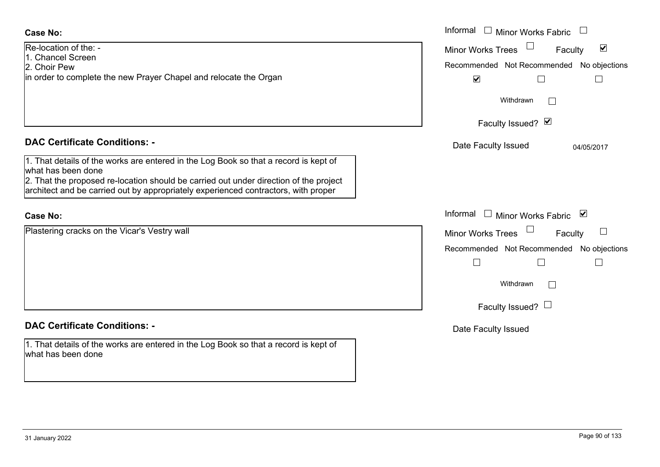| <b>Case No:</b>                                                                                                                                                             | Informal $\Box$ Minor Works Fabric                   |
|-----------------------------------------------------------------------------------------------------------------------------------------------------------------------------|------------------------------------------------------|
| Re-location of the: -<br>1. Chancel Screen                                                                                                                                  | $\blacktriangledown$<br>Minor Works Trees<br>Faculty |
| 2. Choir Pew                                                                                                                                                                | Recommended Not Recommended No objections            |
| in order to complete the new Prayer Chapel and relocate the Organ                                                                                                           | $\blacktriangledown$                                 |
|                                                                                                                                                                             | Withdrawn<br>$\Box$                                  |
|                                                                                                                                                                             | Faculty Issued? Ø                                    |
| <b>DAC Certificate Conditions: -</b>                                                                                                                                        | Date Faculty Issued<br>04/05/2017                    |
| 1. That details of the works are entered in the Log Book so that a record is kept of<br>what has been done                                                                  |                                                      |
| 2. That the proposed re-location should be carried out under direction of the project<br>architect and be carried out by appropriately experienced contractors, with proper |                                                      |
| <b>Case No:</b>                                                                                                                                                             | Informal □ Minor Works Fabric ⊠                      |
| Plastering cracks on the Vicar's Vestry wall                                                                                                                                | <b>Minor Works Trees</b><br>Faculty                  |
|                                                                                                                                                                             | Recommended Not Recommended No objections            |
|                                                                                                                                                                             | $\Box$<br>$\Box$                                     |
|                                                                                                                                                                             | Withdrawn<br>$\Box$                                  |
|                                                                                                                                                                             | Faculty Issued? $\Box$                               |
| <b>DAC Certificate Conditions: -</b>                                                                                                                                        | Date Faculty Issued                                  |
| 1. That details of the works are entered in the Log Book so that a record is kept of<br>what has been done                                                                  |                                                      |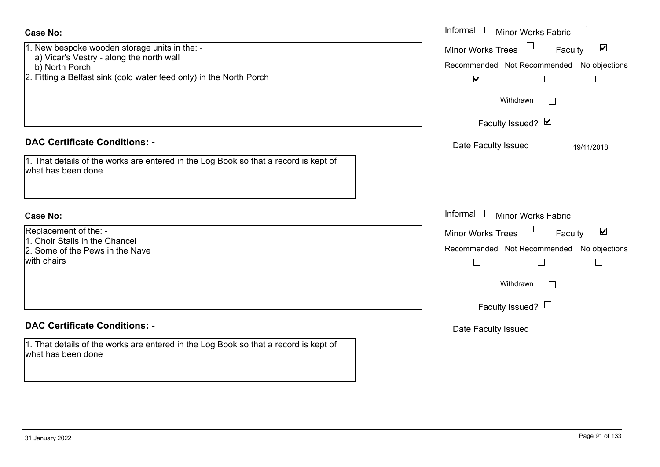| <b>Case No:</b><br>1. New bespoke wooden storage units in the: -<br>a) Vicar's Vestry - along the north wall<br>b) North Porch<br>2. Fitting a Belfast sink (cold water feed only) in the North Porch | Informal $\Box$ Minor Works Fabric $\Box$<br>$\Box$<br>$\blacktriangledown$<br><b>Minor Works Trees</b><br>Faculty<br>Recommended Not Recommended No objections<br>$\blacktriangledown$<br>$\mathbf{L}$ |
|-------------------------------------------------------------------------------------------------------------------------------------------------------------------------------------------------------|---------------------------------------------------------------------------------------------------------------------------------------------------------------------------------------------------------|
|                                                                                                                                                                                                       | Withdrawn<br>Faculty Issued? Ø                                                                                                                                                                          |
| <b>DAC Certificate Conditions: -</b>                                                                                                                                                                  | Date Faculty Issued<br>19/11/2018                                                                                                                                                                       |
| 1. That details of the works are entered in the Log Book so that a record is kept of<br>what has been done                                                                                            |                                                                                                                                                                                                         |
| <b>Case No:</b>                                                                                                                                                                                       | Informal<br>Minor Works Fabric                                                                                                                                                                          |
| Replacement of the: -<br>1. Choir Stalls in the Chancel                                                                                                                                               | Minor Works Trees<br>$\blacktriangledown$<br>Faculty                                                                                                                                                    |
| 2. Some of the Pews in the Nave<br>with chairs                                                                                                                                                        | Recommended Not Recommended No objections<br>$\Box$<br>$\perp$                                                                                                                                          |
|                                                                                                                                                                                                       | Withdrawn<br>$\mathbf{L}$                                                                                                                                                                               |
|                                                                                                                                                                                                       | Faculty Issued? $\Box$                                                                                                                                                                                  |
| <b>DAC Certificate Conditions: -</b>                                                                                                                                                                  | Date Faculty Issued                                                                                                                                                                                     |
| 1. That details of the works are entered in the Log Book so that a record is kept of<br>what has been done                                                                                            |                                                                                                                                                                                                         |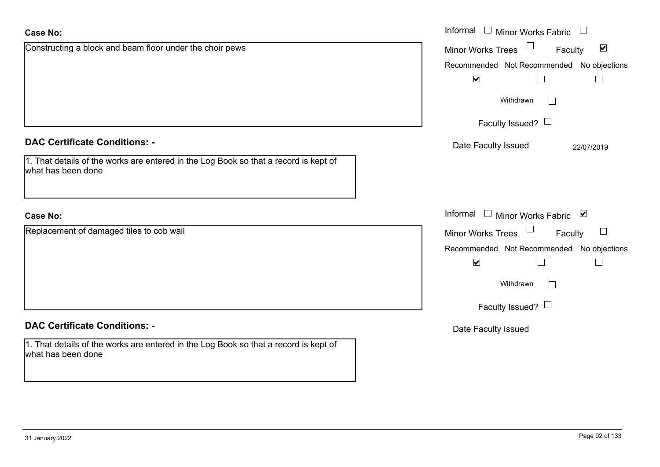| <b>Case No:</b>                                                                                            | Informal $\Box$ Minor Works Fabric                                |
|------------------------------------------------------------------------------------------------------------|-------------------------------------------------------------------|
| Constructing a block and beam floor under the choir pews                                                   | Minor Works Trees <sup>1</sup><br>$\blacktriangledown$<br>Faculty |
|                                                                                                            | Recommended Not Recommended No objections                         |
|                                                                                                            | $\blacktriangledown$                                              |
|                                                                                                            | Withdrawn                                                         |
|                                                                                                            | Faculty Issued? $\Box$                                            |
| <b>DAC Certificate Conditions: -</b>                                                                       | Date Faculty Issued<br>22/07/2019                                 |
| 1. That details of the works are entered in the Log Book so that a record is kept of<br>what has been done |                                                                   |
|                                                                                                            |                                                                   |
| <b>Case No:</b>                                                                                            | Informal □ Minor Works Fabric ⊠                                   |
| Replacement of damaged tiles to cob wall                                                                   | Minor Works Trees<br>$\Box$<br>Faculty                            |
|                                                                                                            | Recommended Not Recommended No objections                         |
|                                                                                                            | $\blacktriangledown$                                              |
|                                                                                                            | Withdrawn<br>$\mathbf{L}$                                         |
|                                                                                                            | Faculty Issued? $\Box$                                            |
| <b>DAC Certificate Conditions: -</b>                                                                       | Date Faculty Issued                                               |
| 1. That details of the works are entered in the Log Book so that a record is kept of<br>what has been done |                                                                   |
|                                                                                                            |                                                                   |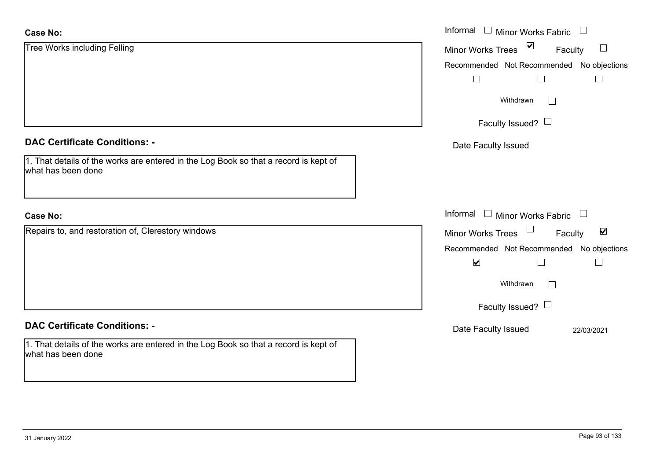| <b>Case No:</b>                                                                                            | Informal □ Minor Works Fabric                                         |
|------------------------------------------------------------------------------------------------------------|-----------------------------------------------------------------------|
| <b>Tree Works including Felling</b>                                                                        | $\blacktriangledown$<br><b>Minor Works Trees</b><br>$\Box$<br>Faculty |
|                                                                                                            | Recommended Not Recommended No objections                             |
|                                                                                                            | $\Box$                                                                |
|                                                                                                            | Withdrawn                                                             |
|                                                                                                            | Faculty Issued? $\Box$                                                |
| <b>DAC Certificate Conditions: -</b>                                                                       | Date Faculty Issued                                                   |
| 1. That details of the works are entered in the Log Book so that a record is kept of<br>what has been done |                                                                       |
|                                                                                                            |                                                                       |
| <b>Case No:</b>                                                                                            | Informal $\Box$ Minor Works Fabric $\Box$                             |
| Repairs to, and restoration of, Clerestory windows                                                         | Minor Works Trees<br>$\blacktriangledown$<br>Faculty                  |
|                                                                                                            | Recommended Not Recommended No objections                             |
|                                                                                                            | $\blacktriangledown$<br>$\Box$<br>$\Box$                              |
|                                                                                                            | Withdrawn                                                             |
|                                                                                                            | Faculty Issued? $\Box$                                                |
| <b>DAC Certificate Conditions: -</b>                                                                       | Date Faculty Issued<br>22/03/2021                                     |
| 1. That details of the works are entered in the Log Book so that a record is kept of<br>what has been done |                                                                       |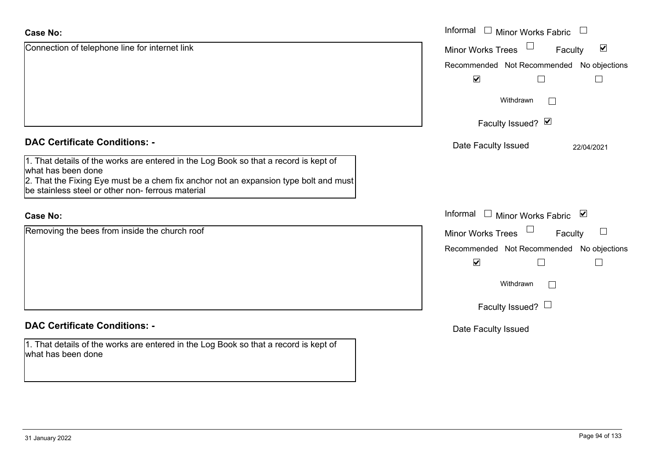| <b>Case No:</b>                                                                                                                          | Informal $\Box$<br>Minor Works Fabric                |
|------------------------------------------------------------------------------------------------------------------------------------------|------------------------------------------------------|
| Connection of telephone line for internet link                                                                                           | $\blacktriangledown$<br>Minor Works Trees<br>Faculty |
|                                                                                                                                          | Recommended Not Recommended No objections            |
|                                                                                                                                          | $\blacktriangledown$<br>$\perp$                      |
|                                                                                                                                          | Withdrawn                                            |
|                                                                                                                                          | Faculty Issued? Ø                                    |
| <b>DAC Certificate Conditions: -</b>                                                                                                     | Date Faculty Issued<br>22/04/2021                    |
| 1. That details of the works are entered in the Log Book so that a record is kept of<br>what has been done                               |                                                      |
| 2. That the Fixing Eye must be a chem fix anchor not an expansion type bolt and must<br>be stainless steel or other non-ferrous material |                                                      |
| <b>Case No:</b>                                                                                                                          | Informal $\Box$ Minor Works Fabric $\Box$            |
| Removing the bees from inside the church roof                                                                                            | Minor Works Trees<br>$\mathbb{R}^n$<br>Faculty       |
|                                                                                                                                          | Recommended Not Recommended No objections            |
|                                                                                                                                          | $\blacktriangledown$<br>$\perp$                      |
|                                                                                                                                          | Withdrawn<br>$\Box$                                  |
|                                                                                                                                          | Faculty Issued? $\Box$                               |
| <b>DAC Certificate Conditions: -</b>                                                                                                     | Date Faculty Issued                                  |
| 1. That details of the works are entered in the Log Book so that a record is kept of<br>what has been done                               |                                                      |

ш.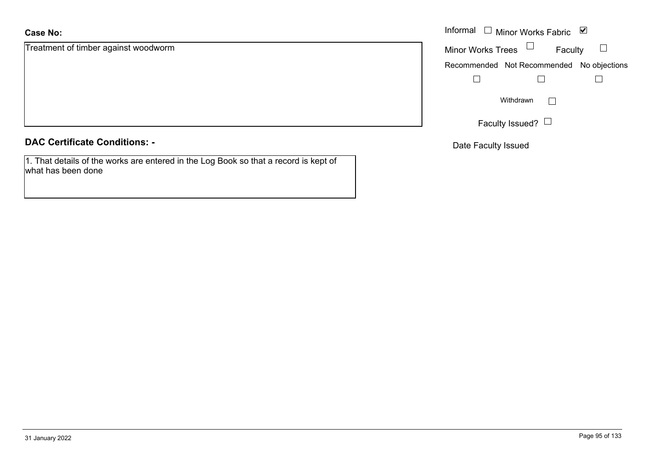### **Case No:**

Treatment of timber against woodworm

**DAC Certificate Conditions: -**

1. That details of the works are entered in the Log Book so that a record is kept of what has been done

|                               | Informal □ Minor Works Fabric ▽           |
|-------------------------------|-------------------------------------------|
| nt of timber against woodworm | Minor Works Trees $\Box$<br>Faculty       |
|                               | Recommended Not Recommended No objections |
|                               |                                           |
|                               | Withdrawn                                 |
|                               | Faculty Issued? $\Box$                    |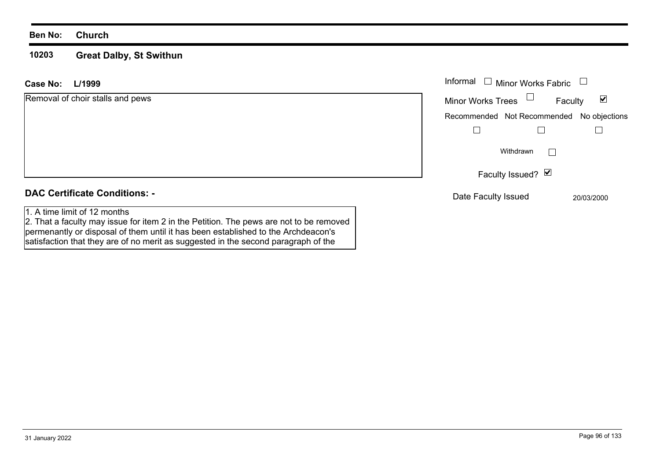#### **10203 Great Dalby, St Swithun**

permenantly or disposal of them until it has been established to the Archdeacon's satisfaction that they are of no merit as suggested in the second paragraph of the

| L/1999<br>Case No:                                                                                                     | Informal<br><b>Minor Works Fabric</b><br>$\overline{\phantom{a}}$ |
|------------------------------------------------------------------------------------------------------------------------|-------------------------------------------------------------------|
| Removal of choir stalls and pews                                                                                       | Minor Works Trees $\Box$<br>$\blacktriangledown$<br>Faculty       |
|                                                                                                                        | Recommended Not Recommended No objections                         |
|                                                                                                                        |                                                                   |
|                                                                                                                        | Withdrawn<br>$\mathbf{L}$                                         |
|                                                                                                                        | Faculty Issued? $\Box$                                            |
| <b>DAC Certificate Conditions: -</b>                                                                                   | Date Faculty Issued<br>20/03/2000                                 |
| 1. A time limit of 12 months<br>2. That a faculty may issue for item 2 in the Petition. The pews are not to be removed |                                                                   |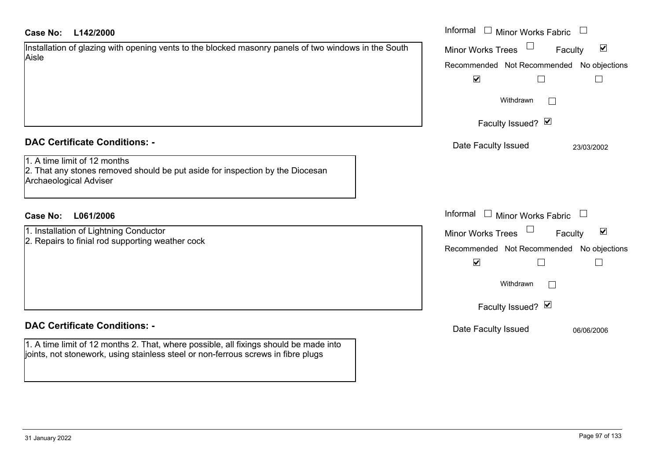| L142/2000<br><b>Case No:</b>                                                                                                                                               | Informal $\Box$ Minor Works Fabric                          |
|----------------------------------------------------------------------------------------------------------------------------------------------------------------------------|-------------------------------------------------------------|
| Installation of glazing with opening vents to the blocked masonry panels of two windows in the South<br>Aisle                                                              | $\blacktriangledown$<br><b>Minor Works Trees</b><br>Faculty |
|                                                                                                                                                                            | Recommended Not Recommended No objections                   |
|                                                                                                                                                                            | $\blacktriangledown$<br>$\Box$                              |
|                                                                                                                                                                            | Withdrawn<br>$\mathbb{R}^n$                                 |
|                                                                                                                                                                            | Faculty Issued? Ø                                           |
| <b>DAC Certificate Conditions: -</b>                                                                                                                                       | Date Faculty Issued<br>23/03/2002                           |
| 1. A time limit of 12 months<br>2. That any stones removed should be put aside for inspection by the Diocesan<br><b>Archaeological Adviser</b>                             |                                                             |
| <b>Case No:</b><br>L061/2006                                                                                                                                               | Informal $\Box$ Minor Works Fabric $\Box$                   |
| 1. Installation of Lightning Conductor                                                                                                                                     | $\blacktriangledown$<br>Minor Works Trees<br>Faculty        |
| 2. Repairs to finial rod supporting weather cock                                                                                                                           | Recommended Not Recommended No objections                   |
|                                                                                                                                                                            | $\blacktriangledown$<br>П                                   |
|                                                                                                                                                                            | Withdrawn                                                   |
|                                                                                                                                                                            | Faculty Issued? Ø                                           |
| <b>DAC Certificate Conditions: -</b>                                                                                                                                       | Date Faculty Issued<br>06/06/2006                           |
| 1. A time limit of 12 months 2. That, where possible, all fixings should be made into<br>joints, not stonework, using stainless steel or non-ferrous screws in fibre plugs |                                                             |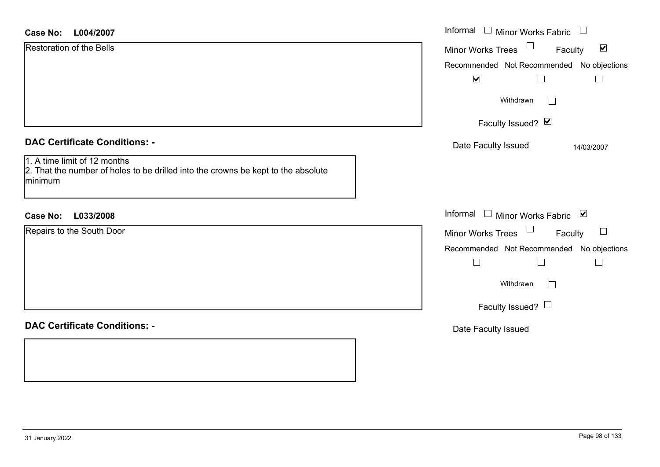| <b>Case No:</b> | L004/2007 |
|-----------------|-----------|
|-----------------|-----------|

| <b>Case No:</b><br>L004/2007                                                                                                                                         | Informal □ Minor Works Fabric                                                                                                                             |
|----------------------------------------------------------------------------------------------------------------------------------------------------------------------|-----------------------------------------------------------------------------------------------------------------------------------------------------------|
| <b>Restoration of the Bells</b>                                                                                                                                      | $\blacktriangledown$<br>Minor Works Trees<br>Faculty                                                                                                      |
|                                                                                                                                                                      | Recommended Not Recommended No objections<br>$\blacktriangledown$<br>$\Box$<br>$\Box$                                                                     |
|                                                                                                                                                                      | Withdrawn<br>$\Box$                                                                                                                                       |
|                                                                                                                                                                      | Faculty Issued? Ø                                                                                                                                         |
| <b>DAC Certificate Conditions: -</b><br>1. A time limit of 12 months<br>2. That the number of holes to be drilled into the crowns be kept to the absolute<br>minimum | Date Faculty Issued<br>14/03/2007                                                                                                                         |
| <b>Case No:</b><br>L033/2008                                                                                                                                         | Informal □ Minor Works Fabric<br>⊻                                                                                                                        |
| Repairs to the South Door                                                                                                                                            | Minor Works Trees<br>$\Box$<br>Faculty<br>Recommended Not Recommended No objections<br>$\Box$<br>$\perp$<br>Withdrawn<br>$\Box$<br>Faculty Issued? $\Box$ |
| <b>DAC Certificate Conditions: -</b>                                                                                                                                 | Date Faculty Issued                                                                                                                                       |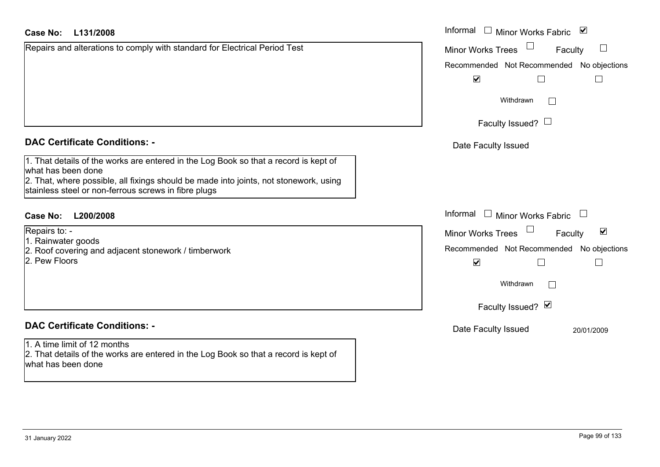Repairs and alterations to comply with standard for Electrical Period Test

### **DAC Certificate Conditions: -**

1. That details of the works are entered in the Log Book so that a record is kept of what has been done 2. That, where possible, all fixings should be made into joints, not stonework, using stainless steel or non-ferrous screws in fibre plugs

### **L200/2008Case No:** Informal

Repairs to: -

1. Rainwater goods

2. Roof covering and adjacent stonework / timberwork

2. Pew Floors

## **DAC Certificate Conditions: -**

1. A time limit of 12 months 2. That details of the works are entered in the Log Book so that a record is kept of what has been done

| L131/2008                                                                                                                                                                                                              | Informal<br>$\blacktriangledown$<br>$\Box$<br><b>Minor Works Fabric</b> |
|------------------------------------------------------------------------------------------------------------------------------------------------------------------------------------------------------------------------|-------------------------------------------------------------------------|
| and alterations to comply with standard for Electrical Period Test                                                                                                                                                     | Minor Works Trees<br>$\Box$<br>Faculty                                  |
|                                                                                                                                                                                                                        | Recommended Not Recommended No objections                               |
|                                                                                                                                                                                                                        | $\blacktriangledown$                                                    |
|                                                                                                                                                                                                                        | Withdrawn                                                               |
|                                                                                                                                                                                                                        | Faculty Issued? $\Box$                                                  |
| rtificate Conditions: -                                                                                                                                                                                                | Date Faculty Issued                                                     |
| etails of the works are entered in the Log Book so that a record is kept of<br>been done<br>vhere possible, all fixings should be made into joints, not stonework, using<br>steel or non-ferrous screws in fibre plugs |                                                                         |
| L200/2008                                                                                                                                                                                                              | Informal $\square$<br>Minor Works Fabric $\Box$                         |
| $0:$ -                                                                                                                                                                                                                 | $\blacktriangledown$<br>Minor Works Trees<br>Faculty                    |
| ater goods<br>overing and adjacent stonework / timberwork                                                                                                                                                              | Recommended Not Recommended No objections                               |
| loors                                                                                                                                                                                                                  | $\blacktriangledown$<br>L<br>$\mathbf{I}$                               |
|                                                                                                                                                                                                                        | Withdrawn                                                               |
|                                                                                                                                                                                                                        | Faculty Issued? Ø                                                       |
| rtificate Conditions: -                                                                                                                                                                                                | Date Faculty Issued<br>20/01/2009                                       |
| limit of 12 months<br>فمرفوعا والمتوجومين والمطلوم والممالوم الممالسة والمتحاسب وسمروه والمستنب والاقتراح والما                                                                                                        |                                                                         |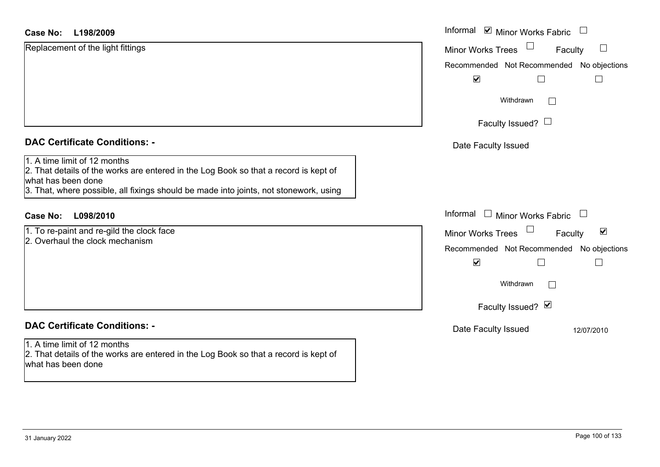| <b>Case No:</b><br>L198/2009                                                                                                                                                                                                        | Informal <b>v</b> Minor Works Fabric<br>$\begin{array}{c} \hline \end{array}$                            |
|-------------------------------------------------------------------------------------------------------------------------------------------------------------------------------------------------------------------------------------|----------------------------------------------------------------------------------------------------------|
| Replacement of the light fittings                                                                                                                                                                                                   | ப<br>Minor Works Trees<br>Faculty                                                                        |
|                                                                                                                                                                                                                                     | Recommended Not Recommended No objections                                                                |
|                                                                                                                                                                                                                                     | $\blacktriangledown$                                                                                     |
|                                                                                                                                                                                                                                     | Withdrawn<br>$\overline{\phantom{a}}$                                                                    |
|                                                                                                                                                                                                                                     | Faculty Issued? $\Box$                                                                                   |
| <b>DAC Certificate Conditions: -</b>                                                                                                                                                                                                | Date Faculty Issued                                                                                      |
| 1. A time limit of 12 months<br>2. That details of the works are entered in the Log Book so that a record is kept of<br>what has been done<br>3. That, where possible, all fixings should be made into joints, not stonework, using |                                                                                                          |
| <b>Case No:</b><br>L098/2010                                                                                                                                                                                                        | Informal □ Minor Works Fabric<br>$\Box$                                                                  |
| 1. To re-paint and re-gild the clock face<br>2. Overhaul the clock mechanism                                                                                                                                                        | $\blacktriangledown$<br><b>Minor Works Trees</b><br>Faculty<br>Recommended Not Recommended No objections |
|                                                                                                                                                                                                                                     | $\blacktriangledown$                                                                                     |
|                                                                                                                                                                                                                                     | Withdrawn<br>$\sqrt{2}$                                                                                  |
|                                                                                                                                                                                                                                     | Faculty Issued? Ø                                                                                        |
| <b>DAC Certificate Conditions: -</b>                                                                                                                                                                                                | Date Faculty Issued<br>12/07/2010                                                                        |
| 1. A time limit of 12 months<br>2. That details of the works are entered in the Log Book so that a record is kept of<br>what has been done                                                                                          |                                                                                                          |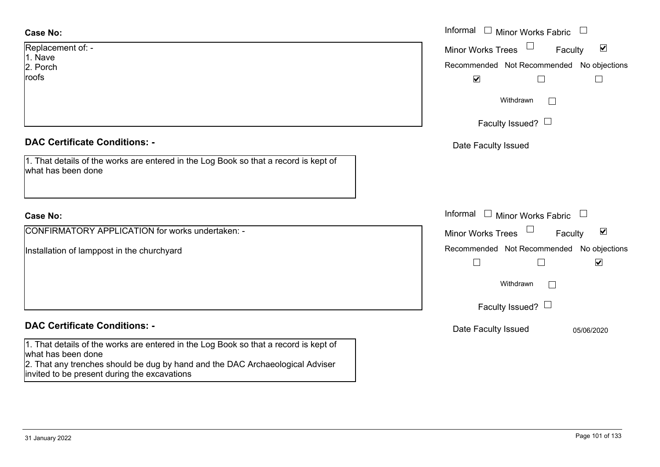| <b>Case No:</b>                                                                                                               | Informal<br>$\overline{\phantom{a}}$<br>Minor Works Fabric  |
|-------------------------------------------------------------------------------------------------------------------------------|-------------------------------------------------------------|
| Replacement of: -<br>1. Nave                                                                                                  | $\blacktriangledown$<br><b>Minor Works Trees</b><br>Faculty |
| 2. Porch                                                                                                                      | Recommended Not Recommended No objections                   |
| roofs                                                                                                                         | $\blacktriangledown$                                        |
|                                                                                                                               | Withdrawn<br>$\Box$                                         |
|                                                                                                                               | Faculty Issued? $\Box$                                      |
| <b>DAC Certificate Conditions: -</b>                                                                                          | Date Faculty Issued                                         |
| 1. That details of the works are entered in the Log Book so that a record is kept of<br>what has been done                    |                                                             |
| <b>Case No:</b>                                                                                                               | Informal<br>$\mathbf{I}$<br><b>Minor Works Fabric</b>       |
| <b>CONFIRMATORY APPLICATION for works undertaken: -</b>                                                                       | $\blacktriangledown$<br><b>Minor Works Trees</b><br>Faculty |
| Installation of lamppost in the churchyard                                                                                    | Recommended Not Recommended No objections                   |
|                                                                                                                               | $\blacktriangledown$<br>$\Box$                              |
|                                                                                                                               | Withdrawn                                                   |
|                                                                                                                               | Faculty Issued? $\Box$                                      |
| <b>DAC Certificate Conditions: -</b>                                                                                          | Date Faculty Issued<br>05/06/2020                           |
| 1. That details of the works are entered in the Log Book so that a record is kept of<br>what has been done                    |                                                             |
| 2. That any trenches should be dug by hand and the DAC Archaeological Adviser<br>invited to be present during the excavations |                                                             |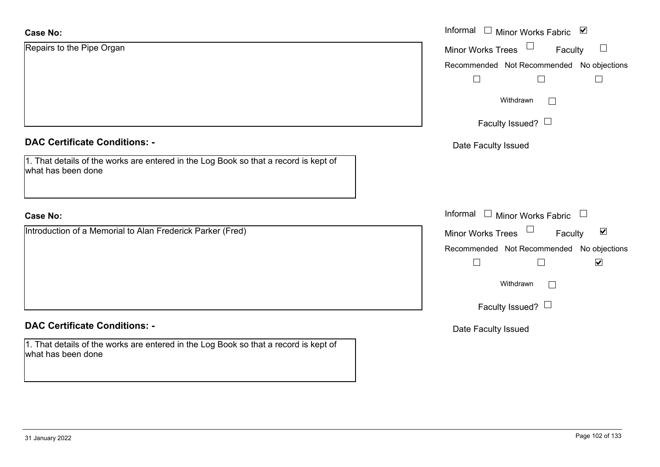| <b>Case No:</b>                                                                                            | Informal □ Minor Works Fabric ⊠                      |
|------------------------------------------------------------------------------------------------------------|------------------------------------------------------|
| Repairs to the Pipe Organ                                                                                  | $\Box$<br>Minor Works Trees<br>Faculty               |
|                                                                                                            | Recommended Not Recommended No objections            |
|                                                                                                            | $\Box$                                               |
|                                                                                                            | Withdrawn<br>$\Box$                                  |
|                                                                                                            | Faculty Issued? $\Box$                               |
| <b>DAC Certificate Conditions: -</b>                                                                       | Date Faculty Issued                                  |
| 1. That details of the works are entered in the Log Book so that a record is kept of<br>what has been done |                                                      |
|                                                                                                            |                                                      |
| <b>Case No:</b>                                                                                            | Informal<br>$\Box$ Minor Works Fabric $\Box$         |
| Introduction of a Memorial to Alan Frederick Parker (Fred)                                                 | Minor Works Trees<br>$\blacktriangledown$<br>Faculty |
|                                                                                                            | Recommended Not Recommended No objections            |
|                                                                                                            | $\blacktriangledown$<br>П                            |
|                                                                                                            | Withdrawn<br>$\Box$                                  |
|                                                                                                            | Faculty Issued? $\Box$                               |
| <b>DAC Certificate Conditions: -</b>                                                                       | Date Faculty Issued                                  |
| 1. That details of the works are entered in the Log Book so that a record is kept of<br>what has been done |                                                      |
|                                                                                                            |                                                      |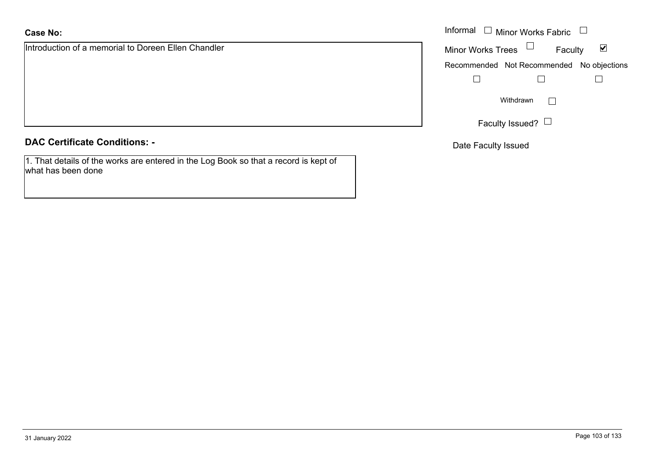### **Case No:**

Introduction of a memorial to Doreen Ellen Chandler

**DAC Certificate Conditions: -**

1. That details of the works are entered in the Log Book so that a record is kept of what has been done

|                                            | Informal $\Box$ Minor Works Fabric $\Box$                   |
|--------------------------------------------|-------------------------------------------------------------|
| ion of a memorial to Doreen Ellen Chandler | Minor Works Trees $\Box$<br>$\blacktriangledown$<br>Faculty |
|                                            | Recommended Not Recommended No objections                   |
|                                            |                                                             |
|                                            | Withdrawn                                                   |
|                                            | Faculty Issued? $\Box$                                      |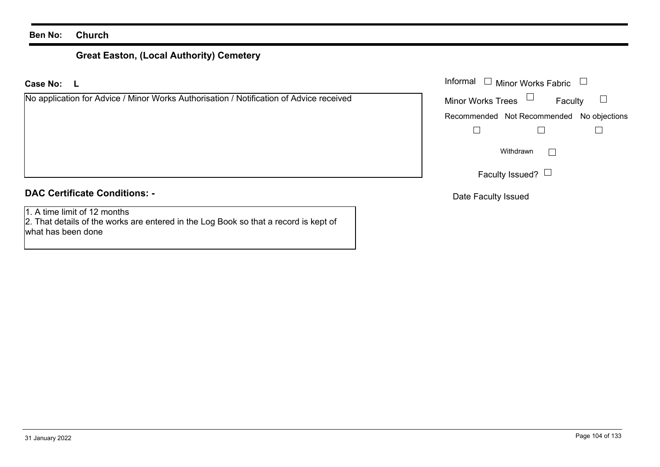# **Great Easton, (Local Authority) Cemetery**

**LCase No:**

| No application for Advice / Minor Works Authorisation / Notification of Advice received |
|-----------------------------------------------------------------------------------------|
|-----------------------------------------------------------------------------------------|

### **DAC Certificate Conditions: -**

1. A time limit of 12 months

2. That details of the works are entered in the Log Book so that a record is kept of what has been done

| : L                                                                             | Informal $\Box$ Minor Works Fabric $\Box$ |
|---------------------------------------------------------------------------------|-------------------------------------------|
| cation for Advice / Minor Works Authorisation / Notification of Advice received | Minor Works Trees $\Box$<br>Faculty       |
|                                                                                 | Recommended Not Recommended No objections |
|                                                                                 |                                           |
|                                                                                 | Withdrawn<br>$\mathbf{L}$                 |
|                                                                                 | Faculty Issued? $\Box$                    |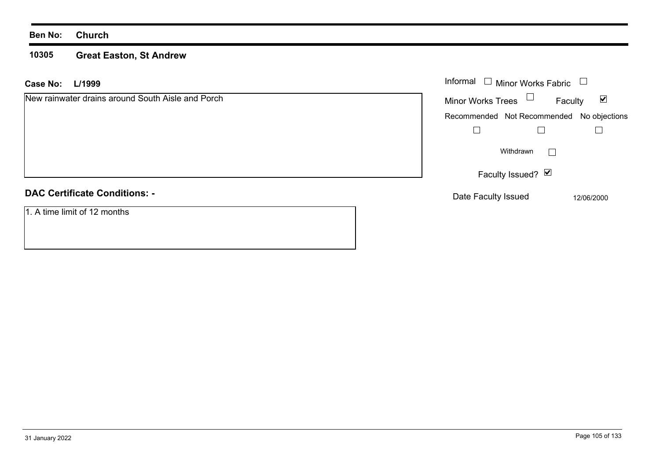#### **10305 Great Easton, St Andrew**

| L/1999<br>Case No:                                | Informal $\Box$ Minor Works Fabric                          |
|---------------------------------------------------|-------------------------------------------------------------|
| New rainwater drains around South Aisle and Porch | Minor Works Trees $\Box$<br>$\blacktriangledown$<br>Faculty |
|                                                   | Recommended Not Recommended No objections                   |
|                                                   |                                                             |
|                                                   | Withdrawn<br>$\mathbf{L}$                                   |
|                                                   | Faculty Issued? Ø                                           |
| <b>DAC Certificate Conditions: -</b>              | Date Faculty Issued<br>12/06/2000                           |
| 1. A time limit of 12 months                      |                                                             |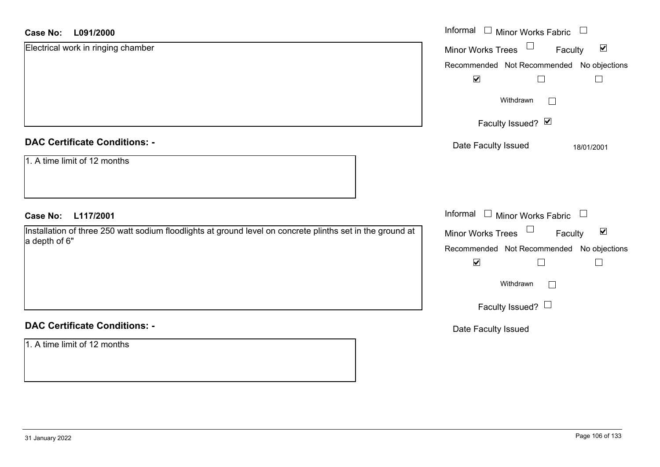#### **L091/2000Case No:**

| <b>Case No:</b><br>L091/2000                                                                                                | Informal □ Minor Works Fabric<br>$\mathcal{L}_{\mathcal{A}}$ |
|-----------------------------------------------------------------------------------------------------------------------------|--------------------------------------------------------------|
| Electrical work in ringing chamber                                                                                          | Minor Works Trees<br>$\blacktriangledown$<br>Faculty         |
|                                                                                                                             | Recommended Not Recommended No objections                    |
|                                                                                                                             | $\blacktriangledown$<br>$\Box$<br>$\Box$                     |
|                                                                                                                             | Withdrawn<br>$\Box$                                          |
|                                                                                                                             | Faculty Issued? Ø                                            |
| <b>DAC Certificate Conditions: -</b>                                                                                        | Date Faculty Issued<br>18/01/2001                            |
| 1. A time limit of 12 months                                                                                                |                                                              |
| L117/2001<br><b>Case No:</b>                                                                                                | Informal $\Box$ Minor Works Fabric $\Box$                    |
| Installation of three 250 watt sodium floodlights at ground level on concrete plinths set in the ground at<br>a depth of 6" | Minor Works Trees<br>$\blacktriangledown$<br>Faculty         |
|                                                                                                                             | Recommended Not Recommended No objections                    |
|                                                                                                                             | $\blacktriangledown$<br>$\Box$                               |
|                                                                                                                             | Withdrawn<br>$\Box$                                          |
|                                                                                                                             | Faculty Issued? $\Box$                                       |
| <b>DAC Certificate Conditions: -</b>                                                                                        | Date Faculty Issued                                          |
| 1. A time limit of 12 months                                                                                                |                                                              |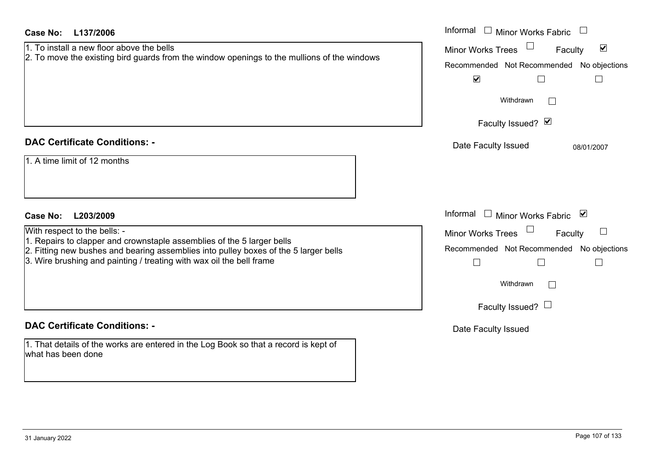| <b>Case No:</b><br>L137/2006                                                                                                                                                                                                                                                                           | Informal $\Box$ Minor Works Fabric                                                                                                                                                                                               |
|--------------------------------------------------------------------------------------------------------------------------------------------------------------------------------------------------------------------------------------------------------------------------------------------------------|----------------------------------------------------------------------------------------------------------------------------------------------------------------------------------------------------------------------------------|
| 1. To install a new floor above the bells<br>2. To move the existing bird guards from the window openings to the mullions of the windows                                                                                                                                                               | $\blacktriangledown$<br><b>Minor Works Trees</b><br>Faculty<br>Recommended Not Recommended No objections<br>$\blacktriangledown$<br>$\Box$<br>Withdrawn<br>$\Box$<br>Faculty Issued? Ø                                           |
| <b>DAC Certificate Conditions: -</b><br>1. A time limit of 12 months                                                                                                                                                                                                                                   | Date Faculty Issued<br>08/01/2007                                                                                                                                                                                                |
| <b>Case No:</b><br>L203/2009<br>With respect to the bells: -<br>1. Repairs to clapper and crownstaple assemblies of the 5 larger bells<br>2. Fitting new bushes and bearing assemblies into pulley boxes of the 5 larger bells<br>3. Wire brushing and painting / treating with wax oil the bell frame | Informal<br>$\Box$ Minor Works Fabric $\Box$<br><b>Minor Works Trees</b><br>$\Box$<br>Faculty<br>Recommended Not Recommended No objections<br>$\Box$<br>$\Box$<br>$\mathbf{I}$<br>Withdrawn<br>$\perp$<br>Faculty Issued? $\Box$ |
| <b>DAC Certificate Conditions: -</b><br>1. That details of the works are entered in the Log Book so that a record is kept of<br>what has been done                                                                                                                                                     | Date Faculty Issued                                                                                                                                                                                                              |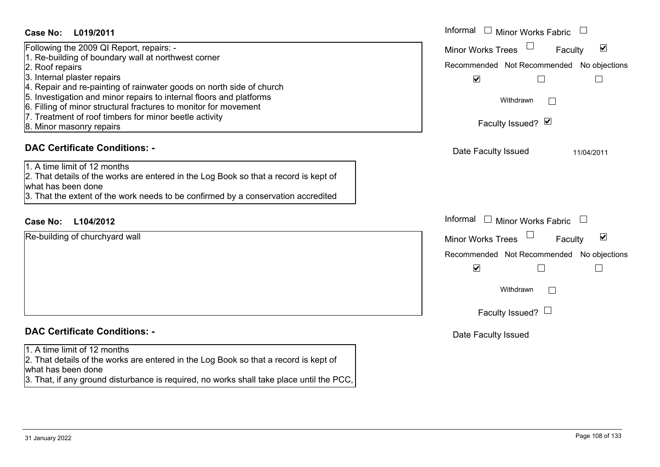### **L019/2011Case No:** Informal

Following the 2009 QI Report, repairs: -

- 1. Re-building of boundary wall at northwest corner
- 2. Roof repairs
- 3. Internal plaster repairs
- 4. Repair and re-painting of rainwater goods on north side of church
- 5. Investigation and minor repairs to internal floors and platforms
- 6. Filling of minor structural fractures to monitor for movement
- 7. Treatment of roof timbers for minor beetle activity
- 8. Minor masonry repairs

### **DAC Certificate Conditions: -**

1. A time limit of 12 months

2. That details of the works are entered in the Log Book so that a record is kept of what has been done

3. That the extent of the work needs to be confirmed by a conservation accredited

### **L104/2012Case No:** Informal

Re-building of churchyard wall

## **DAC Certificate Conditions: -**

1. A time limit of 12 months

2. That details of the works are entered in the Log Book so that a record is kept of what has been done

3. That, if any ground disturbance is required, no works shall take place until the PCC,

| Informal<br><b>Minor Works Fabric</b>                          |  |  |
|----------------------------------------------------------------|--|--|
| $\blacktriangledown$<br><b>Minor Works Trees</b><br>Faculty    |  |  |
| Recommended Not Recommended No objections                      |  |  |
| $\blacktriangledown$                                           |  |  |
| Withdrawn                                                      |  |  |
| Faculty Issued? Ø                                              |  |  |
| Date Faculty Issued<br>11/04/2011                              |  |  |
|                                                                |  |  |
|                                                                |  |  |
|                                                                |  |  |
| Informal<br><b>Minor Works Fabric</b>                          |  |  |
| $\overline{\mathbf{v}}$<br><b>Minor Works Trees</b><br>Faculty |  |  |
| Recommended Not Recommended No objections                      |  |  |
| $\blacktriangledown$                                           |  |  |
| Withdrawn                                                      |  |  |
| Faculty Issued?                                                |  |  |
| Date Faculty Issued                                            |  |  |
|                                                                |  |  |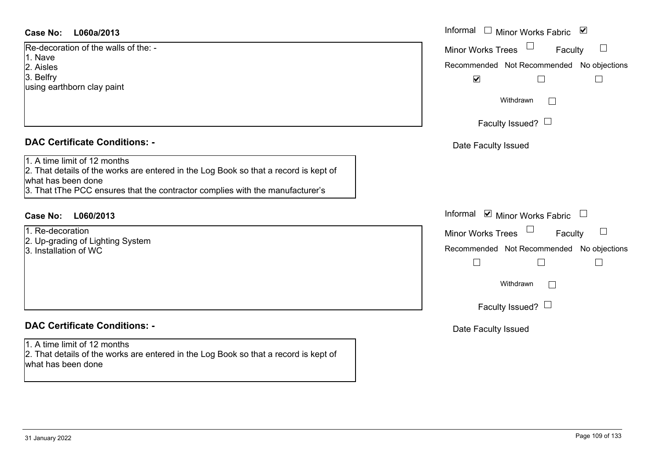#### **L060a/2013Case No:** Informal

Re-decoration of the walls of the: -1. Nave2. Aisles3. Belfry using earthborn clay paint

#### **DAC Certificate Conditions: -**

1. A time limit of 12 months

 2. That details of the works are entered in the Log Book so that a record is kept of what has been done

3. That tThe PCC ensures that the contractor complies with the manufacturer's

#### **L060/2013Case No:** Informal

1. Re-decoration2. Up-grading of Lighting System 3. Installation of WC

### **DAC Certificate Conditions: -**

#### 1. A time limit of 12 months2. That details of the works are entered in the Log Book so that a record is kept of what has been done

| Informal<br>⊻<br><b>Minor Works Fabric</b> |  |
|--------------------------------------------|--|
| <b>Minor Works Trees</b><br>Faculty        |  |
| Recommended Not Recommended No objections  |  |
| $\blacktriangledown$                       |  |
| Withdrawn                                  |  |
| Faculty Issued? $\Box$                     |  |
| Date Faculty Issued                        |  |
|                                            |  |
|                                            |  |
| Informal<br>■ Minor Works Fabric           |  |
| <b>Minor Works Trees</b><br>Faculty        |  |
| Recommended Not Recommended No objections  |  |
|                                            |  |
| Withdrawn                                  |  |
| Faculty Issued? I                          |  |
| Date Faculty Issued                        |  |
|                                            |  |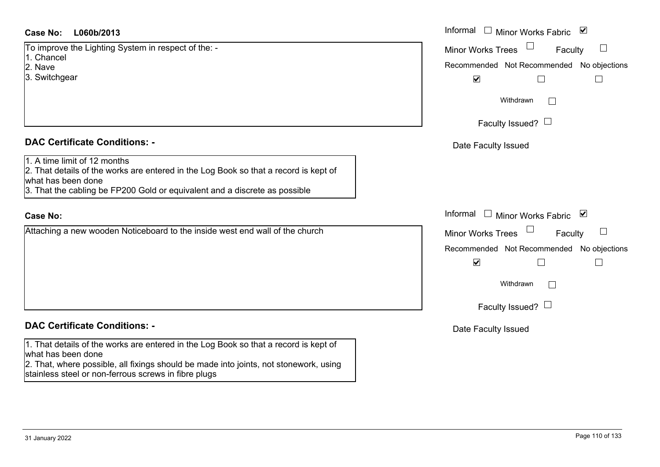#### **L060b/2013Case No:** Informal

To improve the Lighting System in respect of the: -

- 1. Chancel
- 2. Nave
- 3. Switchgear

#### **DAC Certificate Conditions: -**

1. A time limit of 12 months

2. That details of the works are entered in the Log Book so that a record is kept of what has been done

3. That the cabling be FP200 Gold or equivalent and a discrete as possible

#### **Case No:**

Attaching a new wooden Noticeboard to the inside west end wall of the church

#### **DAC Certificate Conditions: -**

1. That details of the works are entered in the Log Book so that a record is kept of what has been done

2. That, where possible, all fixings should be made into joints, not stonework, using stainless steel or non-ferrous screws in fibre plugs

| L060b/2013                                                                                                                                                                         | Informal □ Minor Works Fabric ☑                                                                                                                                      |
|------------------------------------------------------------------------------------------------------------------------------------------------------------------------------------|----------------------------------------------------------------------------------------------------------------------------------------------------------------------|
| ve the Lighting System in respect of the: -<br>el<br>gear                                                                                                                          | Minor Works Trees<br>Faculty<br>$\mathcal{L}_{\mathcal{A}}$<br>Recommended Not Recommended No objections<br>$\blacktriangledown$                                     |
|                                                                                                                                                                                    | Withdrawn<br>Faculty Issued? $\Box$                                                                                                                                  |
| rtificate Conditions: -                                                                                                                                                            | Date Faculty Issued                                                                                                                                                  |
| limit of 12 months<br>etails of the works are entered in the Log Book so that a record is kept of<br>been done<br>e cabling be FP200 Gold or equivalent and a discrete as possible |                                                                                                                                                                      |
|                                                                                                                                                                                    | Informal □ Minor Works Fabric<br>⊻                                                                                                                                   |
| a new wooden Noticeboard to the inside west end wall of the church                                                                                                                 | Minor Works Trees<br>Faculty<br>Recommended Not Recommended No objections<br>$\blacktriangledown$<br>$\overline{\phantom{a}}$<br>Withdrawn<br>Faculty Issued? $\Box$ |
| rtificate Conditions: -                                                                                                                                                            | Date Faculty Issued                                                                                                                                                  |
|                                                                                                                                                                                    |                                                                                                                                                                      |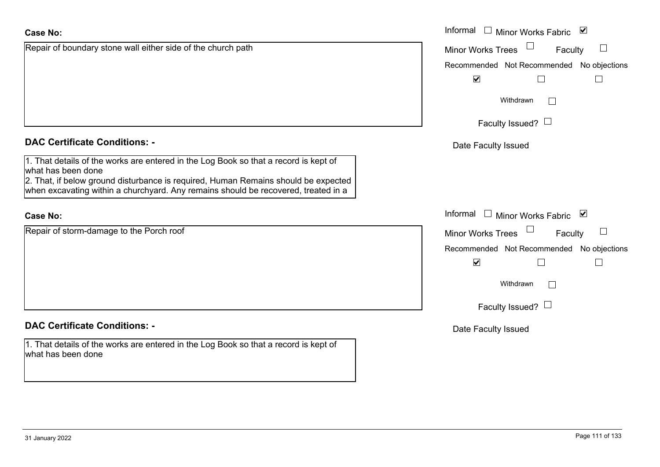# $\overline{\mathbf{v}}$ **DAC Certificate Conditions: -**1. That details of the works are entered in the Log Book so that a record is kept of what has been done 2. That, if below ground disturbance is required, Human Remains should be expected when excavating within a churchyard. Any remains should be recovered, treated in a Informal **Case No:**Repair of storm-damage to the Porch roof  $\overline{\mathbf{v}}$ **DAC Certificate Conditions: -**1. That details of the works are entered in the Log Book so that a record is kept of what has been done

Repair of boundary stone wall either side of the church path

| Page 111 of 133 |  |  |
|-----------------|--|--|
|                 |  |  |

Recommended Not Recommended No objections  $\Box$  $\Box$ Withdrawn $\Box$ Faculty Issued?  $\Box$ Date Faculty Issued Informal  $\Box$  Minor Works Fabric  $\Box$ Faculty  $\Box$ Minor Works Trees Recommended Not Recommended No objections  $\Box$  $\Box$ 

Informal  $\Box$  Minor Works Fabric  $\Box$ 

Minor Works Trees

Faculty

 $\Box$ 

Withdrawn $\Box$ 

Faculty Issued?  $\Box$ 

Date Faculty Issued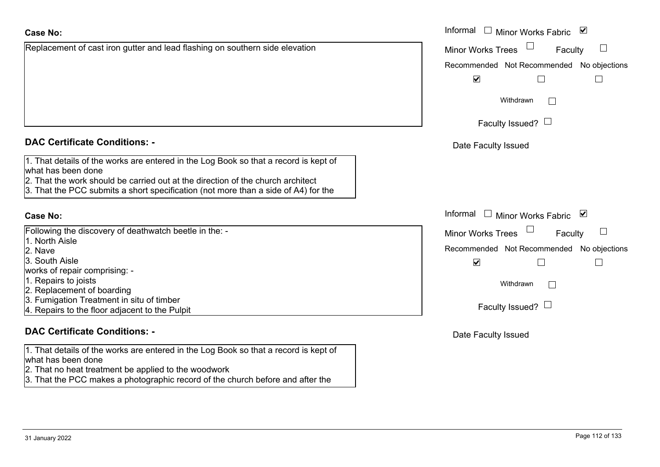| <b>Case No:</b>                                                                                                                                                                                                                                                                     | Informal |
|-------------------------------------------------------------------------------------------------------------------------------------------------------------------------------------------------------------------------------------------------------------------------------------|----------|
| Replacement of cast iron gutter and lead flashing on southern side elevation                                                                                                                                                                                                        | Minor W  |
|                                                                                                                                                                                                                                                                                     | Recomm   |
|                                                                                                                                                                                                                                                                                     |          |
|                                                                                                                                                                                                                                                                                     |          |
|                                                                                                                                                                                                                                                                                     |          |
|                                                                                                                                                                                                                                                                                     |          |
|                                                                                                                                                                                                                                                                                     |          |
| <b>DAC Certificate Conditions: -</b>                                                                                                                                                                                                                                                | Date I   |
| 1. That details of the works are entered in the Log Book so that a record is kept of<br>what has been done<br>2. That the work should be carried out at the direction of the church architect<br>3. That the PCC submits a short specification (not more than a side of A4) for the |          |
| <b>Case No:</b>                                                                                                                                                                                                                                                                     | Informal |
| Following the discovery of deathwatch beetle in the: -                                                                                                                                                                                                                              | Minor W  |
| 1. North Aisle                                                                                                                                                                                                                                                                      |          |
| 2. Nave                                                                                                                                                                                                                                                                             | Recomm   |
| 3. South Aisle                                                                                                                                                                                                                                                                      |          |
| works of repair comprising: -                                                                                                                                                                                                                                                       |          |
| 1. Repairs to joists                                                                                                                                                                                                                                                                |          |
| 2. Replacement of boarding                                                                                                                                                                                                                                                          |          |
| 3. Fumigation Treatment in situ of timber                                                                                                                                                                                                                                           |          |
| 4. Repairs to the floor adjacent to the Pulpit                                                                                                                                                                                                                                      |          |

#### **DAC Certificate Conditions: -**

1. That details of the works are entered in the Log Book so that a record is kept of what has been done

- 2. That no heat treatment be applied to the woodwork
- 3. That the PCC makes a photographic record of the church before and after the

| Informal □ Minor Works Fabric<br>⊻<br><b>Minor Works Trees</b><br>Faculty<br>Recommended Not Recommended No objections<br>V |  |  |
|-----------------------------------------------------------------------------------------------------------------------------|--|--|
| Withdrawn                                                                                                                   |  |  |
| Faculty Issued? $\Box$                                                                                                      |  |  |
| Date Faculty Issued                                                                                                         |  |  |
| Informal<br>⊻<br>Minor Works Fabric                                                                                         |  |  |
| <b>Minor Works Trees</b><br>Faculty<br>Recommended Not Recommended No objections                                            |  |  |
| $\blacktriangledown$                                                                                                        |  |  |
| Withdrawn<br>Faculty Issued?                                                                                                |  |  |
|                                                                                                                             |  |  |
| Date Faculty Issued                                                                                                         |  |  |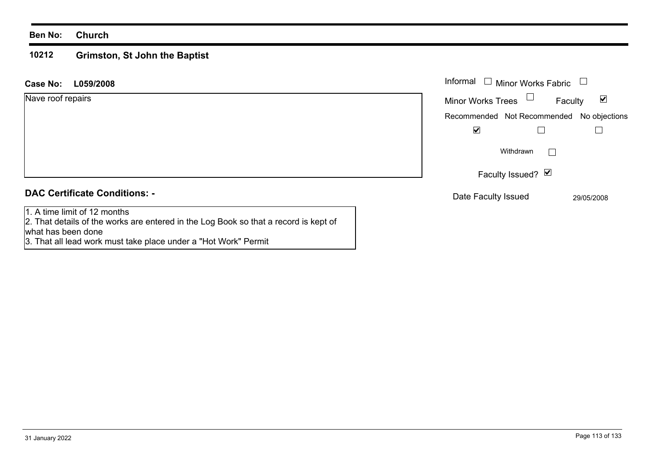#### **Ben No: Church**

what has been done

#### **10212 Grimston, St John the Baptist**

3. That all lead work must take place under a "Hot Work" Permit

| <b>Case No:</b><br>L059/2008                                                                                         | Informal $\Box$<br><b>Minor Works Fabric</b>                |
|----------------------------------------------------------------------------------------------------------------------|-------------------------------------------------------------|
| Nave roof repairs                                                                                                    | $\blacktriangledown$<br><b>Minor Works Trees</b><br>Faculty |
|                                                                                                                      | Recommended Not Recommended No objections                   |
|                                                                                                                      | $\blacktriangledown$                                        |
|                                                                                                                      | Withdrawn                                                   |
|                                                                                                                      | Faculty Issued? Ø                                           |
| <b>DAC Certificate Conditions: -</b>                                                                                 | Date Faculty Issued<br>29/05/2008                           |
| 1. A time limit of 12 months<br>2. That details of the works are entered in the Log Book so that a record is kept of |                                                             |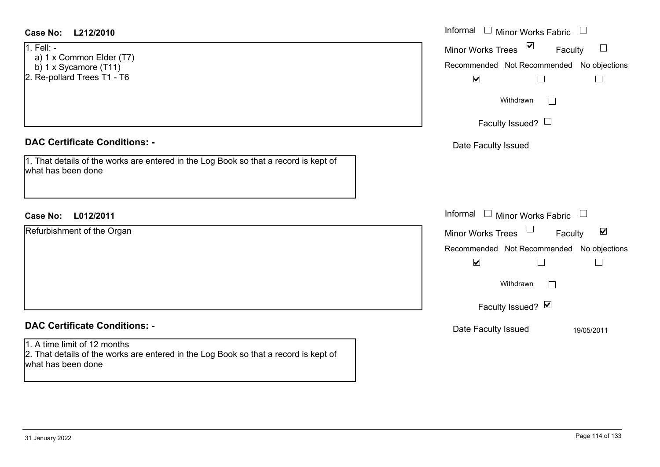| <b>Case No:</b><br>L212/2010                                                                                                                                                       | Informal $\Box$ Minor Works Fabric $\Box$                                                                                                                              |
|------------------------------------------------------------------------------------------------------------------------------------------------------------------------------------|------------------------------------------------------------------------------------------------------------------------------------------------------------------------|
| 1. Fell: -<br>a) 1 x Common Elder (T7)<br>b) 1 x Sycamore (T11)<br>2. Re-pollard Trees T1 - T6                                                                                     | $\overline{\mathbf{S}}$<br><b>Minor Works Trees</b><br>Faculty<br>Recommended Not Recommended No objections<br>$\blacktriangledown$<br>$\Box$<br>$\mathbb{R}$          |
|                                                                                                                                                                                    | Withdrawn<br>Faculty Issued?                                                                                                                                           |
| <b>DAC Certificate Conditions: -</b>                                                                                                                                               | Date Faculty Issued                                                                                                                                                    |
| 1. That details of the works are entered in the Log Book so that a record is kept of<br>what has been done                                                                         |                                                                                                                                                                        |
| L012/2011<br>Case No:                                                                                                                                                              | Informal $\Box$ Minor Works Fabric $\Box$                                                                                                                              |
| Refurbishment of the Organ                                                                                                                                                         | Minor Works Trees<br>$\blacktriangledown$<br>Faculty<br>Recommended Not Recommended No objections<br>$\blacktriangledown$<br>Withdrawn<br>$\perp$<br>Faculty Issued? Ø |
| <b>DAC Certificate Conditions: -</b><br>1. A time limit of 12 months<br>2. That details of the works are entered in the Log Book so that a record is kept of<br>what has been done | Date Faculty Issued<br>19/05/2011                                                                                                                                      |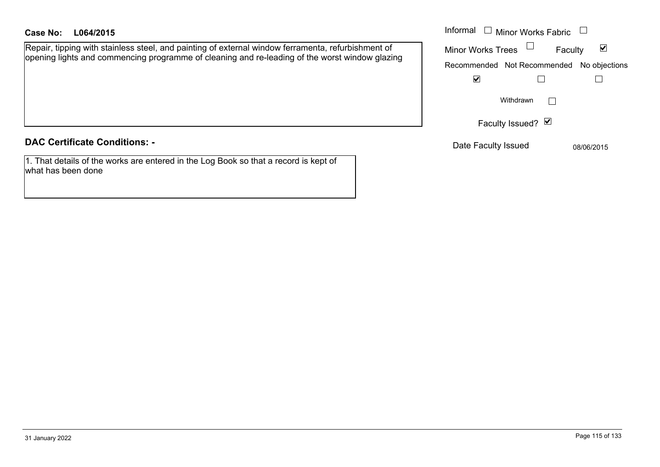#### **L064/2015Case No:** Informal

Repair, tipping with stainless steel, and painting of external window ferramenta, refurbishment of opening lights and commencing programme of cleaning and re-leading of the worst window glazing

#### **DAC Certificate Conditions: -**

1. That details of the works are entered in the Log Book so that a record is kept of what has been done

| Informal<br><b>Minor Works Fabric</b> |                                           |  |
|---------------------------------------|-------------------------------------------|--|
| <b>Minor Works Trees</b>              | Faculty                                   |  |
|                                       | Recommended Not Recommended No objections |  |
|                                       |                                           |  |
|                                       | Withdrawn<br>Faculty Issued? Ø            |  |

Date Faculty Issued 08/06/2015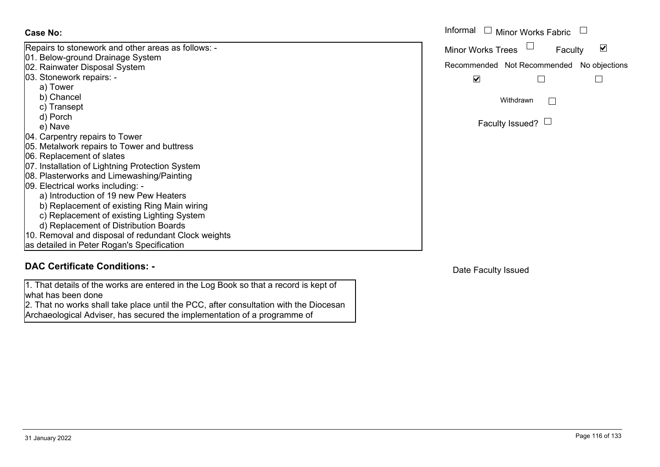| Case No:                                            | Informal |
|-----------------------------------------------------|----------|
| Repairs to stonework and other areas as follows: -  | Minor W  |
| 01. Below-ground Drainage System                    |          |
| 02. Rainwater Disposal System                       | Recomm   |
| 03. Stonework repairs: -                            |          |
| a) Tower                                            |          |
| b) Chancel                                          |          |
| c) Transept                                         |          |
| d) Porch                                            |          |
| e) Nave                                             |          |
| 04. Carpentry repairs to Tower                      |          |
| 05. Metalwork repairs to Tower and buttress         |          |
| 06. Replacement of slates                           |          |
| 07. Installation of Lightning Protection System     |          |
| 08. Plasterworks and Limewashing/Painting           |          |
| 09. Electrical works including: -                   |          |
| a) Introduction of 19 new Pew Heaters               |          |
| b) Replacement of existing Ring Main wiring         |          |
| c) Replacement of existing Lighting System          |          |
| d) Replacement of Distribution Boards               |          |
| 10. Removal and disposal of redundant Clock weights |          |
| as detailed in Peter Rogan's Specification          |          |

### **DAC Certificate Conditions: -**

1. That details of the works are entered in the Log Book so that a record is kept of what has been done

2. That no works shall take place until the PCC, after consultation with the Diocesan Archaeological Adviser, has secured the implementation of a programme of

| Informal<br>$\Box$ Minor Works Fabric |                                           |  |
|---------------------------------------|-------------------------------------------|--|
| <b>Minor Works Trees</b>              | Faculty                                   |  |
|                                       | Recommended Not Recommended No objections |  |
|                                       |                                           |  |
| Withdrawn                             |                                           |  |
| Faculty Issued? $\Box$                |                                           |  |

Date Faculty Issued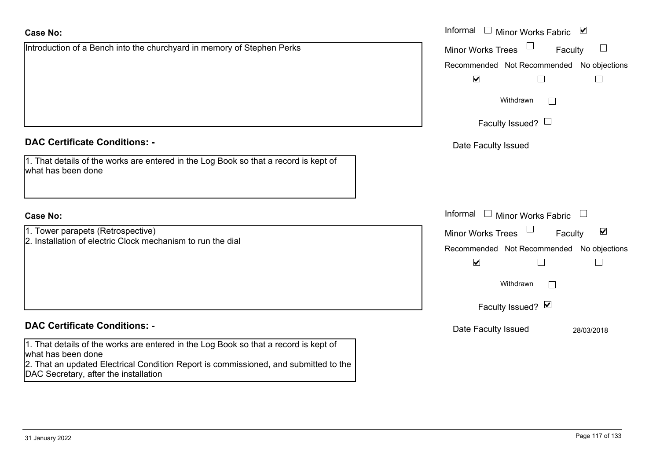| <b>Case No:</b>                                                                                                               | Informal $\Box$ Minor Works Fabric $\Box$                   |
|-------------------------------------------------------------------------------------------------------------------------------|-------------------------------------------------------------|
| Introduction of a Bench into the churchyard in memory of Stephen Perks                                                        | <b>Minor Works Trees</b><br>Faculty<br>$\Box$               |
|                                                                                                                               | Recommended Not Recommended No objections                   |
|                                                                                                                               | $\blacktriangledown$                                        |
|                                                                                                                               | Withdrawn                                                   |
|                                                                                                                               | Faculty Issued? $\Box$                                      |
| <b>DAC Certificate Conditions: -</b>                                                                                          | Date Faculty Issued                                         |
| 1. That details of the works are entered in the Log Book so that a record is kept of<br>what has been done                    |                                                             |
| <b>Case No:</b>                                                                                                               | Informal<br>$\Box$ Minor Works Fabric                       |
| 1. Tower parapets (Retrospective)                                                                                             | $\blacktriangledown$<br><b>Minor Works Trees</b><br>Faculty |
| 2. Installation of electric Clock mechanism to run the dial                                                                   | Recommended Not Recommended No objections                   |
|                                                                                                                               | $\blacktriangledown$                                        |
|                                                                                                                               | Withdrawn                                                   |
|                                                                                                                               | Faculty Issued? Ø                                           |
| <b>DAC Certificate Conditions: -</b>                                                                                          | Date Faculty Issued<br>28/03/2018                           |
| 1. That details of the works are entered in the Log Book so that a record is kept of<br>what has been done                    |                                                             |
| 2. That an updated Electrical Condition Report is commissioned, and submitted to the<br>DAC Secretary, after the installation |                                                             |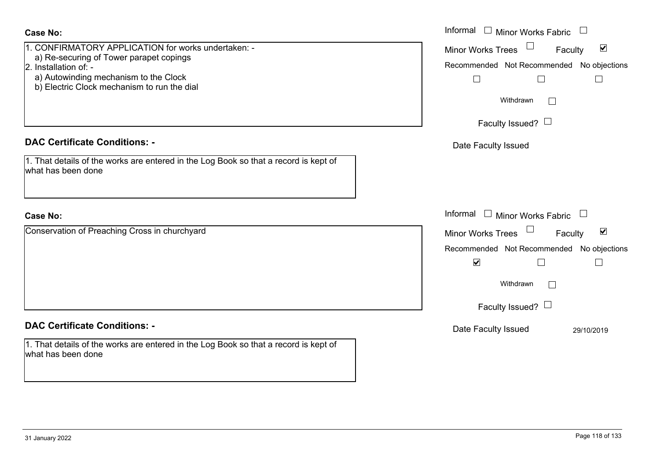Informal  $\Box$  Minor Works Fabric  $\Box$  Informal **Case No:**1. CONFIRMATORY APPLICATION for works undertaken: -Faculty Minor Works Trees a) Re-securing of Tower parapet copings 2. Installation of: -Recommended Not Recommended No objections a) Autowinding mechanism to the Clock  $\Box$  $\Box$  b) Electric Clock mechanism to run the dial Withdrawn $\Box$ Faculty Issued?  $\Box$ **DAC Certificate Conditions: -**Date Faculty Issued 1. That details of the works are entered in the Log Book so that a record is kept of what has been doneInformal  $\Box$  Minor Works Fabric  $\Box$  Informal **Case No:**Conservation of Preaching Cross in churchyard Faculty Minor Works Trees Recommended Not Recommended No objections  $\overline{\mathbf{v}}$  $\Box$ Withdrawn $\Box$ Faculty Issued?  $\Box$ **DAC Certificate Conditions: -**Date Faculty Issued 29/10/2019 1. That details of the works are entered in the Log Book so that a record is kept of what has been done

 $\blacktriangledown$ 

 $\Box$ 

 $\overline{\mathbf{v}}$ 

 $\Box$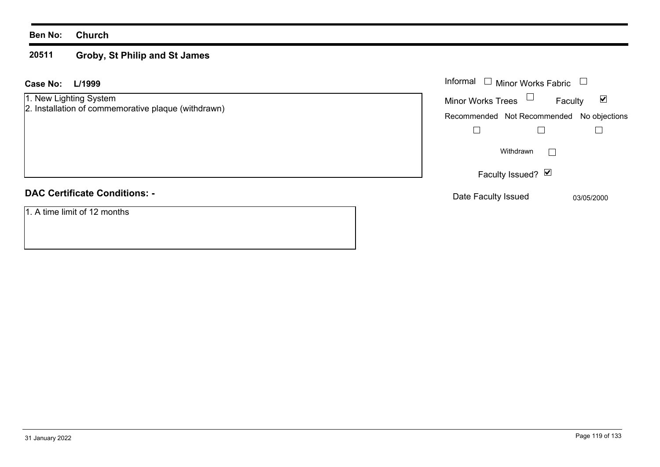#### **Ben No: Church**

#### **20511 Groby, St Philip and St James**

| <b>Case No:</b><br>L/1999                                                     | Informal $\Box$ Minor Works Fabric                          |
|-------------------------------------------------------------------------------|-------------------------------------------------------------|
| 1. New Lighting System<br>2. Installation of commemorative plaque (withdrawn) | $\blacktriangledown$<br><b>Minor Works Trees</b><br>Faculty |
|                                                                               | Recommended Not Recommended No objections                   |
|                                                                               |                                                             |
|                                                                               | Withdrawn                                                   |
|                                                                               | Faculty Issued? $\Box$                                      |
| <b>DAC Certificate Conditions: -</b>                                          | Date Faculty Issued<br>03/05/2000                           |
| 1. A time limit of 12 months                                                  |                                                             |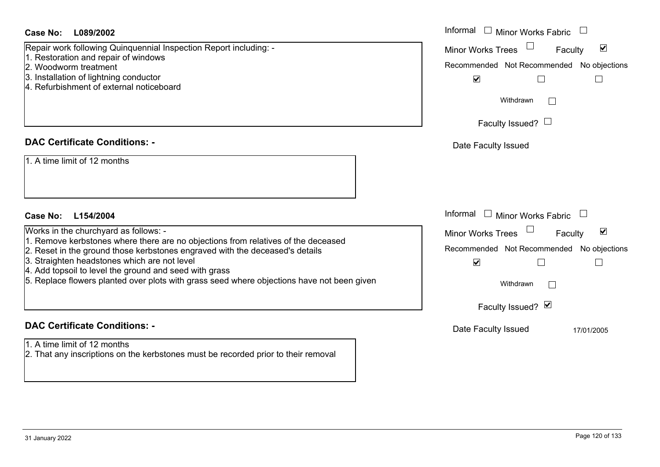| Case No: L089/2002                                                                                                                                                | Informal<br>$\perp$<br>Minor Works Fabric                   |
|-------------------------------------------------------------------------------------------------------------------------------------------------------------------|-------------------------------------------------------------|
| Repair work following Quinquennial Inspection Report including: -                                                                                                 | $\blacktriangledown$<br><b>Minor Works Trees</b><br>Faculty |
| 1. Restoration and repair of windows<br>2. Woodworm treatment                                                                                                     | Recommended Not Recommended No objections                   |
| 3. Installation of lightning conductor                                                                                                                            | $\blacktriangledown$<br>$\Box$                              |
| 4. Refurbishment of external noticeboard                                                                                                                          |                                                             |
|                                                                                                                                                                   | Withdrawn                                                   |
|                                                                                                                                                                   | Faculty Issued? $\Box$                                      |
| <b>DAC Certificate Conditions: -</b>                                                                                                                              | Date Faculty Issued                                         |
| 1. A time limit of 12 months                                                                                                                                      |                                                             |
| Case No: L154/2004                                                                                                                                                | Informal □ Minor Works Fabric                               |
| Works in the churchyard as follows: -                                                                                                                             | Minor Works Trees<br>$\blacktriangledown$<br>Faculty        |
| 1. Remove kerbstones where there are no objections from relatives of the deceased<br>2. Reset in the ground those kerbstones engraved with the deceased's details | Recommended Not Recommended No objections                   |
| 3. Straighten headstones which are not level                                                                                                                      | $\blacktriangledown$<br>$\Box$                              |
| 4. Add topsoil to level the ground and seed with grass<br>5. Replace flowers planted over plots with grass seed where objections have not been given              | Withdrawn                                                   |
|                                                                                                                                                                   | Faculty Issued? Ø                                           |
| <b>DAC Certificate Conditions: -</b>                                                                                                                              | Date Faculty Issued<br>17/01/2005                           |
| 1. A time limit of 12 months                                                                                                                                      |                                                             |
| 2. That any inscriptions on the kerbstones must be recorded prior to their removal                                                                                |                                                             |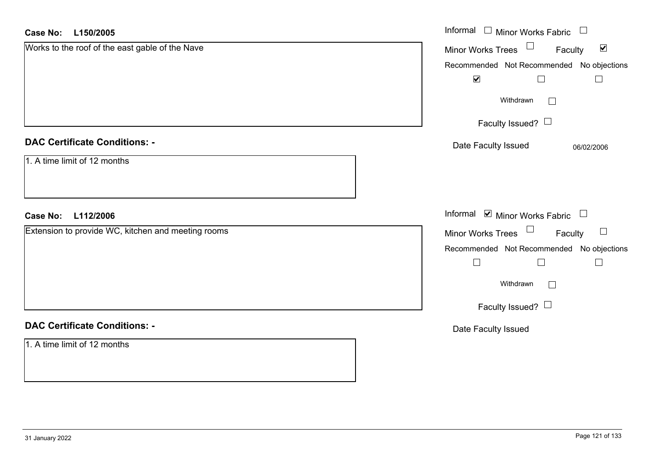| <b>Case No:</b><br>L150/2005                       | Informal $\Box$ Minor Works Fabric                                |
|----------------------------------------------------|-------------------------------------------------------------------|
| Works to the roof of the east gable of the Nave    | Minor Works Trees <sup>1</sup><br>$\blacktriangledown$<br>Faculty |
|                                                    | Recommended Not Recommended No objections                         |
|                                                    | $\blacktriangledown$<br>$\Box$                                    |
|                                                    | Withdrawn<br>$\mathbf{L}$                                         |
|                                                    | Faculty Issued?                                                   |
| <b>DAC Certificate Conditions: -</b>               | Date Faculty Issued<br>06/02/2006                                 |
| 1. A time limit of 12 months                       |                                                                   |
| <b>Case No:</b><br>L112/2006                       | Informal Ø Minor Works Fabric                                     |
| Extension to provide WC, kitchen and meeting rooms | Minor Works Trees<br>Faculty<br>$\Box$                            |
|                                                    | Recommended Not Recommended No objections                         |
|                                                    | $\Box$<br>$\perp$                                                 |
|                                                    | Withdrawn<br>$\Box$                                               |
|                                                    | Faculty Issued? $\Box$                                            |
| <b>DAC Certificate Conditions: -</b>               | Date Faculty Issued                                               |
| 1. A time limit of 12 months                       |                                                                   |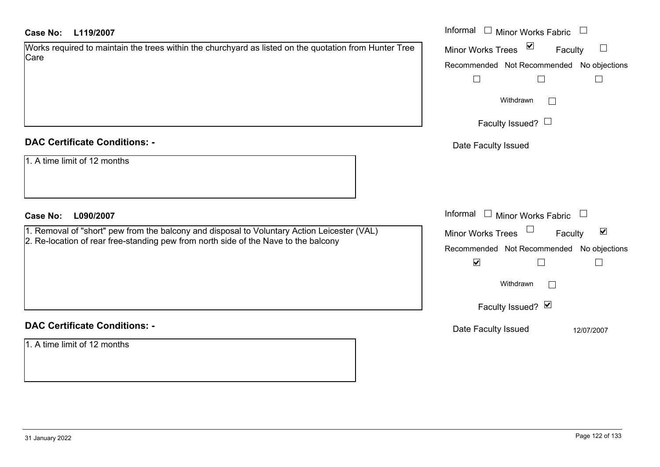| Works required to maintain the trees within the churchyard as listed on the quotation from Hunter Tree |
|--------------------------------------------------------------------------------------------------------|
| Care                                                                                                   |
|                                                                                                        |

#### **DAC Certificate Conditions: -**

| 1. A time limit of 12 months |
|------------------------------|
|                              |

#### **L090/2007Case No:** Informal

1. Removal of "short" pew from the balcony and disposal to Voluntary Action Leicester (VAL) 2. Re-location of rear free-standing pew from north side of the Nave to the balcony

#### **DAC Certificate Conditions: -**

1. A time limit of 12 months

| L119/2007                                                                                      | Informal<br>$\Box$<br><b>Minor Works Fabric</b>                                        |
|------------------------------------------------------------------------------------------------|----------------------------------------------------------------------------------------|
| quired to maintain the trees within the churchyard as listed on the quotation from Hunter Tree | $\sum$<br>$\begin{array}{c} \hline \end{array}$<br><b>Minor Works Trees</b><br>Faculty |
|                                                                                                | Recommended Not Recommended No objections                                              |
|                                                                                                | $\overline{\phantom{a}}$<br>$\mathbf{I}$                                               |
|                                                                                                | Withdrawn                                                                              |
|                                                                                                | Faculty Issued? $\Box$                                                                 |
| rtificate Conditions: -                                                                        | Date Faculty Issued                                                                    |
| limit of 12 months                                                                             |                                                                                        |
| L090/2007                                                                                      | Informal<br><b>Minor Works Fabric</b><br>$\Box$<br>$\mathcal{L}_{\mathrm{max}}$        |
| val of "short" pew from the balcony and disposal to Voluntary Action Leicester (VAL)           | $\blacktriangledown$<br>Minor Works Trees<br>Faculty                                   |
| ation of rear free-standing pew from north side of the Nave to the balcony                     | Recommended Not Recommended No objections                                              |
|                                                                                                | $\blacktriangledown$                                                                   |
|                                                                                                | Withdrawn<br>$\Box$                                                                    |
|                                                                                                | Faculty Issued? Ø                                                                      |
| rtificate Conditions: -                                                                        | Date Faculty Issued<br>12/07/2007                                                      |
|                                                                                                |                                                                                        |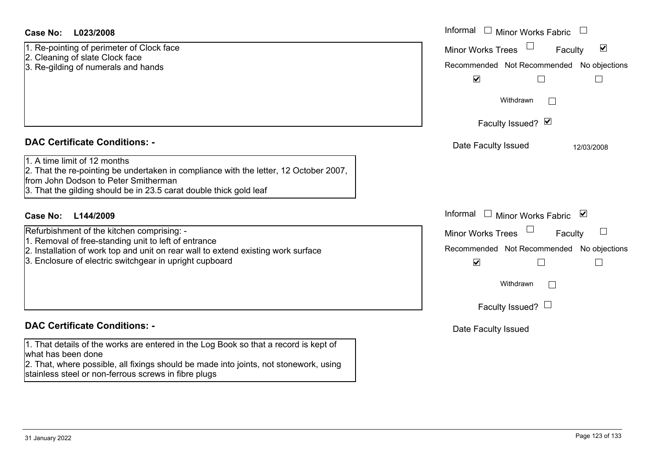#### **L023/2008Case No:** Informal

1. Re-pointing of perimeter of Clock face

- 2. Cleaning of slate Clock face
- 3. Re-gilding of numerals and hands

#### **DAC Certificate Conditions: -**

#### 1. A time limit of 12 months

2. That the re-pointing be undertaken in compliance with the letter, 12 October 2007, from John Dodson to Peter Smitherman

3. That the gilding should be in 23.5 carat double thick gold leaf

#### **L144/2009Case No:** Informal

- Refurbishment of the kitchen comprising: -
- 1. Removal of free-standing unit to left of entrance
- 2. Installation of work top and unit on rear wall to extend existing work surface
- 3. Enclosure of electric switchgear in upright cupboard

#### **DAC Certificate Conditions: -**

1. That details of the works are entered in the Log Book so that a record is kept of what has been done

2. That, where possible, all fixings should be made into joints, not stonework, using stainless steel or non-ferrous screws in fibre plugs

| Informal<br><b>Minor Works Fabric</b>      |
|--------------------------------------------|
| V<br><b>Minor Works Trees</b><br>Faculty   |
| Recommended Not Recommended No objections  |
| $\blacktriangledown$                       |
| Withdrawn                                  |
| Faculty Issued? Ø                          |
| Date Faculty Issued<br>12/03/2008          |
|                                            |
|                                            |
|                                            |
| Informal<br>⊻<br><b>Minor Works Fabric</b> |
| <b>Minor Works Trees</b><br>Faculty        |
| Recommended Not Recommended No objections  |
| $\blacktriangledown$                       |
| Withdrawn                                  |
| Faculty Issued?                            |
| Date Faculty Issued                        |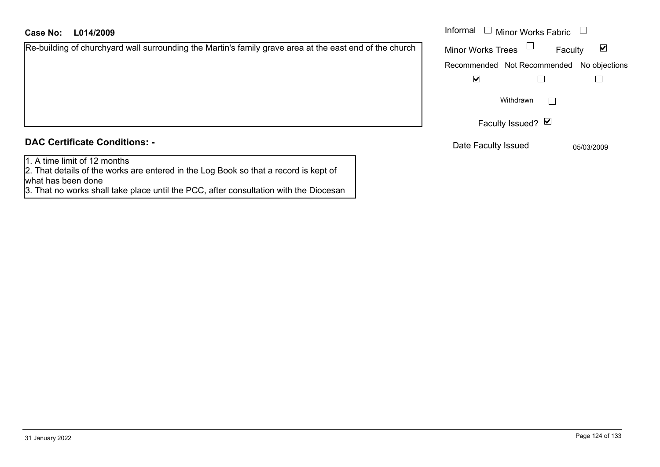|  | <b>DAC Certificate Conditions: -</b> |  |
|--|--------------------------------------|--|

1. A time limit of 12 months

2. That details of the works are entered in the Log Book so that a record is kept of what has been done

3. That no works shall take place until the PCC, after consultation with the Diocesan

**L014/2009Case No:** Informal

| y grave area at the east end of the church $\,$ | <b>Minor Works Trees</b> | Faculty                                   | ⊻ |
|-------------------------------------------------|--------------------------|-------------------------------------------|---|
|                                                 |                          | Recommended Not Recommended No objections |   |
|                                                 | V                        |                                           |   |
|                                                 |                          | Withdrawn                                 |   |
|                                                 |                          | Faculty Issued? ⊠                         |   |
|                                                 |                          |                                           |   |

Date Faculty Issued 05/03/2009

Minor Works Fabric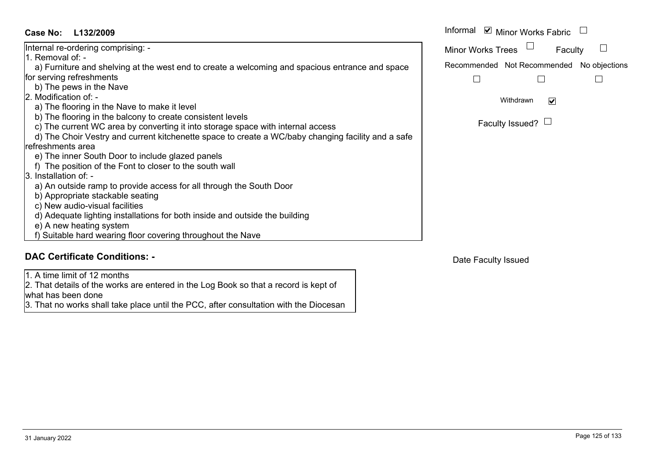| Case No:<br>L132/2009                                                                              | Informal |
|----------------------------------------------------------------------------------------------------|----------|
| Internal re-ordering comprising: -                                                                 | Minor W  |
| 1. Removal of: -                                                                                   |          |
| a) Furniture and shelving at the west end to create a welcoming and spacious entrance and space    | Recomm   |
| for serving refreshments                                                                           |          |
| b) The pews in the Nave                                                                            |          |
| 2. Modification of: -                                                                              |          |
| a) The flooring in the Nave to make it level                                                       |          |
| b) The flooring in the balcony to create consistent levels                                         |          |
| c) The current WC area by converting it into storage space with internal access                    |          |
| d) The Choir Vestry and current kitchenette space to create a WC/baby changing facility and a safe |          |

- refreshments area
	- e) The inner South Door to include glazed panels
- f) The position of the Font to closer to the south wall
- 3. Installation of:
	- a) An outside ramp to provide access for all through the South Door
- b) Appropriate stackable seating
- c) New audio-visual facilities
- d) Adequate lighting installations for both inside and outside the building
- e) A new heating system
- f) Suitable hard wearing floor covering throughout the Nave

# **DAC Certificate Conditions: -**

1. A time limit of 12 months

2. That details of the works are entered in the Log Book so that a record is kept of what has been done

3. That no works shall take place until the PCC, after consultation with the Diocesan

Faculty Issued?  $\Box$ 

Date Faculty Issued

Informal  $\blacksquare$  Minor Works Fabric  $\Box$ 

Faculty  $\Box$ Minor Works Trees

Recommended Not Recommended No objections

 $\Box$ 

 $\Box$  $\Box$ 

> Withdrawn $\overline{\mathbf{v}}$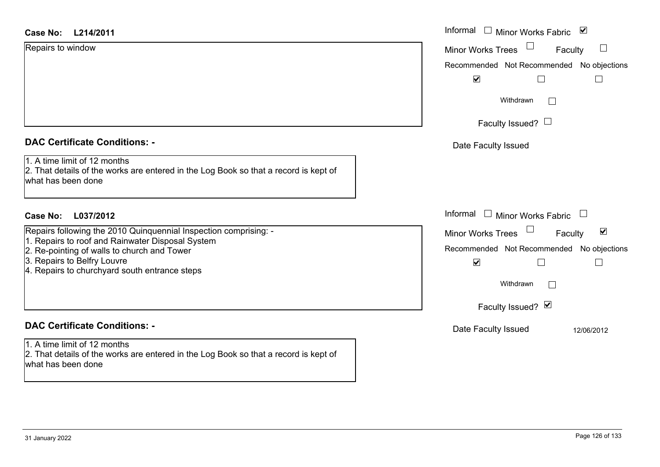| <b>Case No:</b> | L214/2011 |
|-----------------|-----------|
|-----------------|-----------|

Repairs to window

|  | <b>DAC Certificate Conditions: -</b> |  |
|--|--------------------------------------|--|
|  |                                      |  |

1. A time limit of 12 months

2. That details of the works are entered in the Log Book so that a record is kept of what has been done

#### **L037/2012Case No:** Informal

Repairs following the 2010 Quinquennial Inspection comprising: -

- 1. Repairs to roof and Rainwater Disposal System
- 2. Re-pointing of walls to church and Tower
- 3. Repairs to Belfry Louvre
- 4. Repairs to churchyard south entrance steps

### **DAC Certificate Conditions: -**

1. A time limit of 12 months2. That details of the works are entered in the Log Book so that a record is kept of what has been done

| L214/2011                                                                                                      | Informal □ Minor Works Fabric ⊠                      |
|----------------------------------------------------------------------------------------------------------------|------------------------------------------------------|
| o window                                                                                                       | Minor Works Trees<br>Faculty<br>$\Box$               |
|                                                                                                                | Recommended Not Recommended No objections            |
|                                                                                                                | $\blacktriangledown$                                 |
|                                                                                                                | Withdrawn                                            |
|                                                                                                                | Faculty Issued? $\Box$                               |
| rtificate Conditions: -                                                                                        | Date Faculty Issued                                  |
| limit of 12 months<br>etails of the works are entered in the Log Book so that a record is kept of<br>been done |                                                      |
| L037/2012                                                                                                      | Informal $\Box$ Minor Works Fabric $\Box$            |
| ollowing the 2010 Quinquennial Inspection comprising: -                                                        | Minor Works Trees<br>$\blacktriangledown$<br>Faculty |
| s to roof and Rainwater Disposal System<br>inting of walls to church and Tower                                 | Recommended Not Recommended No objections            |
| s to Belfry Louvre<br>s to churchyard south entrance steps                                                     | $\blacktriangledown$                                 |
|                                                                                                                | Withdrawn                                            |
|                                                                                                                | Faculty Issued? Ø                                    |
| rtificate Conditions: -                                                                                        | Date Faculty Issued<br>12/06/2012                    |
| limit of 12 months<br>etails of the works are entered in the Log Book so that a record is kent of              |                                                      |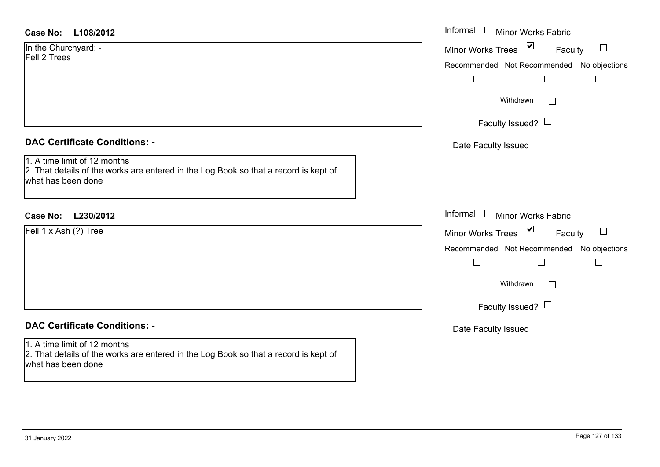| Case No: | L108/2012 |
|----------|-----------|
|----------|-----------|

#### **DAC Certificate Conditions: -**

## **DAC Certificate Conditions: -**

1. A time limit of 12 months 2. That details of the works are entered in the Log Book so that a record is kept of what has been done

| Case No:<br>L108/2012                                                                                                                      | Informal $\Box$ Minor Works Fabric $\Box$                                                                                                                                                 |
|--------------------------------------------------------------------------------------------------------------------------------------------|-------------------------------------------------------------------------------------------------------------------------------------------------------------------------------------------|
| In the Churchyard: -<br>Fell 2 Trees                                                                                                       | Minor Works Trees ⊠<br>$\Box$<br>Faculty<br>Recommended Not Recommended No objections                                                                                                     |
|                                                                                                                                            | Withdrawn<br>$\sim$<br>Faculty Issued? $\Box$                                                                                                                                             |
| <b>DAC Certificate Conditions: -</b>                                                                                                       | Date Faculty Issued                                                                                                                                                                       |
| 1. A time limit of 12 months<br>2. That details of the works are entered in the Log Book so that a record is kept of<br>what has been done |                                                                                                                                                                                           |
| Case No:<br>L230/2012                                                                                                                      | Informal $\Box$ Minor Works Fabric $\Box$                                                                                                                                                 |
| Fell 1 x Ash (?) Tree                                                                                                                      | $\blacktriangledown$<br>$\Box$<br>Minor Works Trees<br>Faculty<br>Recommended Not Recommended No objections<br>$\vert$ $\vert$<br>$\Box$<br>Withdrawn<br>$\Box$<br>Faculty Issued? $\Box$ |
| <b>DAC Certificate Conditions: -</b>                                                                                                       | Date Faculty Issued                                                                                                                                                                       |
| $1 \wedge$ time limit of 12 months                                                                                                         |                                                                                                                                                                                           |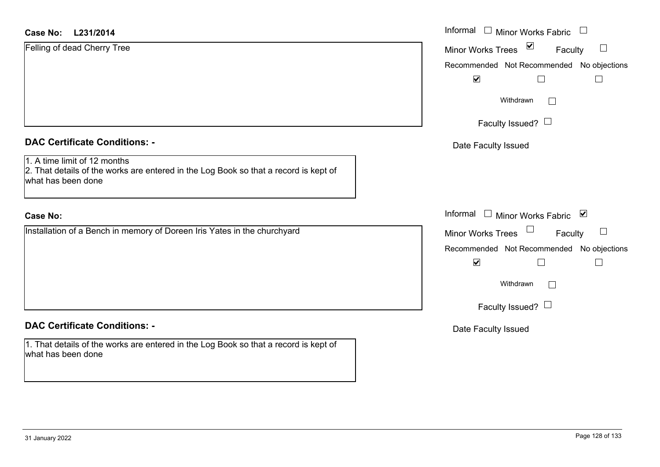#### **L231/2014Case No:** Informal

Felling of dead Cherry Tree

|  | <b>DAC Certificate Conditions: -</b> |  |
|--|--------------------------------------|--|
|  |                                      |  |

1. A time limit of 12 months

2. That details of the works are entered in the Log Book so that a record is kept of what has been done

#### **Case No:**

Installation of a Bench in memory of Doreen Iris Yates in the churchyard

#### **DAC Certificate Conditions: -**

1. That details of the works are entered in the Log Book so that a record is kept of what has been done

| L231/2014                                                                                                      | Informal □ Minor Works Fabric                                  |
|----------------------------------------------------------------------------------------------------------------|----------------------------------------------------------------|
| dead Cherry Tree                                                                                               | $\blacktriangledown$<br>$\Box$<br>Faculty<br>Minor Works Trees |
|                                                                                                                | Recommended Not Recommended No objections                      |
|                                                                                                                | $\blacktriangledown$<br>$\Box$<br>П                            |
|                                                                                                                | Withdrawn                                                      |
|                                                                                                                | Faculty Issued? $\Box$                                         |
| rtificate Conditions: -                                                                                        | Date Faculty Issued                                            |
| limit of 12 months<br>etails of the works are entered in the Log Book so that a record is kept of<br>been done |                                                                |
|                                                                                                                | Informal □ Minor Works Fabric ⊠                                |
| on of a Bench in memory of Doreen Iris Yates in the churchyard                                                 | Minor Works Trees<br>$\Box$<br>Faculty                         |
|                                                                                                                | Recommended Not Recommended No objections                      |
|                                                                                                                | $\blacktriangledown$                                           |
|                                                                                                                | Withdrawn                                                      |
|                                                                                                                | Faculty Issued? $\Box$                                         |
| rtificate Conditions: -                                                                                        | Date Faculty Issued                                            |
|                                                                                                                |                                                                |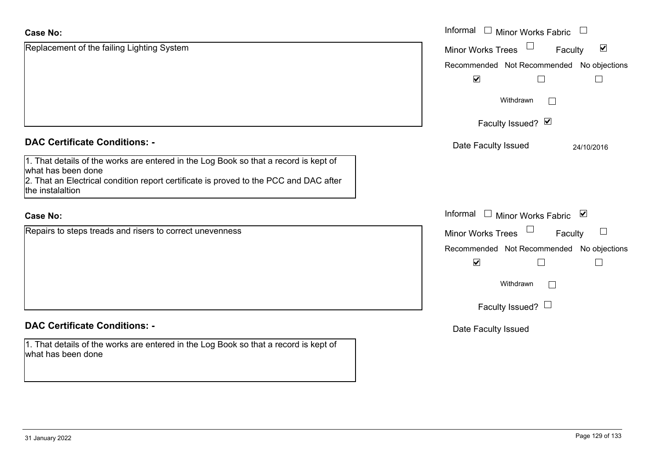| <b>Case No:</b>                                                                                                                                                                                                         | Informal □ Minor Works Fabric                        |
|-------------------------------------------------------------------------------------------------------------------------------------------------------------------------------------------------------------------------|------------------------------------------------------|
| Replacement of the failing Lighting System                                                                                                                                                                              | $\blacktriangledown$<br>Minor Works Trees<br>Faculty |
|                                                                                                                                                                                                                         | Recommended Not Recommended No objections            |
|                                                                                                                                                                                                                         | $\blacktriangledown$<br>H                            |
|                                                                                                                                                                                                                         | Withdrawn<br>$\vert \ \ \vert$                       |
|                                                                                                                                                                                                                         | Faculty Issued? Ø                                    |
| <b>DAC Certificate Conditions: -</b>                                                                                                                                                                                    | Date Faculty Issued<br>24/10/2016                    |
| 1. That details of the works are entered in the Log Book so that a record is kept of<br>what has been done<br>2. That an Electrical condition report certificate is proved to the PCC and DAC after<br>the instalaltion |                                                      |
| <b>Case No:</b>                                                                                                                                                                                                         | Informal $\Box$ Minor Works Fabric $\Box$            |
| Repairs to steps treads and risers to correct unevenness                                                                                                                                                                | Minor Works Trees<br>$\Box$<br>Faculty               |
|                                                                                                                                                                                                                         | Recommended Not Recommended No objections            |
|                                                                                                                                                                                                                         | $\blacktriangledown$<br>L                            |
|                                                                                                                                                                                                                         | Withdrawn<br>$\vert \ \ \vert$                       |
|                                                                                                                                                                                                                         | Faculty Issued? $\Box$                               |
| <b>DAC Certificate Conditions: -</b>                                                                                                                                                                                    | Date Faculty Issued                                  |
| 1. That details of the works are entered in the Log Book so that a record is kept of<br>what has been done                                                                                                              |                                                      |

 $\sim$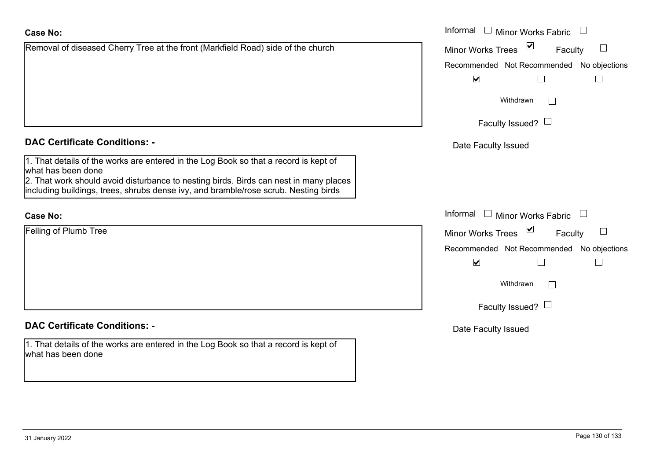| Case No:                                                                                                                                                                     | Informal $\square$<br><b>Minor Works Fabric</b> |
|------------------------------------------------------------------------------------------------------------------------------------------------------------------------------|-------------------------------------------------|
| Removal of diseased Cherry Tree at the front (Markfield Road) side of the church                                                                                             | Minor Works Trees ⊠<br>$\Box$<br>Faculty        |
|                                                                                                                                                                              | Recommended Not Recommended No objections       |
|                                                                                                                                                                              | $\blacktriangleright$<br>$\vert \ \ \vert$      |
|                                                                                                                                                                              | Withdrawn<br>$\mathbb{R}^n$                     |
|                                                                                                                                                                              | Faculty Issued? $\Box$                          |
| <b>DAC Certificate Conditions: -</b>                                                                                                                                         | Date Faculty Issued                             |
| 1. That details of the works are entered in the Log Book so that a record is kept of<br>what has been done                                                                   |                                                 |
| 2. That work should avoid disturbance to nesting birds. Birds can nest in many places<br>including buildings, trees, shrubs dense ivy, and bramble/rose scrub. Nesting birds |                                                 |
| <b>Case No:</b>                                                                                                                                                              | Informal □ Minor Works Fabric<br>$\Box$         |
| <b>Felling of Plumb Tree</b>                                                                                                                                                 | Minor Works Trees ⊠<br>$\Box$<br>Faculty        |
|                                                                                                                                                                              | Recommended Not Recommended No objections       |
|                                                                                                                                                                              | $\blacktriangledown$<br>П                       |
|                                                                                                                                                                              | Withdrawn<br>$\Box$                             |
|                                                                                                                                                                              | Faculty Issued? $\Box$                          |
| <b>DAC Certificate Conditions: -</b>                                                                                                                                         | Date Faculty Issued                             |
| 1. That details of the works are entered in the Log Book so that a record is kept of<br>what has been done                                                                   |                                                 |
|                                                                                                                                                                              |                                                 |
|                                                                                                                                                                              |                                                 |
|                                                                                                                                                                              |                                                 |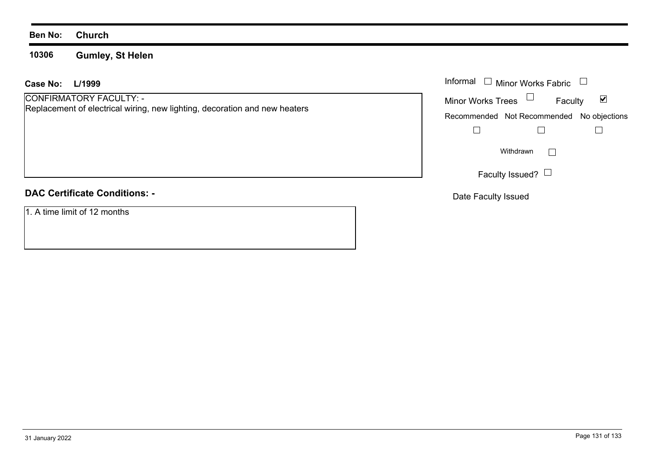#### **Ben No: Church**

**10306Gumley, St Helen**

#### **L/1999 Case No:**

CONFIRMATORY FACULTY: - Replacement of electrical wiring, new lighting, decoration and new heaters

## **DAC Certificate Conditions: -**

1. A time limit of 12 months

| L/1999                                                                                          | Informal $\Box$ Minor Works Fabric $\Box$                   |
|-------------------------------------------------------------------------------------------------|-------------------------------------------------------------|
| <b>MATORY FACULTY: -</b><br>nent of electrical wiring, new lighting, decoration and new heaters | Minor Works Trees $\Box$<br>$\blacktriangledown$<br>Faculty |
|                                                                                                 | Recommended Not Recommended No objections                   |
|                                                                                                 |                                                             |
|                                                                                                 | Withdrawn                                                   |
|                                                                                                 | Faculty Issued? $\Box$                                      |

Date Faculty Issued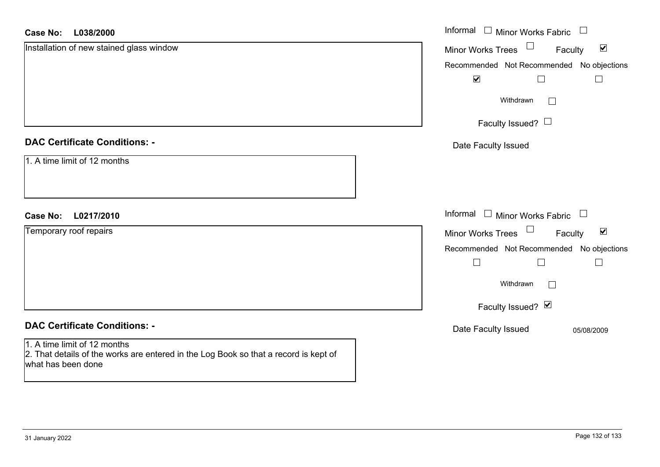| L038/2000<br><b>Case No:</b>                                                                                                               | Informal □ Minor Works Fabric □                      |
|--------------------------------------------------------------------------------------------------------------------------------------------|------------------------------------------------------|
| Installation of new stained glass window                                                                                                   | Minor Works Trees<br>$\blacktriangledown$<br>Faculty |
|                                                                                                                                            | Recommended Not Recommended No objections            |
|                                                                                                                                            | $\blacktriangledown$<br>$\Box$                       |
|                                                                                                                                            | Withdrawn<br>$\vert \ \ \vert$                       |
|                                                                                                                                            | Faculty Issued? $\Box$                               |
| <b>DAC Certificate Conditions: -</b>                                                                                                       | Date Faculty Issued                                  |
| 1. A time limit of 12 months                                                                                                               |                                                      |
|                                                                                                                                            |                                                      |
| L0217/2010<br><b>Case No:</b>                                                                                                              | Informal<br>$\Box$ Minor Works Fabric $\Box$         |
| Temporary roof repairs                                                                                                                     | Minor Works Trees<br>$\blacktriangledown$<br>Faculty |
|                                                                                                                                            | Recommended Not Recommended No objections            |
|                                                                                                                                            | $\Box$<br>$\Box$<br>$\Box$                           |
|                                                                                                                                            | Withdrawn<br>$\Box$                                  |
|                                                                                                                                            | Faculty Issued? Ø                                    |
| <b>DAC Certificate Conditions: -</b>                                                                                                       | Date Faculty Issued<br>05/08/2009                    |
| 1. A time limit of 12 months<br>2. That details of the works are entered in the Log Book so that a record is kept of<br>what has been done |                                                      |